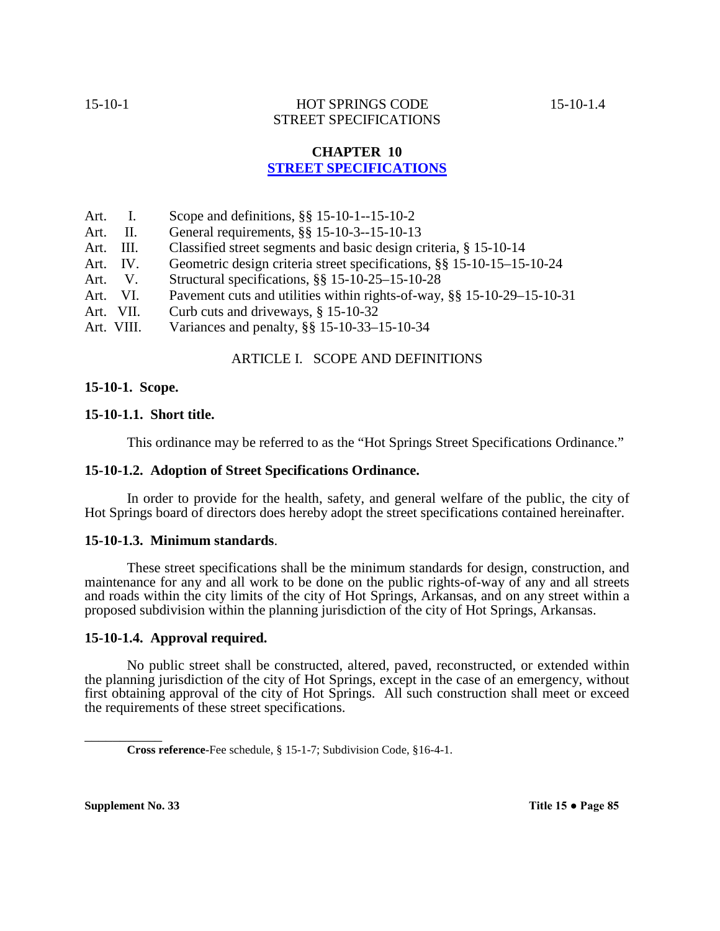# **CHAPTER 10 STREET SPECIFICATIONS**

| Art. |  | Scope and definitions, $\S$ 15-10-1--15-10-2 |  |
|------|--|----------------------------------------------|--|
|------|--|----------------------------------------------|--|

- Art. II. General requirements, §§ 15-10-3--15-10-13
- Art. III. Classified street segments and basic design criteria, § 15-10-14
- Art. IV. Geometric design criteria street specifications, §§ 15-10-15–15-10-24
- Art. V. Structural specifications, §§ 15-10-25–15-10-28
- Art. VI. Pavement cuts and utilities within rights-of-way, §§ 15-10-29–15-10-31<br>Art. VII. Curb cuts and driveways, § 15-10-32
- Curb cuts and driveways,  $§$  15-10-32
- Art. VIII. Variances and penalty, §§ 15-10-33–15-10-34

# ARTICLE I. SCOPE AND DEFINITIONS

# **15-10-1. Scope.**

# **15-10-1.1. Short title.**

This ordinance may be referred to as the "Hot Springs Street Specifications Ordinance."

# **15-10-1.2. Adoption of Street Specifications Ordinance.**

In order to provide for the health, safety, and general welfare of the public, the city of Hot Springs board of directors does hereby adopt the street specifications contained hereinafter.

# **15-10-1.3. Minimum standards**.

These street specifications shall be the minimum standards for design, construction, and maintenance for any and all work to be done on the public rights-of-way of any and all streets and roads within the city limits of the city of Hot Springs, Arkansas, and on any street within a proposed subdivision within the planning jurisdiction of the city of Hot Springs, Arkansas.

# **15-10-1.4. Approval required.**

No public street shall be constructed, altered, paved, reconstructed, or extended within the planning jurisdiction of the city of Hot Springs, except in the case of an emergency, without first obtaining approval of the city of Hot Springs. All such construction shall meet or exceed the requirements of these street specifications.

**Supplement No. 33 Title 15**  $\bullet$  **Page 85** 

\_\_\_\_\_\_\_\_\_\_\_

**Cross reference-**Fee schedule, § 15-1-7; Subdivision Code, §16-4-1.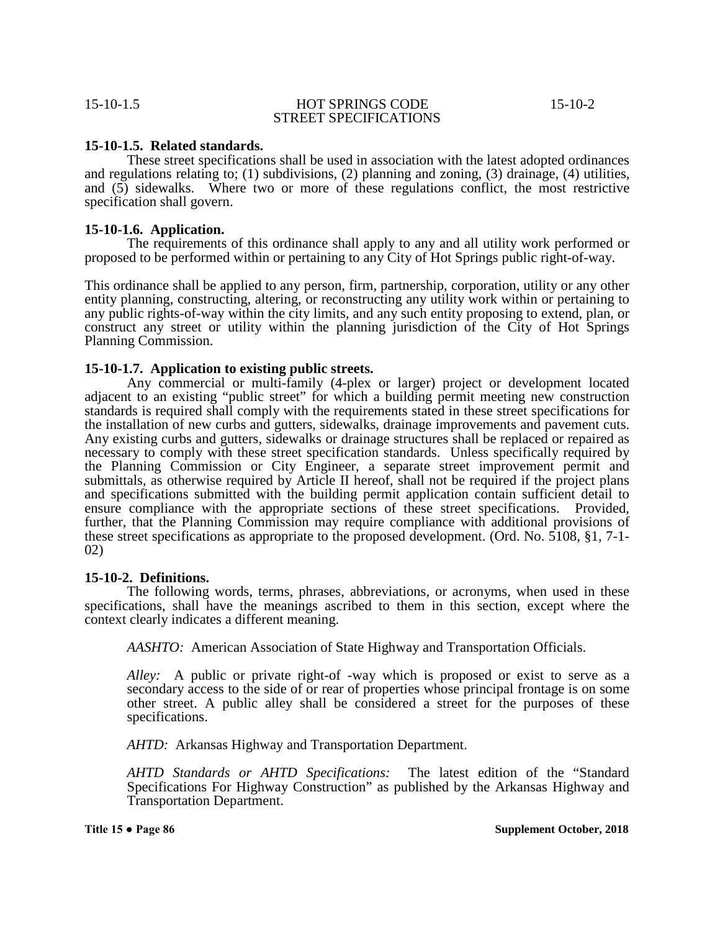# **15-10-1.5. Related standards.**

These street specifications shall be used in association with the latest adopted ordinances and regulations relating to; (1) subdivisions, (2) planning and zoning, (3) drainage, (4) utilities, and (5) sidewalks. Where two or more of these regulations conflict, the most restrictive specification shall govern.

# **15-10-1.6. Application.**

The requirements of this ordinance shall apply to any and all utility work performed or proposed to be performed within or pertaining to any City of Hot Springs public right-of-way.

This ordinance shall be applied to any person, firm, partnership, corporation, utility or any other entity planning, constructing, altering, or reconstructing any utility work within or pertaining to any public rights-of-way within the city limits, and any such entity proposing to extend, plan, or construct any street or utility within the planning jurisdiction of the City of Hot Springs Planning Commission.

# **15-10-1.7. Application to existing public streets.**

Any commercial or multi-family (4-plex or larger) project or development located adjacent to an existing "public street" for which a building permit meeting new construction standards is required shall comply with the requirements stated in these street specifications for the installation of new curbs and gutters, sidewalks, drainage improvements and pavement cuts. Any existing curbs and gutters, sidewalks or drainage structures shall be replaced or repaired as necessary to comply with these street specification standards. Unless specifically required by the Planning Commission or City Engineer, a separate street improvement permit and submittals, as otherwise required by Article II hereof, shall not be required if the project plans and specifications submitted with the building permit application contain sufficient detail to ensure compliance with the appropriate sections of these street specifications. Provided, further, that the Planning Commission may require compliance with additional provisions of these street specifications as appropriate to the proposed development. (Ord. No. 5108, §1, 7-1- 02)

### **15-10-2. Definitions.**

The following words, terms, phrases, abbreviations, or acronyms, when used in these specifications, shall have the meanings ascribed to them in this section, except where the context clearly indicates a different meaning.

*AASHTO:* American Association of State Highway and Transportation Officials.

*Alley:* A public or private right-of -way which is proposed or exist to serve as a secondary access to the side of or rear of properties whose principal frontage is on some other street. A public alley shall be considered a street for the purposes of these specifications.

*AHTD:* Arkansas Highway and Transportation Department.

*AHTD Standards or AHTD Specifications:* The latest edition of the "Standard Specifications For Highway Construction" as published by the Arkansas Highway and Transportation Department.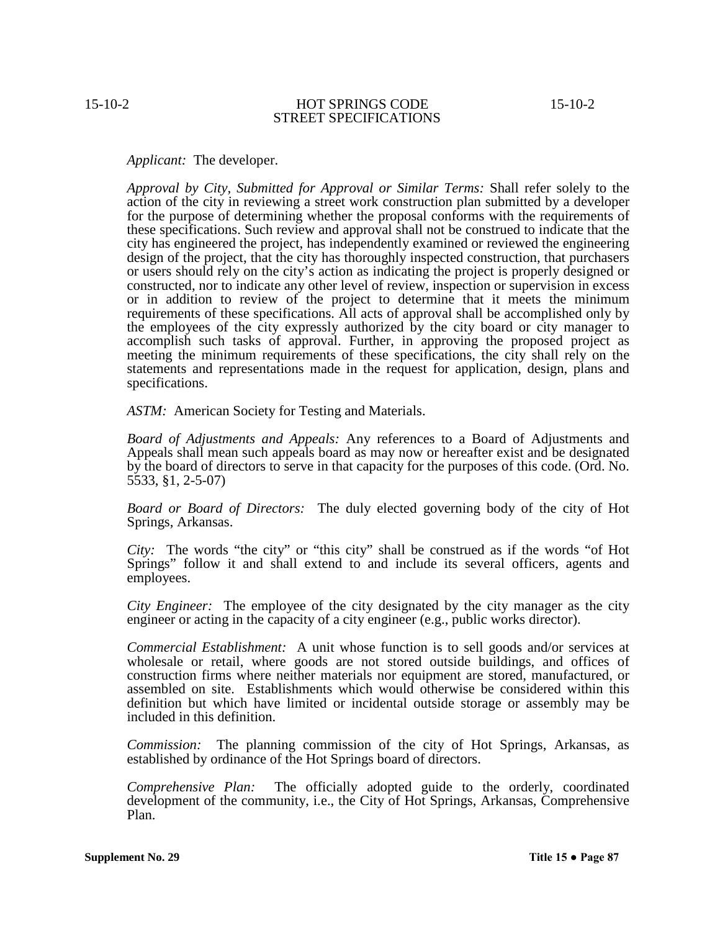*Applicant:* The developer.

*Approval by City, Submitted for Approval or Similar Terms:* Shall refer solely to the action of the city in reviewing a street work construction plan submitted by a developer for the purpose of determining whether the proposal conforms with the requirements of these specifications. Such review and approval shall not be construed to indicate that the city has engineered the project, has independently examined or reviewed the engineering design of the project, that the city has thoroughly inspected construction, that purchasers or users should rely on the city's action as indicating the project is properly designed or constructed, nor to indicate any other level of review, inspection or supervision in excess or in addition to review of the project to determine that it meets the minimum requirements of these specifications. All acts of approval shall be accomplished only by the employees of the city expressly authorized by the city board or city manager to accomplish such tasks of approval. Further, in approving the proposed project as meeting the minimum requirements of these specifications, the city shall rely on the statements and representations made in the request for application, design, plans and specifications.

*ASTM:* American Society for Testing and Materials.

*Board of Adjustments and Appeals:* Any references to a Board of Adjustments and Appeals shall mean such appeals board as may now or hereafter exist and be designated by the board of directors to serve in that capacity for the purposes of this code. (Ord. No. 5533, §1, 2-5-07)

*Board or Board of Directors:* The duly elected governing body of the city of Hot Springs, Arkansas.

*City:* The words "the city" or "this city" shall be construed as if the words "of Hot Springs" follow it and shall extend to and include its several officers, agents and employees.

*City Engineer:* The employee of the city designated by the city manager as the city engineer or acting in the capacity of a city engineer (e.g., public works director).

*Commercial Establishment:* A unit whose function is to sell goods and/or services at wholesale or retail, where goods are not stored outside buildings, and offices of construction firms where neither materials nor equipment are stored, manufactured, or assembled on site. Establishments which would otherwise be considered within this definition but which have limited or incidental outside storage or assembly may be included in this definition.

*Commission:* The planning commission of the city of Hot Springs, Arkansas, as established by ordinance of the Hot Springs board of directors.

*Comprehensive Plan:* The officially adopted guide to the orderly, coordinated development of the community, i.e., the City of Hot Springs, Arkansas, Comprehensive Plan.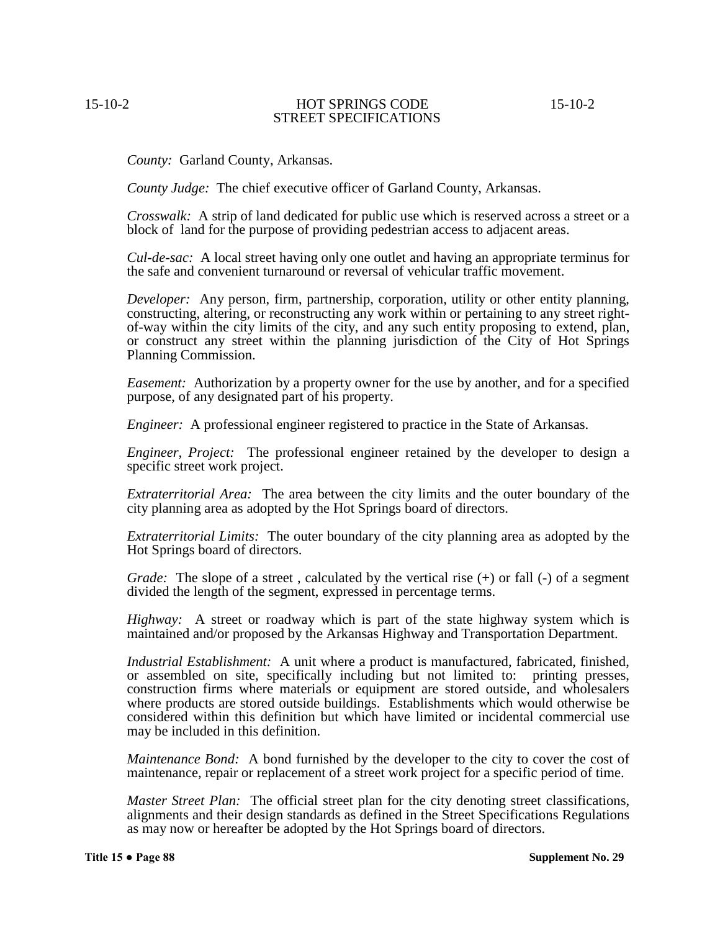*County:* Garland County, Arkansas.

*County Judge:* The chief executive officer of Garland County, Arkansas.

*Crosswalk:* A strip of land dedicated for public use which is reserved across a street or a block of land for the purpose of providing pedestrian access to adjacent areas.

*Cul-de-sac:* A local street having only one outlet and having an appropriate terminus for the safe and convenient turnaround or reversal of vehicular traffic movement.

*Developer:* Any person, firm, partnership, corporation, utility or other entity planning, constructing, altering, or reconstructing any work within or pertaining to any street rightof-way within the city limits of the city, and any such entity proposing to extend, plan, or construct any street within the planning jurisdiction of the City of Hot Springs Planning Commission.

*Easement:* Authorization by a property owner for the use by another, and for a specified purpose, of any designated part of his property.

*Engineer:* A professional engineer registered to practice in the State of Arkansas.

*Engineer, Project:* The professional engineer retained by the developer to design a specific street work project.

*Extraterritorial Area:* The area between the city limits and the outer boundary of the city planning area as adopted by the Hot Springs board of directors.

*Extraterritorial Limits:* The outer boundary of the city planning area as adopted by the Hot Springs board of directors.

*Grade:* The slope of a street, calculated by the vertical rise  $(+)$  or fall  $(-)$  of a segment divided the length of the segment, expressed in percentage terms.

*Highway:* A street or roadway which is part of the state highway system which is maintained and/or proposed by the Arkansas Highway and Transportation Department.

*Industrial Establishment:* A unit where a product is manufactured, fabricated, finished, or assembled on site, specifically including but not limited to: printing presses, construction firms where materials or equipment are stored outside, and wholesalers where products are stored outside buildings. Establishments which would otherwise be considered within this definition but which have limited or incidental commercial use may be included in this definition.

*Maintenance Bond:* A bond furnished by the developer to the city to cover the cost of maintenance, repair or replacement of a street work project for a specific period of time.

*Master Street Plan:* The official street plan for the city denoting street classifications. alignments and their design standards as defined in the Street Specifications Regulations as may now or hereafter be adopted by the Hot Springs board of directors.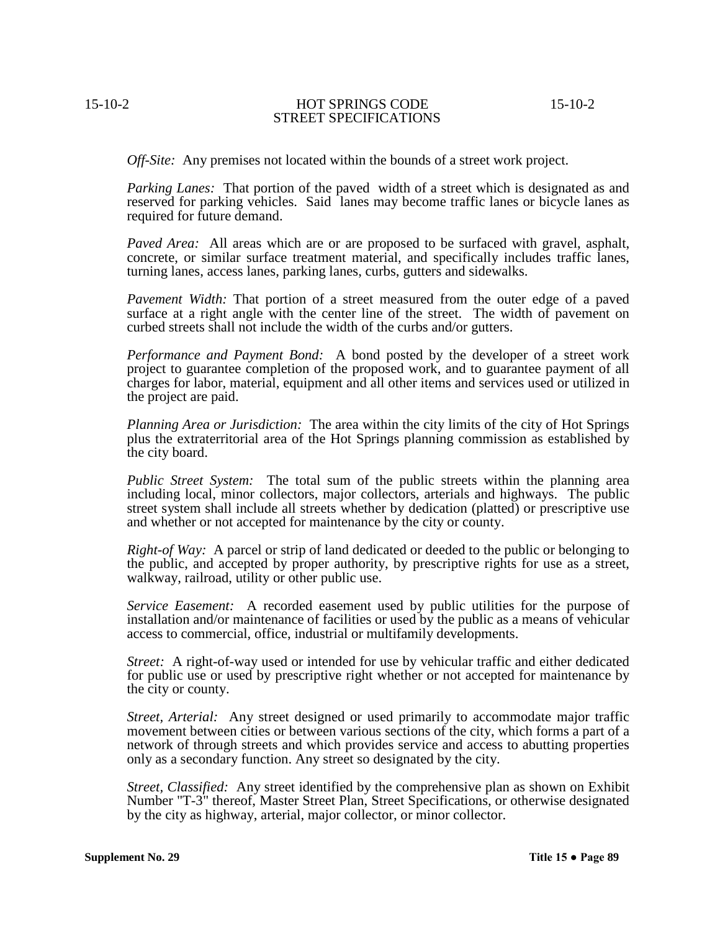*Off-Site:* Any premises not located within the bounds of a street work project.

*Parking Lanes:* That portion of the paved width of a street which is designated as and reserved for parking vehicles. Said lanes may become traffic lanes or bicycle lanes as required for future demand.

*Paved Area:* All areas which are or are proposed to be surfaced with gravel, asphalt, concrete, or similar surface treatment material, and specifically includes traffic lanes, turning lanes, access lanes, parking lanes, curbs, gutters and sidewalks.

*Pavement Width:* That portion of a street measured from the outer edge of a paved surface at a right angle with the center line of the street. The width of pavement on curbed streets shall not include the width of the curbs and/or gutters.

*Performance and Payment Bond:* A bond posted by the developer of a street work project to guarantee completion of the proposed work, and to guarantee payment of all charges for labor, material, equipment and all other items and services used or utilized in the project are paid.

*Planning Area or Jurisdiction:* The area within the city limits of the city of Hot Springs plus the extraterritorial area of the Hot Springs planning commission as established by the city board.

*Public Street System:* The total sum of the public streets within the planning area including local, minor collectors, major collectors, arterials and highways. The public street system shall include all streets whether by dedication (platted) or prescriptive use and whether or not accepted for maintenance by the city or county.

*Right-of Way:* A parcel or strip of land dedicated or deeded to the public or belonging to the public, and accepted by proper authority, by prescriptive rights for use as a street, walkway, railroad, utility or other public use.

*Service Easement:* A recorded easement used by public utilities for the purpose of installation and/or maintenance of facilities or used by the public as a means of vehicular access to commercial, office, industrial or multifamily developments.

*Street:* A right-of-way used or intended for use by vehicular traffic and either dedicated for public use or used by prescriptive right whether or not accepted for maintenance by the city or county.

*Street, Arterial:* Any street designed or used primarily to accommodate major traffic movement between cities or between various sections of the city, which forms a part of a network of through streets and which provides service and access to abutting properties only as a secondary function. Any street so designated by the city.

*Street, Classified:* Any street identified by the comprehensive plan as shown on Exhibit Number "T-3" thereof, Master Street Plan, Street Specifications, or otherwise designated by the city as highway, arterial, major collector, or minor collector.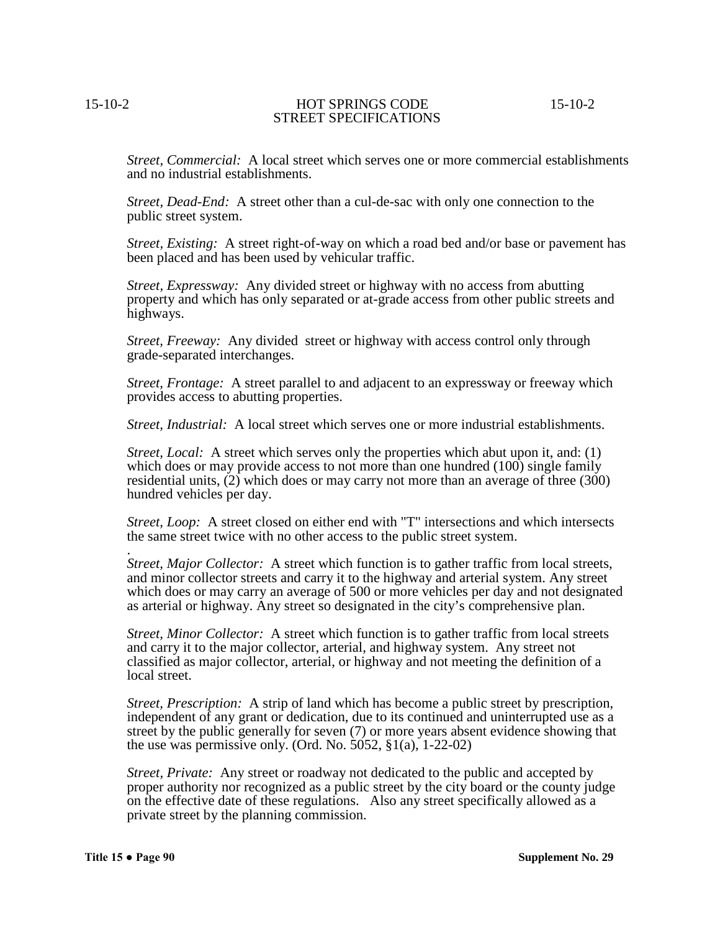*Street, Commercial:* A local street which serves one or more commercial establishments and no industrial establishments.

*Street, Dead-End:* A street other than a cul-de-sac with only one connection to the public street system.

*Street, Existing:* A street right-of-way on which a road bed and/or base or pavement has been placed and has been used by vehicular traffic.

*Street, Expressway:* Any divided street or highway with no access from abutting property and which has only separated or at-grade access from other public streets and highways.

*Street, Freeway:* Any divided street or highway with access control only through grade-separated interchanges.

*Street, Frontage:* A street parallel to and adjacent to an expressway or freeway which provides access to abutting properties.

*Street, Industrial:* A local street which serves one or more industrial establishments.

*Street, Local:* A street which serves only the properties which abut upon it, and: (1) which does or may provide access to not more than one hundred (100) single family residential units, (2) which does or may carry not more than an average of three (300) hundred vehicles per day.

*Street, Loop:* A street closed on either end with "T" intersections and which intersects the same street twice with no other access to the public street system.

. *Street, Major Collector:* A street which function is to gather traffic from local streets, and minor collector streets and carry it to the highway and arterial system. Any street which does or may carry an average of 500 or more vehicles per day and not designated as arterial or highway. Any street so designated in the city's comprehensive plan.

*Street, Minor Collector:* A street which function is to gather traffic from local streets and carry it to the major collector, arterial, and highway system. Any street not classified as major collector, arterial, or highway and not meeting the definition of a local street.

*Street, Prescription:* A strip of land which has become a public street by prescription, independent of any grant or dedication, due to its continued and uninterrupted use as a street by the public generally for seven (7) or more years absent evidence showing that the use was permissive only. (Ord. No.  $5052$ ,  $\S1(a)$ ,  $1-22-02$ )

*Street, Private:* Any street or roadway not dedicated to the public and accepted by proper authority nor recognized as a public street by the city board or the county judge on the effective date of these regulations. Also any street specifically allowed as a private street by the planning commission.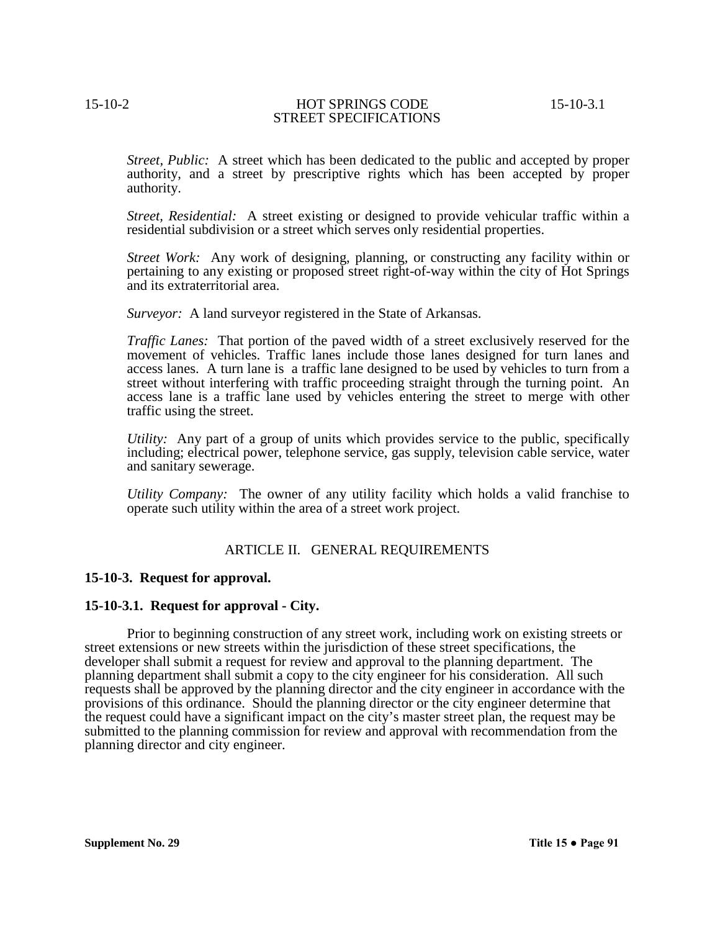*Street, Public:* A street which has been dedicated to the public and accepted by proper authority, and a street by prescriptive rights which has been accepted by proper authority.

*Street, Residential:* A street existing or designed to provide vehicular traffic within a residential subdivision or a street which serves only residential properties.

*Street Work:* Any work of designing, planning, or constructing any facility within or pertaining to any existing or proposed street right-of-way within the city of Hot Springs and its extraterritorial area.

*Surveyor:* A land surveyor registered in the State of Arkansas.

*Traffic Lanes:* That portion of the paved width of a street exclusively reserved for the movement of vehicles. Traffic lanes include those lanes designed for turn lanes and access lanes. A turn lane is a traffic lane designed to be used by vehicles to turn from a street without interfering with traffic proceeding straight through the turning point. An access lane is a traffic lane used by vehicles entering the street to merge with other traffic using the street.

*Utility:* Any part of a group of units which provides service to the public, specifically including; electrical power, telephone service, gas supply, television cable service, water and sanitary sewerage.

*Utility Company:* The owner of any utility facility which holds a valid franchise to operate such utility within the area of a street work project.

# ARTICLE II. GENERAL REQUIREMENTS

# **15-10-3. Request for approval.**

### **15-10-3.1. Request for approval - City.**

Prior to beginning construction of any street work, including work on existing streets or street extensions or new streets within the jurisdiction of these street specifications, the developer shall submit a request for review and approval to the planning department. The planning department shall submit a copy to the city engineer for his consideration. All such requests shall be approved by the planning director and the city engineer in accordance with the provisions of this ordinance. Should the planning director or the city engineer determine that the request could have a significant impact on the city's master street plan, the request may be submitted to the planning commission for review and approval with recommendation from the planning director and city engineer.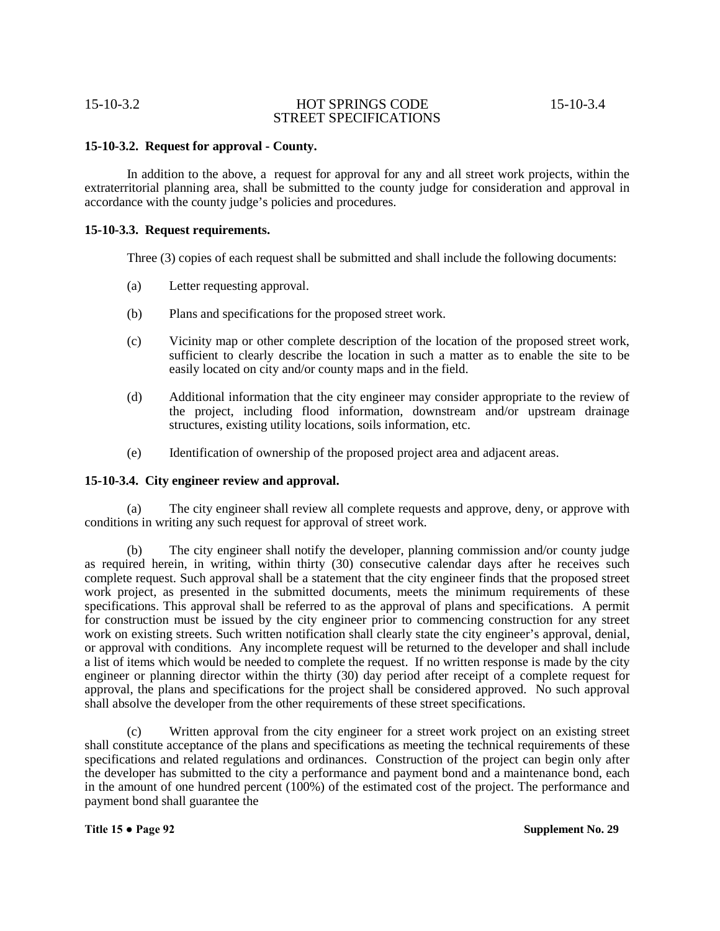# **15-10-3.2. Request for approval - County.**

In addition to the above, a request for approval for any and all street work projects, within the extraterritorial planning area, shall be submitted to the county judge for consideration and approval in accordance with the county judge's policies and procedures.

### **15-10-3.3. Request requirements.**

Three (3) copies of each request shall be submitted and shall include the following documents:

- (a) Letter requesting approval.
- (b) Plans and specifications for the proposed street work.
- (c) Vicinity map or other complete description of the location of the proposed street work, sufficient to clearly describe the location in such a matter as to enable the site to be easily located on city and/or county maps and in the field.
- (d) Additional information that the city engineer may consider appropriate to the review of the project, including flood information, downstream and/or upstream drainage structures, existing utility locations, soils information, etc.
- (e) Identification of ownership of the proposed project area and adjacent areas.

### **15-10-3.4. City engineer review and approval.**

(a) The city engineer shall review all complete requests and approve, deny, or approve with conditions in writing any such request for approval of street work.

(b) The city engineer shall notify the developer, planning commission and/or county judge as required herein, in writing, within thirty (30) consecutive calendar days after he receives such complete request. Such approval shall be a statement that the city engineer finds that the proposed street work project, as presented in the submitted documents, meets the minimum requirements of these specifications. This approval shall be referred to as the approval of plans and specifications. A permit for construction must be issued by the city engineer prior to commencing construction for any street work on existing streets. Such written notification shall clearly state the city engineer's approval, denial, or approval with conditions. Any incomplete request will be returned to the developer and shall include a list of items which would be needed to complete the request. If no written response is made by the city engineer or planning director within the thirty (30) day period after receipt of a complete request for approval, the plans and specifications for the project shall be considered approved. No such approval shall absolve the developer from the other requirements of these street specifications.

(c) Written approval from the city engineer for a street work project on an existing street shall constitute acceptance of the plans and specifications as meeting the technical requirements of these specifications and related regulations and ordinances. Construction of the project can begin only after the developer has submitted to the city a performance and payment bond and a maintenance bond, each in the amount of one hundred percent (100%) of the estimated cost of the project. The performance and payment bond shall guarantee the

**Title 15 ● Page 92 Supplement No. 29**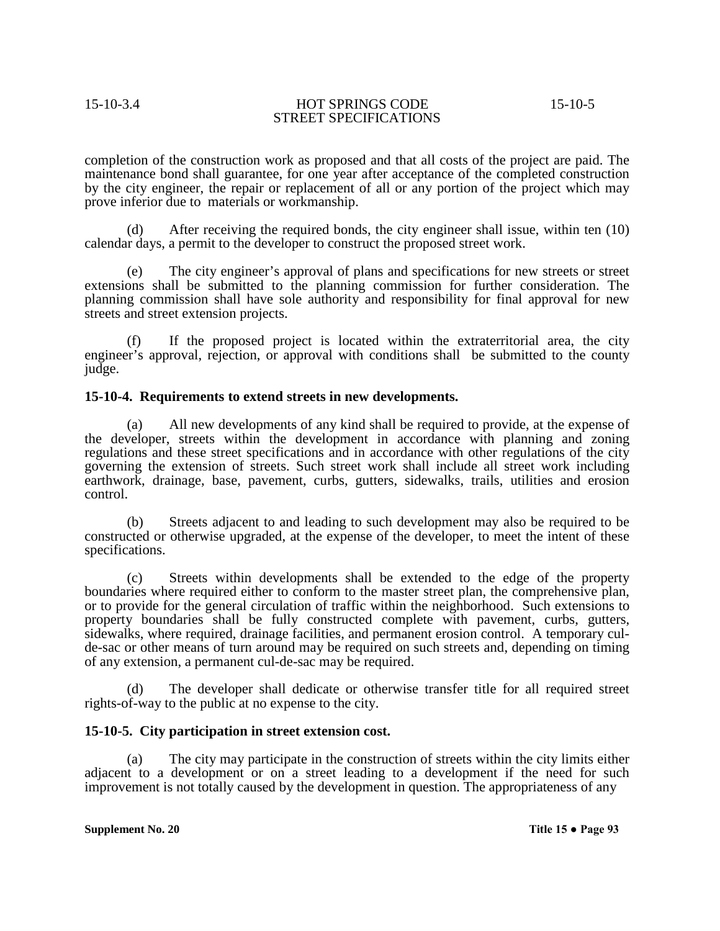completion of the construction work as proposed and that all costs of the project are paid. The maintenance bond shall guarantee, for one year after acceptance of the completed construction by the city engineer, the repair or replacement of all or any portion of the project which may prove inferior due to materials or workmanship.

(d) After receiving the required bonds, the city engineer shall issue, within ten (10) calendar days, a permit to the developer to construct the proposed street work.

(e) The city engineer's approval of plans and specifications for new streets or street extensions shall be submitted to the planning commission for further consideration. The planning commission shall have sole authority and responsibility for final approval for new streets and street extension projects.

(f) If the proposed project is located within the extraterritorial area, the city engineer's approval, rejection, or approval with conditions shall be submitted to the county judge.

### **15-10-4. Requirements to extend streets in new developments.**

(a) All new developments of any kind shall be required to provide, at the expense of the developer, streets within the development in accordance with planning and zoning regulations and these street specifications and in accordance with other regulations of the city governing the extension of streets. Such street work shall include all street work including earthwork, drainage, base, pavement, curbs, gutters, sidewalks, trails, utilities and erosion control.

(b) Streets adjacent to and leading to such development may also be required to be constructed or otherwise upgraded, at the expense of the developer, to meet the intent of these specifications.

(c) Streets within developments shall be extended to the edge of the property boundaries where required either to conform to the master street plan, the comprehensive plan, or to provide for the general circulation of traffic within the neighborhood. Such extensions to property boundaries shall be fully constructed complete with pavement, curbs, gutters, sidewalks, where required, drainage facilities, and permanent erosion control. A temporary cul- de-sac or other means of turn around may be required on such streets and, depending on timing of any extension, a permanent cul-de-sac may be required.

(d) The developer shall dedicate or otherwise transfer title for all required street rights-of-way to the public at no expense to the city.

### **15-10-5. City participation in street extension cost.**

(a) The city may participate in the construction of streets within the city limits either adjacent to a development or on a street leading to a development if the need for such improvement is not totally caused by the development in question. The appropriateness of any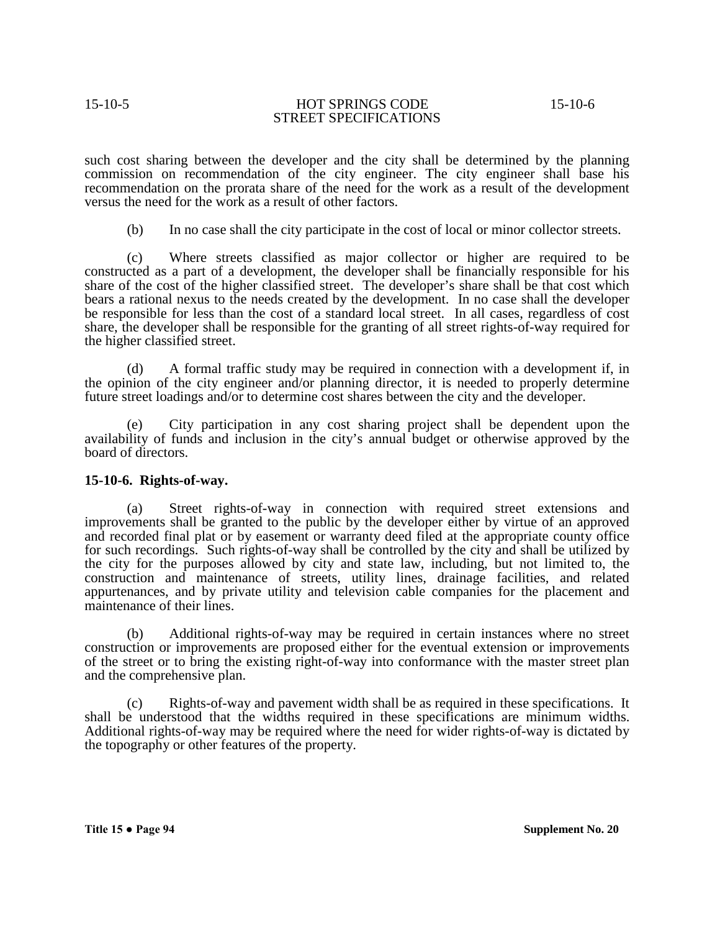such cost sharing between the developer and the city shall be determined by the planning commission on recommendation of the city engineer. The city engineer shall base his recommendation on the prorata share of the need for the work as a result of the development versus the need for the work as a result of other factors.

(b) In no case shall the city participate in the cost of local or minor collector streets.

(c) Where streets classified as major collector or higher are required to be constructed as a part of a development, the developer shall be financially responsible for his share of the cost of the higher classified street. The developer's share shall be that cost which bears a rational nexus to the needs created by the development. In no case shall the developer be responsible for less than the cost of a standard local street. In all cases, regardless of cost share, the developer shall be responsible for the granting of all street rights-of-way required for the higher classified street.

(d) A formal traffic study may be required in connection with a development if, in the opinion of the city engineer and/or planning director, it is needed to properly determine future street loadings and/or to determine cost shares between the city and the developer.

(e) City participation in any cost sharing project shall be dependent upon the availability of funds and inclusion in the city's annual budget or otherwise approved by the board of directors.

# **15-10-6. Rights-of-way.**

(a) Street rights-of-way in connection with required street extensions and improvements shall be granted to the public by the developer either by virtue of an approved and recorded final plat or by easement or warranty deed filed at the appropriate county office for such recordings. Such rights-of-way shall be controlled by the city and shall be utilized by the city for the purposes allowed by city and state law, including, but not limited to, the construction and maintenance of streets, utility lines, drainage facilities, and related appurtenances, and by private utility and television cable companies for the placement and maintenance of their lines.

(b) Additional rights-of-way may be required in certain instances where no street construction or improvements are proposed either for the eventual extension or improvements of the street or to bring the existing right-of-way into conformance with the master street plan and the comprehensive plan.

Rights-of-way and pavement width shall be as required in these specifications. It shall be understood that the widths required in these specifications are minimum widths. Additional rights-of-way may be required where the need for wider rights-of-way is dictated by the topography or other features of the property.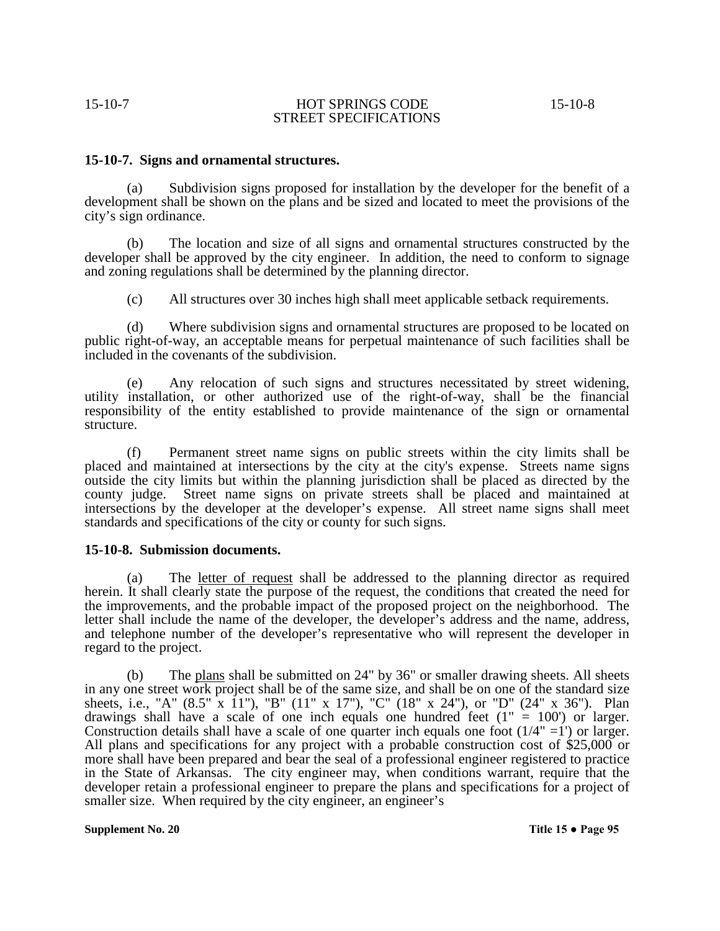# **15-10-7. Signs and ornamental structures.**

(a) Subdivision signs proposed for installation by the developer for the benefit of a development shall be shown on the plans and be sized and located to meet the provisions of the city's sign ordinance.

(b) The location and size of all signs and ornamental structures constructed by the developer shall be approved by the city engineer. In addition, the need to conform to signage and zoning regulations shall be determined by the planning director.

(c) All structures over 30 inches high shall meet applicable setback requirements.

(d) Where subdivision signs and ornamental structures are proposed to be located on public right-of-way, an acceptable means for perpetual maintenance of such facilities shall be included in the covenants of the subdivision.

(e) Any relocation of such signs and structures necessitated by street widening, utility installation, or other authorized use of the right-of-way, shall be the financial responsibility of the entity established to provide maintenance of the sign or ornamental structure.

(f) Permanent street name signs on public streets within the city limits shall be placed and maintained at intersections by the city at the city's expense. Streets name signs outside the city limits but within the planning jurisdiction shall be placed as directed by the county judge. Street name signs on private streets shall be placed and maintained at intersections by the developer at the developer's expense. All street name signs shall meet standards and specifications of the city or county for such signs.

# **15-10-8. Submission documents.**

(a) The letter of request shall be addressed to the planning director as required herein. It shall clearly state the purpose of the request, the conditions that created the need for the improvements, and the probable impact of the proposed project on the neighborhood. The letter shall include the name of the developer, the developer's address and the name, address, and telephone number of the developer's representative who will represent the developer in regard to the project.

(b) The plans shall be submitted on 24" by 36" or smaller drawing sheets. All sheets in any one street work project shall be of the same size, and shall be on one of the standard size sheets, i.e., "A" (8.5" x 11"), "B" (11" x 17"), "C" (18" x 24"), or "D" (24" x 36"). Plan drawings shall have a scale of one inch equals one hundred feet  $(1" = 100')$  or larger. Construction details shall have a scale of one quarter inch equals one foot  $(1/4" = 1')$  or larger. All plans and specifications for any project with a probable construction cost of \$25,000 or more shall have been prepared and bear the seal of a professional engineer registered to practice in the State of Arkansas. The city engineer may, when conditions warrant, require that the developer retain a professional engineer to prepare the plans and specifications for a project of smaller size. When required by the city engineer, an engineer's

**Supplement No. 20 Title 15 • Page 95**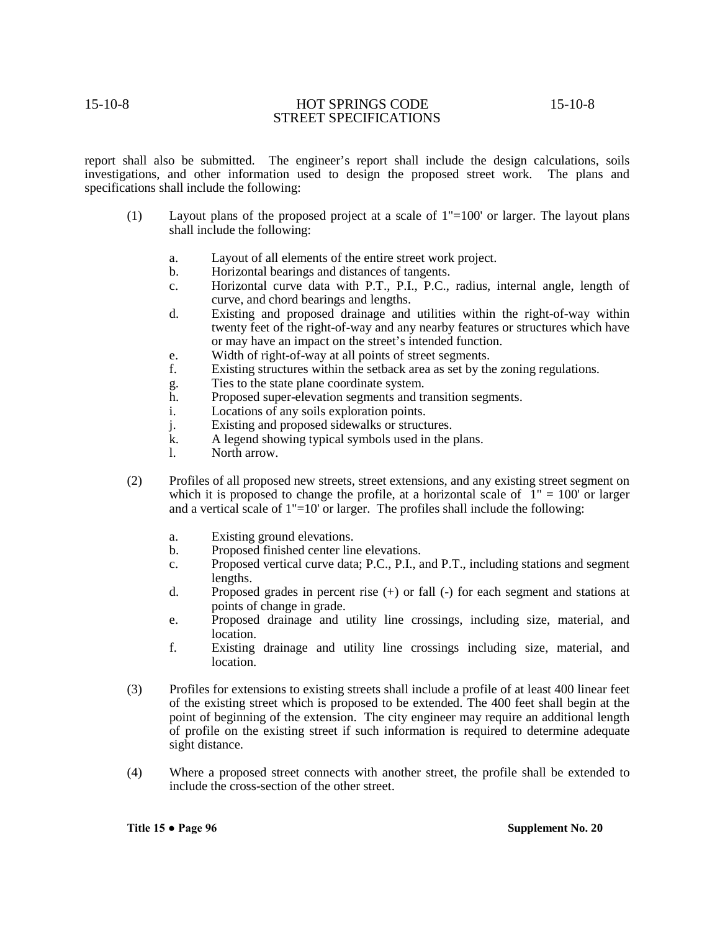report shall also be submitted. The engineer's report shall include the design calculations, soils investigations, and other information used to design the proposed street work. The plans and specifications shall include the following:

- (1) Layout plans of the proposed project at a scale of 1"=100' or larger. The layout plans shall include the following:
	- a. Layout of all elements of the entire street work project.
	- b. Horizontal bearings and distances of tangents.
	- c. Horizontal curve data with P.T., P.I., P.C., radius, internal angle, length of curve, and chord bearings and lengths.
	- d. Existing and proposed drainage and utilities within the right-of-way within twenty feet of the right-of-way and any nearby features or structures which have or may have an impact on the street's intended function.
	- e. Width of right-of-way at all points of street segments.
	- f. Existing structures within the setback area as set by the zoning regulations.
	- g. Ties to the state plane coordinate system.
	- h. Proposed super-elevation segments and transition segments.
	- i. Locations of any soils exploration points.
	- j. Existing and proposed sidewalks or structures.<br>
	k. A legend showing typical symbols used in the p
	- k. A legend showing typical symbols used in the plans.<br>
	North arrow
	- North arrow.
- (2) Profiles of all proposed new streets, street extensions, and any existing street segment on which it is proposed to change the profile, at a horizontal scale of  $1" = 100'$  or larger and a vertical scale of  $1"=10'$  or larger. The profiles shall include the following:
	- a. Existing ground elevations.
	- b. Proposed finished center line elevations.
	- c. Proposed vertical curve data; P.C., P.I., and P.T., including stations and segment lengths.
	- d. Proposed grades in percent rise (+) or fall (-) for each segment and stations at points of change in grade.
	- e. Proposed drainage and utility line crossings, including size, material, and location.
	- f. Existing drainage and utility line crossings including size, material, and location.
- (3) Profiles for extensions to existing streets shall include a profile of at least 400 linear feet of the existing street which is proposed to be extended. The 400 feet shall begin at the point of beginning of the extension. The city engineer may require an additional length of profile on the existing street if such information is required to determine adequate sight distance.
- (4) Where a proposed street connects with another street, the profile shall be extended to include the cross-section of the other street.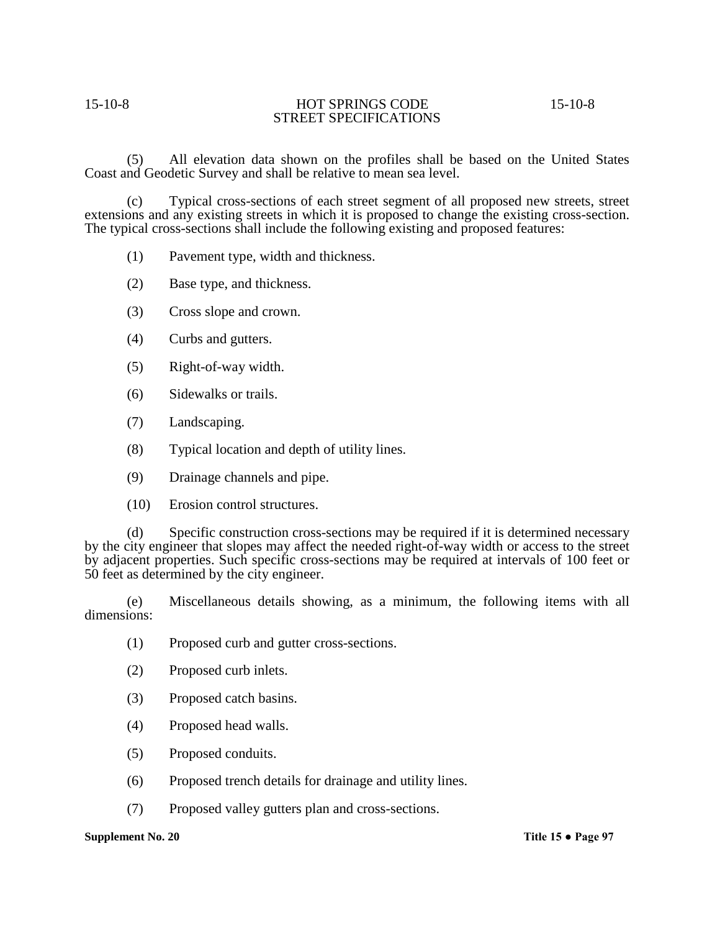(5) All elevation data shown on the profiles shall be based on the United States Coast and Geodetic Survey and shall be relative to mean sea level.

(c) Typical cross-sections of each street segment of all proposed new streets, street extensions and any existing streets in which it is proposed to change the existing cross-section. The typical cross-sections shall include the following existing and proposed features:

- (1) Pavement type, width and thickness.
- (2) Base type, and thickness.
- (3) Cross slope and crown.
- (4) Curbs and gutters.
- (5) Right-of-way width.
- (6) Sidewalks or trails.
- (7) Landscaping.
- (8) Typical location and depth of utility lines.
- (9) Drainage channels and pipe.
- (10) Erosion control structures.

(d) Specific construction cross-sections may be required if it is determined necessary by the city engineer that slopes may affect the needed right-of-way width or access to the street by adjacent properties. Such specific cross-sections may be required at intervals of 100 feet or 50 feet as determined by the city engineer.

(e) Miscellaneous details showing, as a minimum, the following items with all dimensions:

- (1) Proposed curb and gutter cross-sections.
- (2) Proposed curb inlets.
- (3) Proposed catch basins.
- (4) Proposed head walls.
- (5) Proposed conduits.
- (6) Proposed trench details for drainage and utility lines.
- (7) Proposed valley gutters plan and cross-sections.

### **Supplement No. 20 Title 15 • Page 97**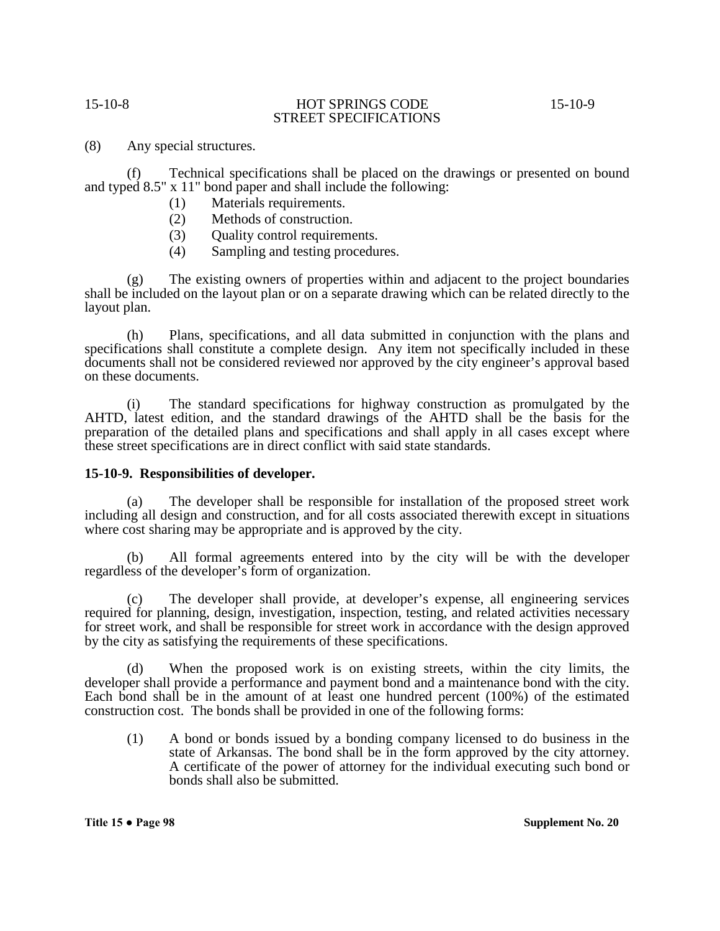(8) Any special structures.

(f) Technical specifications shall be placed on the drawings or presented on bound and typed 8.5" x 11" bond paper and shall include the following:

- (1) Materials requirements.
- (2) Methods of construction.
- (3) Quality control requirements.
- (4) Sampling and testing procedures.

(g) The existing owners of properties within and adjacent to the project boundaries shall be included on the layout plan or on a separate drawing which can be related directly to the layout plan.

(h) Plans, specifications, and all data submitted in conjunction with the plans and specifications shall constitute a complete design. Any item not specifically included in these documents shall not be considered reviewed nor approved by the city engineer's approval based on these documents.

(i) The standard specifications for highway construction as promulgated by the AHTD, latest edition, and the standard drawings of the AHTD shall be the basis for the preparation of the detailed plans and specifications and shall apply in all cases except where these street specifications are in direct conflict with said state standards.

### **15-10-9. Responsibilities of developer.**

(a) The developer shall be responsible for installation of the proposed street work including all design and construction, and for all costs associated therewith except in situations where cost sharing may be appropriate and is approved by the city.

(b) All formal agreements entered into by the city will be with the developer regardless of the developer's form of organization.

(c) The developer shall provide, at developer's expense, all engineering services required for planning, design, investigation, inspection, testing, and related activities necessary for street work, and shall be responsible for street work in accordance with the design approved by the city as satisfying the requirements of these specifications.

(d) When the proposed work is on existing streets, within the city limits, the developer shall provide a performance and payment bond and a maintenance bond with the city. Each bond shall be in the amount of at least one hundred percent (100%) of the estimated construction cost. The bonds shall be provided in one of the following forms:

(1) A bond or bonds issued by a bonding company licensed to do business in the state of Arkansas. The bond shall be in the form approved by the city attorney. A certificate of the power of attorney for the individual executing such bond or bonds shall also be submitted.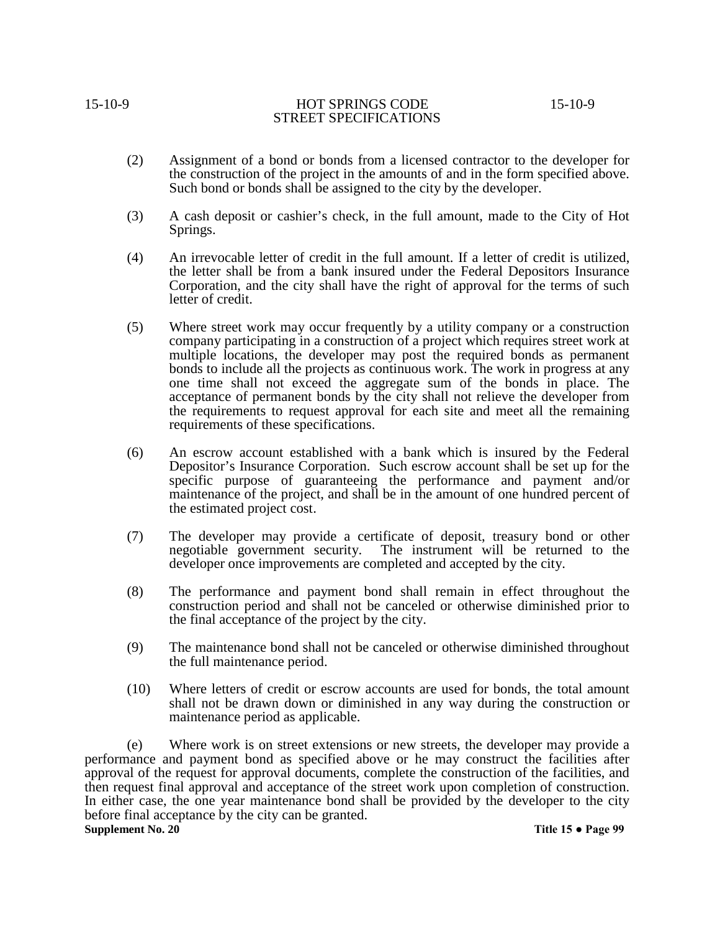15-10-9 HOT SPRINGS CODE 15-10-9

# STREET SPECIFICATIONS

- (2) Assignment of a bond or bonds from a licensed contractor to the developer for the construction of the project in the amounts of and in the form specified above. Such bond or bonds shall be assigned to the city by the developer.
- (3) A cash deposit or cashier's check, in the full amount, made to the City of Hot Springs.
- (4) An irrevocable letter of credit in the full amount. If a letter of credit is utilized, the letter shall be from a bank insured under the Federal Depositors Insurance Corporation, and the city shall have the right of approval for the terms of such letter of credit.
- (5) Where street work may occur frequently by a utility company or a construction company participating in a construction of a project which requires street work at multiple locations, the developer may post the required bonds as permanent bonds to include all the projects as continuous work. The work in progress at any one time shall not exceed the aggregate sum of the bonds in place. The acceptance of permanent bonds by the city shall not relieve the developer from the requirements to request approval for each site and meet all the remaining requirements of these specifications.
- (6) An escrow account established with a bank which is insured by the Federal Depositor's Insurance Corporation. Such escrow account shall be set up for the specific purpose of guaranteeing the performance and payment and/or maintenance of the project, and shall be in the amount of one hundred percent of the estimated project cost.
- (7) The developer may provide a certificate of deposit, treasury bond or other negotiable government security. The instrument will be returned to the developer once improvements are completed and accepted by the city.
- (8) The performance and payment bond shall remain in effect throughout the construction period and shall not be canceled or otherwise diminished prior to the final acceptance of the project by the city.
- (9) The maintenance bond shall not be canceled or otherwise diminished throughout the full maintenance period.
- (10) Where letters of credit or escrow accounts are used for bonds, the total amount shall not be drawn down or diminished in any way during the construction or maintenance period as applicable.

(e) Where work is on street extensions or new streets, the developer may provide a performance and payment bond as specified above or he may construct the facilities after approval of the request for approval documents, complete the construction of the facilities, and then request final approval and acceptance of the street work upon completion of construction. In either case, the one year maintenance bond shall be provided by the developer to the city before final acceptance by the city can be granted. **Supplement No. 20 Title 15 ● Page 99**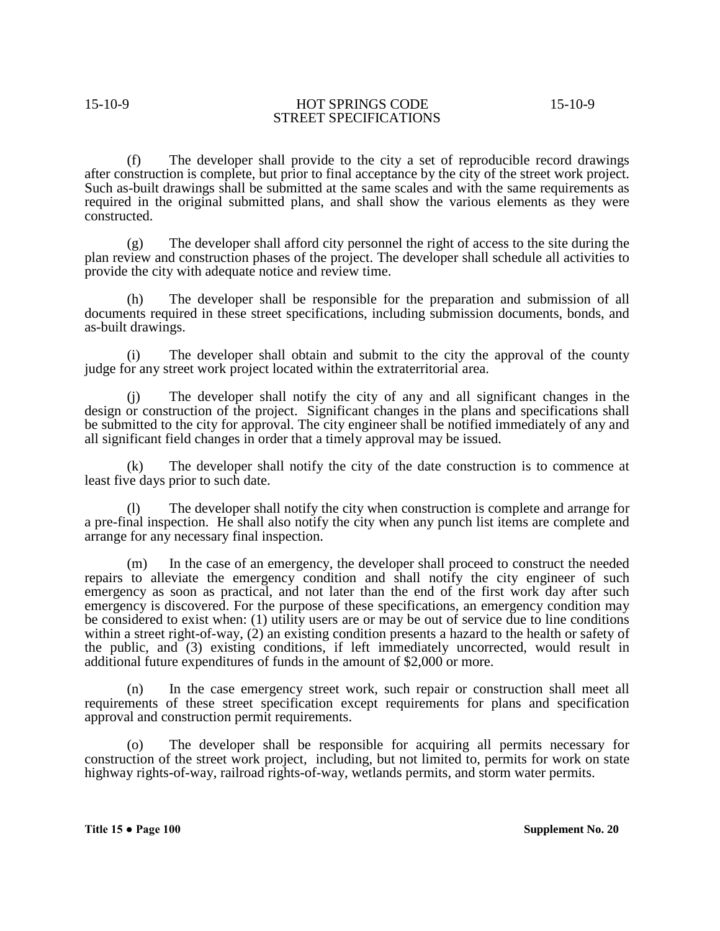(f) The developer shall provide to the city a set of reproducible record drawings after construction is complete, but prior to final acceptance by the city of the street work project. Such as-built drawings shall be submitted at the same scales and with the same requirements as required in the original submitted plans, and shall show the various elements as they were constructed.

(g) The developer shall afford city personnel the right of access to the site during the plan review and construction phases of the project. The developer shall schedule all activities to provide the city with adequate notice and review time.

(h) The developer shall be responsible for the preparation and submission of all documents required in these street specifications, including submission documents, bonds, and as-built drawings.

(i) The developer shall obtain and submit to the city the approval of the county judge for any street work project located within the extraterritorial area.

(j) The developer shall notify the city of any and all significant changes in the design or construction of the project. Significant changes in the plans and specifications shall be submitted to the city for approval. The city engineer shall be notified immediately of any and all significant field changes in order that a timely approval may be issued.

(k) The developer shall notify the city of the date construction is to commence at least five days prior to such date.

(l) The developer shall notify the city when construction is complete and arrange for a pre-final inspection. He shall also notify the city when any punch list items are complete and arrange for any necessary final inspection.

(m) In the case of an emergency, the developer shall proceed to construct the needed repairs to alleviate the emergency condition and shall notify the city engineer of such emergency as soon as practical, and not later than the end of the first work day after such emergency is discovered. For the purpose of these specifications, an emergency condition may be considered to exist when: (1) utility users are or may be out of service due to line conditions within a street right-of-way, (2) an existing condition presents a hazard to the health or safety of the public, and (3) existing conditions, if left immediately uncorrected, would result in additional future expenditures of funds in the amount of \$2,000 or more.

(n) In the case emergency street work, such repair or construction shall meet all requirements of these street specification except requirements for plans and specification approval and construction permit requirements.

(o) The developer shall be responsible for acquiring all permits necessary for construction of the street work project, including, but not limited to, permits for work on state highway rights-of-way, railroad rights-of-way, wetlands permits, and storm water permits.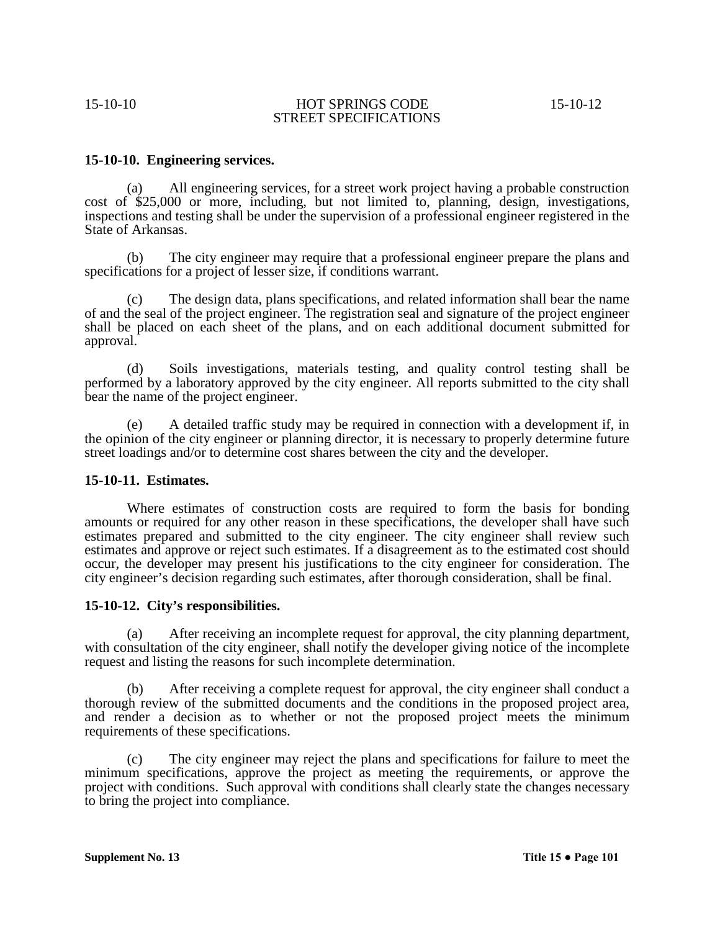# **15-10-10. Engineering services.**

(a) All engineering services, for a street work project having a probable construction cost of \$25,000 or more, including, but not limited to, planning, design, investigations, inspections and testing shall be under the supervision of a professional engineer registered in the State of Arkansas.

(b) The city engineer may require that a professional engineer prepare the plans and specifications for a project of lesser size, if conditions warrant.

(c) The design data, plans specifications, and related information shall bear the name of and the seal of the project engineer. The registration seal and signature of the project engineer shall be placed on each sheet of the plans, and on each additional document submitted for approval.

(d) Soils investigations, materials testing, and quality control testing shall be performed by a laboratory approved by the city engineer. All reports submitted to the city shall bear the name of the project engineer.

(e) A detailed traffic study may be required in connection with a development if, in the opinion of the city engineer or planning director, it is necessary to properly determine future street loadings and/or to determine cost shares between the city and the developer.

# **15-10-11. Estimates.**

Where estimates of construction costs are required to form the basis for bonding amounts or required for any other reason in these specifications, the developer shall have such estimates prepared and submitted to the city engineer. The city engineer shall review such estimates and approve or reject such estimates. If a disagreement as to the estimated cost should occur, the developer may present his justifications to the city engineer for consideration. The city engineer's decision regarding such estimates, after thorough consideration, shall be final.

# **15-10-12. City's responsibilities.**

(a) After receiving an incomplete request for approval, the city planning department, with consultation of the city engineer, shall notify the developer giving notice of the incomplete request and listing the reasons for such incomplete determination.

(b) After receiving a complete request for approval, the city engineer shall conduct a thorough review of the submitted documents and the conditions in the proposed project area, and render a decision as to whether or not the proposed project meets the minimum requirements of these specifications.

(c) The city engineer may reject the plans and specifications for failure to meet the minimum specifications, approve the project as meeting the requirements, or approve the project with conditions. Such approval with conditions shall clearly state the changes necessary to bring the project into compliance.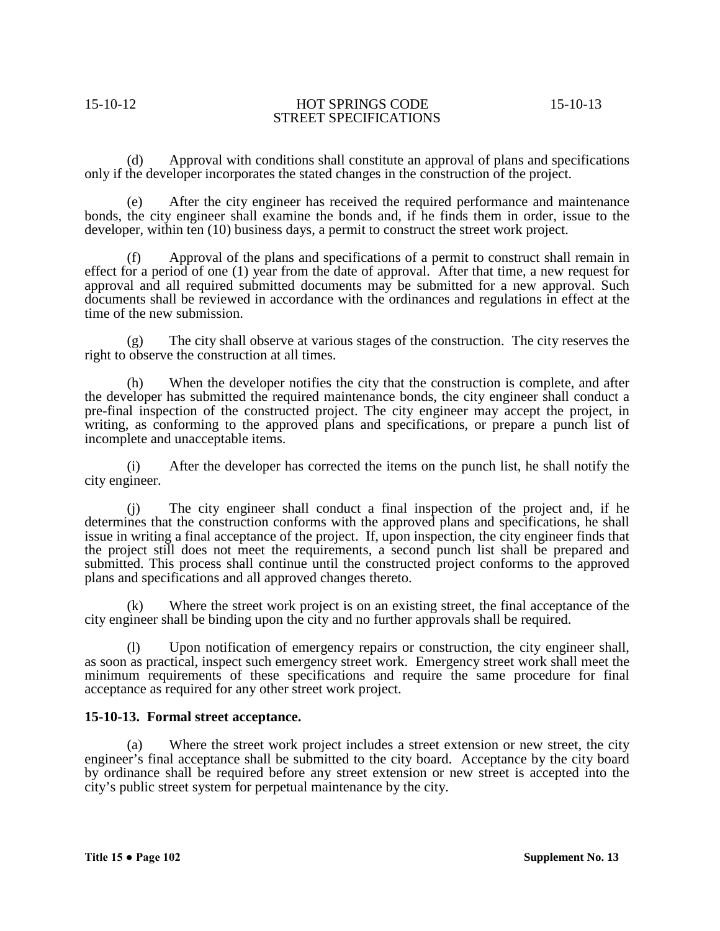(d) Approval with conditions shall constitute an approval of plans and specifications only if the developer incorporates the stated changes in the construction of the project.

(e) After the city engineer has received the required performance and maintenance bonds, the city engineer shall examine the bonds and, if he finds them in order, issue to the developer, within ten (10) business days, a permit to construct the street work project.

(f) Approval of the plans and specifications of a permit to construct shall remain in effect for a period of one (1) year from the date of approval. After that time, a new request for approval and all required submitted documents may be submitted for a new approval. Such documents shall be reviewed in accordance with the ordinances and regulations in effect at the time of the new submission.

(g) The city shall observe at various stages of the construction. The city reserves the right to observe the construction at all times.

(h) When the developer notifies the city that the construction is complete, and after the developer has submitted the required maintenance bonds, the city engineer shall conduct a pre-final inspection of the constructed project. The city engineer may accept the project, in writing, as conforming to the approved plans and specifications, or prepare a punch list of incomplete and unacceptable items.

(i) After the developer has corrected the items on the punch list, he shall notify the city engineer.

(j) The city engineer shall conduct a final inspection of the project and, if he determines that the construction conforms with the approved plans and specifications, he shall issue in writing a final acceptance of the project. If, upon inspection, the city engineer finds that the project still does not meet the requirements, a second punch list shall be prepared and submitted. This process shall continue until the constructed project conforms to the approved plans and specifications and all approved changes thereto.

(k) Where the street work project is on an existing street, the final acceptance of the city engineer shall be binding upon the city and no further approvals shall be required.

(l) Upon notification of emergency repairs or construction, the city engineer shall, as soon as practical, inspect such emergency street work. Emergency street work shall meet the minimum requirements of these specifications and require the same procedure for final acceptance as required for any other street work project.

# **15-10-13. Formal street acceptance.**

(a) Where the street work project includes a street extension or new street, the city engineer's final acceptance shall be submitted to the city board. Acceptance by the city board by ordinance shall be required before any street extension or new street is accepted into the city's public street system for perpetual maintenance by the city.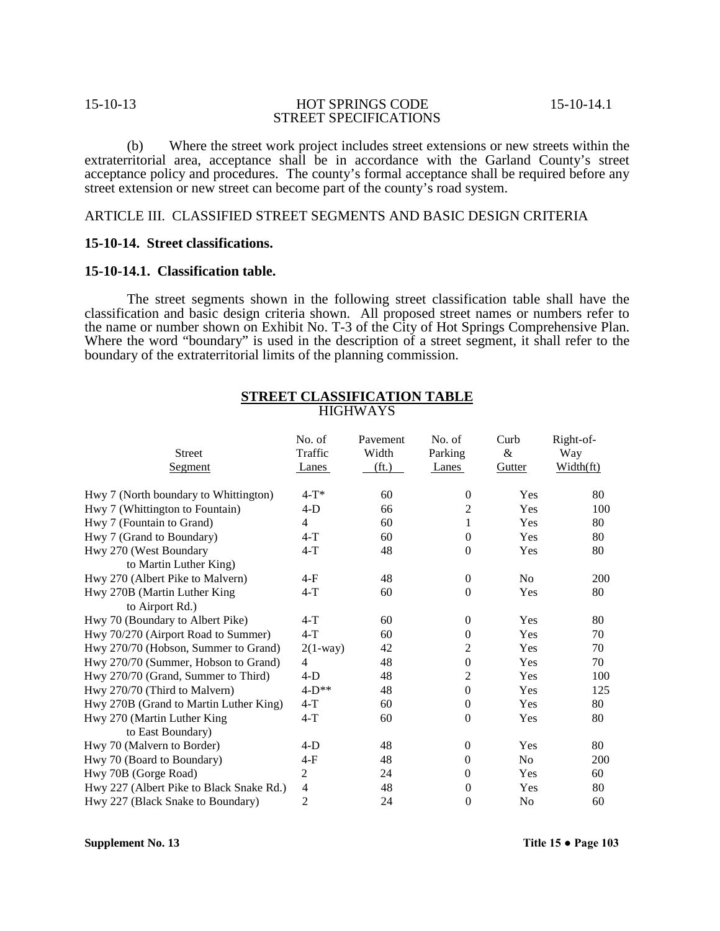(b) Where the street work project includes street extensions or new streets within the extraterritorial area, acceptance shall be in accordance with the Garland County's street acceptance policy and procedures. The county's formal acceptance shall be required before any street extension or new street can become part of the county's road system.

# ARTICLE III. CLASSIFIED STREET SEGMENTS AND BASIC DESIGN CRITERIA

# **15-10-14. Street classifications.**

# **15-10-14.1. Classification table.**

The street segments shown in the following street classification table shall have the classification and basic design criteria shown. All proposed street names or numbers refer to the name or number shown on Exhibit No. T-3 of the City of Hot Springs Comprehensive Plan. Where the word "boundary" is used in the description of a street segment, it shall refer to the boundary of the extraterritorial limits of the planning commission.

|                                                  |                            | CERDON ICRITOR TREDEL<br><b>HIGHWAYS</b> |                                   |                            |                                            |
|--------------------------------------------------|----------------------------|------------------------------------------|-----------------------------------|----------------------------|--------------------------------------------|
| <b>Street</b><br>Segment                         | No. of<br>Traffic<br>Lanes | Pavement<br>Width<br>(f <sub>t</sub> )   | No. of<br>Parking<br><b>Lanes</b> | Curb<br>&<br><u>Gutter</u> | Right-of-<br>Way<br>Width(f <sub>t</sub> ) |
| Hwy 7 (North boundary to Whittington)            | $4-T^*$                    | 60                                       | $\boldsymbol{0}$                  | Yes                        | 80                                         |
| Hwy 7 (Whittington to Fountain)                  | $4-D$                      | 66                                       | $\overline{2}$                    | Yes                        | 100                                        |
| Hwy 7 (Fountain to Grand)                        | $\overline{4}$             | 60                                       | $\mathbf 1$                       | Yes                        | 80                                         |
| Hwy 7 (Grand to Boundary)                        | $4-T$                      | 60                                       | $\boldsymbol{0}$                  | Yes                        | 80                                         |
| Hwy 270 (West Boundary<br>to Martin Luther King) | $4-T$                      | 48                                       | $\boldsymbol{0}$                  | Yes                        | 80                                         |
| Hwy 270 (Albert Pike to Malvern)                 | $4-F$                      | 48                                       | $\boldsymbol{0}$                  | N <sub>o</sub>             | 200                                        |
| Hwy 270B (Martin Luther King<br>to Airport Rd.)  | $4-T$                      | 60                                       | $\boldsymbol{0}$                  | Yes                        | 80                                         |
| Hwy 70 (Boundary to Albert Pike)                 | $4-T$                      | 60                                       | $\boldsymbol{0}$                  | Yes                        | 80                                         |
| Hwy 70/270 (Airport Road to Summer)              | $4-T$                      | 60                                       | $\overline{0}$                    | Yes                        | 70                                         |
| Hwy 270/70 (Hobson, Summer to Grand)             | $2(1 - way)$               | 42                                       | 2                                 | Yes                        | 70                                         |
| Hwy 270/70 (Summer, Hobson to Grand)             | $\overline{4}$             | 48                                       | $\boldsymbol{0}$                  | Yes                        | 70                                         |
| Hwy 270/70 (Grand, Summer to Third)              | $4-D$                      | 48                                       | $\overline{2}$                    | Yes                        | 100                                        |
| Hwy 270/70 (Third to Malvern)                    | $4-D**$                    | 48                                       | $\boldsymbol{0}$                  | <b>Yes</b>                 | 125                                        |
| Hwy 270B (Grand to Martin Luther King)           | $4-T$                      | 60                                       | $\boldsymbol{0}$                  | Yes                        | 80                                         |
| Hwy 270 (Martin Luther King<br>to East Boundary) | $4-T$                      | 60                                       | $\boldsymbol{0}$                  | Yes                        | 80                                         |
| Hwy 70 (Malvern to Border)                       | $4-D$                      | 48                                       | $\boldsymbol{0}$                  | Yes                        | 80                                         |
| Hwy 70 (Board to Boundary)                       | 4-F                        | 48                                       | $\mathbf{0}$                      | N <sub>o</sub>             | 200                                        |
| Hwy 70B (Gorge Road)                             | $\overline{c}$             | 24                                       | $\mathbf{0}$                      | Yes                        | 60                                         |
| Hwy 227 (Albert Pike to Black Snake Rd.)         | $\overline{4}$             | 48                                       | $\boldsymbol{0}$                  | Yes                        | 80                                         |
| Hwy 227 (Black Snake to Boundary)                | 2                          | 24                                       | $\boldsymbol{0}$                  | N <sub>0</sub>             | 60                                         |

# **STREET CLASSIFICATION TABLE**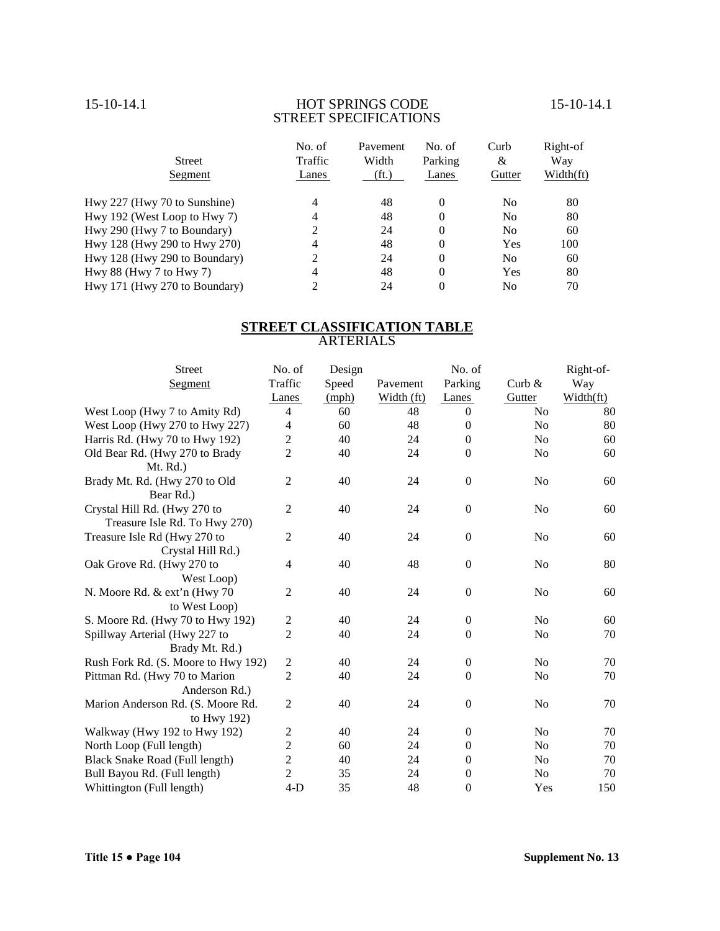| Street<br>Segment             | No. of<br>Traffic<br>Lanes | Pavement<br>Width<br>(f <sub>t</sub> ) | No. of<br>Parking<br>Lanes | Curb<br>&<br>Gutter | Right-of<br>Way<br>Width(ft) |
|-------------------------------|----------------------------|----------------------------------------|----------------------------|---------------------|------------------------------|
| Hwy 227 (Hwy 70 to Sunshine)  | 4                          | 48                                     | 0                          | N <sub>0</sub>      | 80                           |
| Hwy 192 (West Loop to Hwy 7)  | 4                          | 48                                     | 0                          | N <sub>0</sub>      | 80                           |
| Hwy 290 (Hwy 7 to Boundary)   |                            | 24                                     | 0                          | N <sub>0</sub>      | 60                           |
| Hwy 128 (Hwy 290 to Hwy 270)  | 4                          | 48                                     | $\Omega$                   | Yes                 | 100                          |
| Hwy 128 (Hwy 290 to Boundary) |                            | 24                                     | $\Omega$                   | N <sub>0</sub>      | 60                           |
| Hwy $88$ (Hwy 7 to Hwy 7)     | 4                          | 48                                     | $\Omega$                   | Yes                 | 80                           |
| Hwy 171 (Hwy 270 to Boundary) | 2                          | 24                                     | 0                          | N <sub>0</sub>      | 70                           |

# **STREET CLASSIFICATION TABLE** ARTERIALS

| <b>Street</b>                       | No. of         | Design |            | No. of           |                | Right-of-              |
|-------------------------------------|----------------|--------|------------|------------------|----------------|------------------------|
| Segment                             | Traffic        | Speed  | Pavement   | Parking          | Curb &         | Way                    |
|                                     | Lanes          | (mph)  | Width (ft) | Lanes            | Gutter         | Width(f <sub>t</sub> ) |
| West Loop (Hwy 7 to Amity Rd)       | $\overline{4}$ | 60     | 48         | $\theta$         | No             | 80                     |
| West Loop (Hwy 270 to Hwy 227)      | 4              | 60     | 48         | $\mathbf{0}$     | No             | 80                     |
| Harris Rd. (Hwy 70 to Hwy 192)      | $\overline{c}$ | 40     | 24         | $\Omega$         | No             | 60                     |
| Old Bear Rd. (Hwy 270 to Brady      | 2              | 40     | 24         | $\theta$         | N <sub>o</sub> | 60                     |
| Mt. Rd.)                            |                |        |            |                  |                |                        |
| Brady Mt. Rd. (Hwy 270 to Old       | 2              | 40     | 24         | $\mathbf{0}$     | N <sub>0</sub> | 60                     |
| Bear Rd.)                           |                |        |            |                  |                |                        |
| Crystal Hill Rd. (Hwy 270 to        | 2              | 40     | 24         | $\mathbf{0}$     | N <sub>0</sub> | 60                     |
| Treasure Isle Rd. To Hwy 270)       |                |        |            |                  |                |                        |
| Treasure Isle Rd (Hwy 270 to        | $\overline{2}$ | 40     | 24         | $\boldsymbol{0}$ | N <sub>o</sub> | 60                     |
| Crystal Hill Rd.)                   |                |        |            |                  |                |                        |
| Oak Grove Rd. (Hwy 270 to           | $\overline{4}$ | 40     | 48         | $\boldsymbol{0}$ | N <sub>0</sub> | 80                     |
| West Loop)                          |                |        |            |                  |                |                        |
| N. Moore Rd. & ext'n (Hwy 70        | $\mathfrak{2}$ | 40     | 24         | $\boldsymbol{0}$ | N <sub>0</sub> | 60                     |
| to West Loop)                       |                |        |            |                  |                |                        |
| S. Moore Rd. (Hwy 70 to Hwy 192)    | $\overline{c}$ | 40     | 24         | $\boldsymbol{0}$ | N <sub>o</sub> | 60                     |
| Spillway Arterial (Hwy 227 to       | $\overline{c}$ | 40     | 24         | $\mathbf{0}$     | No             | 70                     |
| Brady Mt. Rd.)                      |                |        |            |                  |                |                        |
| Rush Fork Rd. (S. Moore to Hwy 192) | $\mathfrak{2}$ | 40     | 24         | $\mathbf{0}$     | N <sub>o</sub> | 70                     |
| Pittman Rd. (Hwy 70 to Marion       | $\overline{c}$ | 40     | 24         | $\Omega$         | N <sub>0</sub> | 70                     |
| Anderson Rd.)                       |                |        |            |                  |                |                        |
| Marion Anderson Rd. (S. Moore Rd.   | $\overline{c}$ | 40     | 24         | $\mathbf{0}$     | N <sub>0</sub> | 70                     |
| to Hwy 192)                         |                |        |            |                  |                |                        |
| Walkway (Hwy 192 to Hwy 192)        | $\overline{c}$ | 40     | 24         | $\mathbf{0}$     | No             | 70                     |
| North Loop (Full length)            | 2              | 60     | 24         | $\theta$         | No             | 70                     |
| Black Snake Road (Full length)      | $\overline{c}$ | 40     | 24         | $\mathbf{0}$     | N <sub>0</sub> | 70                     |
| Bull Bayou Rd. (Full length)        | $\overline{2}$ | 35     | 24         | $\boldsymbol{0}$ | No             | 70                     |
| Whittington (Full length)           | $4-D$          | 35     | 48         | $\boldsymbol{0}$ | Yes            | 150                    |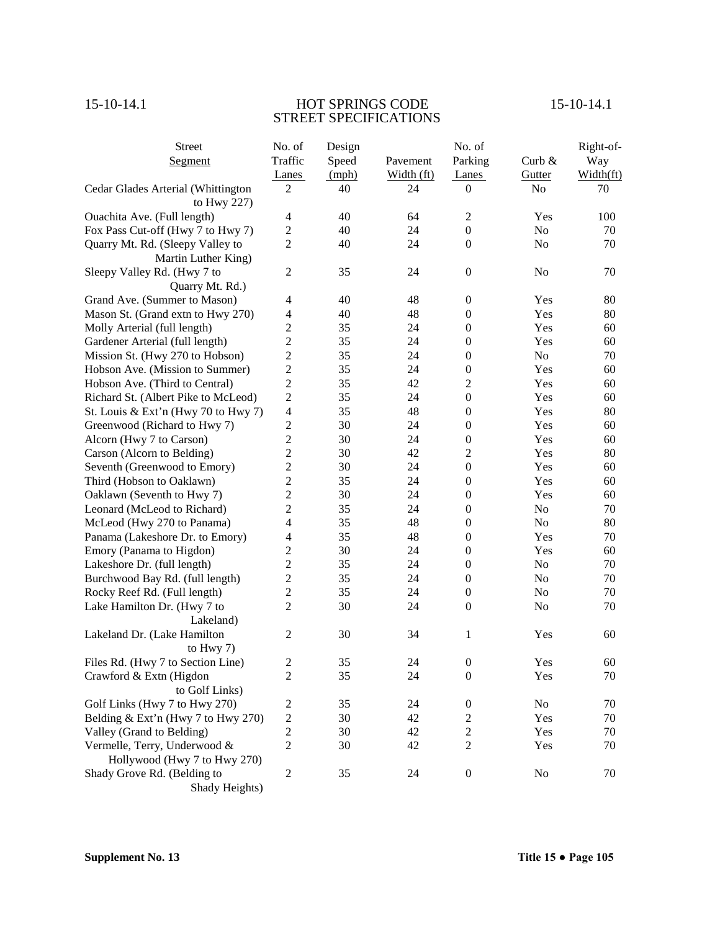| <b>Street</b>                       | No. of                  | Design |              | No. of           |                | Right-of-              |
|-------------------------------------|-------------------------|--------|--------------|------------------|----------------|------------------------|
| <b>Segment</b>                      | Traffic                 | Speed  | Pavement     | Parking          | Curb $\&$      | Way                    |
|                                     | <b>Lanes</b>            | (mph)  | Width $(ft)$ | <b>Lanes</b>     | Gutter         | Width(f <sub>t</sub> ) |
| Cedar Glades Arterial (Whittington  | 2                       | 40     | 24           | $\mathbf{0}$     | No             | 70                     |
| to Hwy 227)                         |                         |        |              |                  |                |                        |
| Ouachita Ave. (Full length)         | $\overline{4}$          | 40     | 64           | $\overline{2}$   | Yes            | 100                    |
| Fox Pass Cut-off (Hwy 7 to Hwy 7)   | $\boldsymbol{2}$        | 40     | 24           | $\boldsymbol{0}$ | $\rm No$       | 70                     |
| Quarry Mt. Rd. (Sleepy Valley to    | $\overline{2}$          | 40     | 24           | $\boldsymbol{0}$ | No             | 70                     |
| Martin Luther King)                 |                         |        |              |                  |                |                        |
| Sleepy Valley Rd. (Hwy 7 to         | $\boldsymbol{2}$        | 35     | 24           | $\boldsymbol{0}$ | No             | 70                     |
| Quarry Mt. Rd.)                     |                         |        |              |                  |                |                        |
| Grand Ave. (Summer to Mason)        | $\overline{4}$          | 40     | 48           | $\boldsymbol{0}$ | Yes            | 80                     |
| Mason St. (Grand extn to Hwy 270)   | 4                       | 40     | 48           | $\boldsymbol{0}$ | Yes            | 80                     |
| Molly Arterial (full length)        | $\overline{c}$          | 35     | 24           | $\boldsymbol{0}$ | Yes            | 60                     |
| Gardener Arterial (full length)     | $\overline{c}$          | 35     | 24           | $\boldsymbol{0}$ | Yes            | 60                     |
| Mission St. (Hwy 270 to Hobson)     | $\overline{c}$          | 35     | 24           | $\boldsymbol{0}$ | No             | 70                     |
| Hobson Ave. (Mission to Summer)     | $\overline{c}$          | 35     | 24           | $\boldsymbol{0}$ | Yes            | 60                     |
| Hobson Ave. (Third to Central)      | $\overline{c}$          | 35     | 42           | $\overline{c}$   | Yes            | 60                     |
| Richard St. (Albert Pike to McLeod) | $\overline{c}$          | 35     | 24           | $\boldsymbol{0}$ | Yes            | 60                     |
| St. Louis & Ext'n (Hwy 70 to Hwy 7) | $\overline{4}$          | 35     | 48           | $\boldsymbol{0}$ | Yes            | 80                     |
| Greenwood (Richard to Hwy 7)        | $\overline{c}$          | 30     | 24           | $\boldsymbol{0}$ | Yes            | 60                     |
| Alcorn (Hwy 7 to Carson)            | $\overline{c}$          | 30     | 24           | $\boldsymbol{0}$ | Yes            | 60                     |
| Carson (Alcorn to Belding)          | $\overline{c}$          | 30     | 42           | $\overline{c}$   | Yes            | 80                     |
| Seventh (Greenwood to Emory)        | $\overline{c}$          | 30     | 24           | $\boldsymbol{0}$ | Yes            | 60                     |
| Third (Hobson to Oaklawn)           | $\overline{c}$          | 35     | 24           | $\boldsymbol{0}$ | Yes            | 60                     |
| Oaklawn (Seventh to Hwy 7)          | $\overline{c}$          | 30     | 24           | $\boldsymbol{0}$ | Yes            | 60                     |
| Leonard (McLeod to Richard)         | $\overline{c}$          | 35     | 24           | $\boldsymbol{0}$ | No             | 70                     |
| McLeod (Hwy 270 to Panama)          | 4                       | 35     | 48           | $\boldsymbol{0}$ | No             | 80                     |
| Panama (Lakeshore Dr. to Emory)     | 4                       | 35     | 48           | $\boldsymbol{0}$ | Yes            | 70                     |
| Emory (Panama to Higdon)            | $\overline{c}$          | 30     | 24           | $\boldsymbol{0}$ | Yes            | 60                     |
| Lakeshore Dr. (full length)         | $\overline{c}$          | 35     | 24           | $\boldsymbol{0}$ | No             | 70                     |
| Burchwood Bay Rd. (full length)     | $\overline{c}$          | 35     | 24           | $\boldsymbol{0}$ | No             | 70                     |
| Rocky Reef Rd. (Full length)        | $\sqrt{2}$              | 35     | 24           | $\boldsymbol{0}$ | No             | 70                     |
| Lake Hamilton Dr. (Hwy 7 to         | $\overline{2}$          | 30     | 24           | $\boldsymbol{0}$ | N <sub>o</sub> | 70                     |
| Lakeland)                           |                         |        |              |                  |                |                        |
| Lakeland Dr. (Lake Hamilton         | $\mathfrak{2}$          | 30     | 34           | 1                | Yes            | 60                     |
| to Hwy $7)$                         |                         |        |              |                  |                |                        |
| Files Rd. (Hwy 7 to Section Line)   | $\overline{c}$          | 35     | 24           | $\boldsymbol{0}$ | Yes            | 60                     |
| Crawford & Extn (Higdon             | $\boldsymbol{2}$        | 35     | 24           | $\boldsymbol{0}$ | Yes            | 70                     |
| to Golf Links)                      |                         |        |              |                  |                |                        |
| Golf Links (Hwy 7 to Hwy 270)       | $\overline{\mathbf{c}}$ | 35     | 24           | $\boldsymbol{0}$ | No             | 70                     |
| Belding & Ext'n (Hwy 7 to Hwy 270)  | $\overline{c}$          | 30     | 42           | 2                | Yes            | 70                     |
| Valley (Grand to Belding)           | $\overline{c}$          | 30     | 42           | $\overline{2}$   | Yes            | 70                     |
| Vermelle, Terry, Underwood &        | $\overline{c}$          | 30     | 42           | $\overline{c}$   | Yes            | 70                     |
| Hollywood (Hwy 7 to Hwy 270)        |                         |        |              |                  |                |                        |
| Shady Grove Rd. (Belding to         | $\overline{c}$          | 35     | 24           | $\boldsymbol{0}$ | No             | 70                     |
| Shady Heights)                      |                         |        |              |                  |                |                        |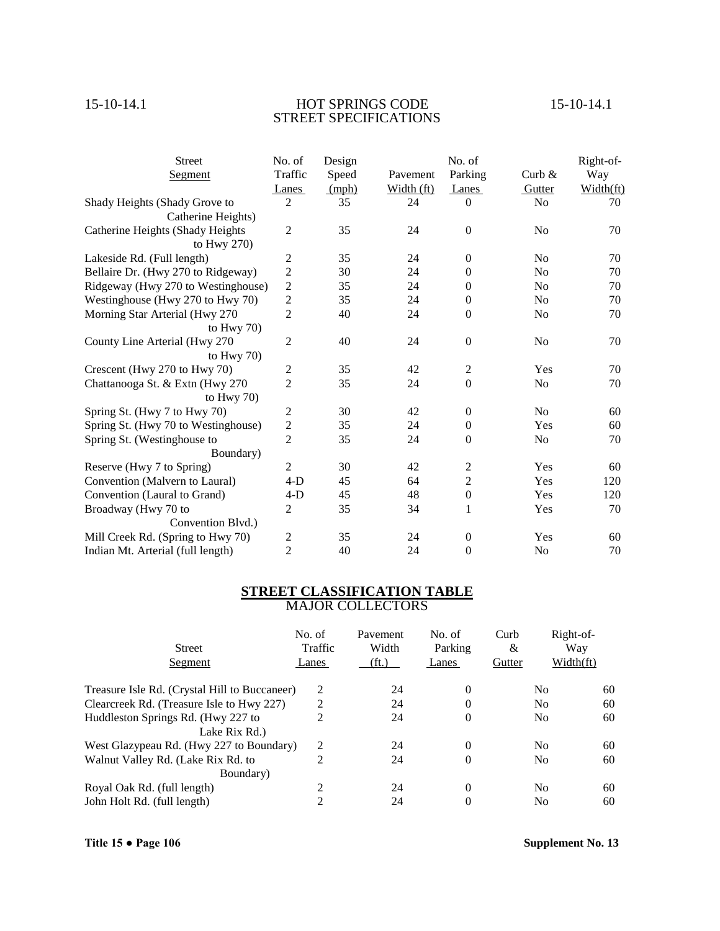| No. of                  | Design                                                                                                                                                                         |            | No. of           |                | Right-of- |
|-------------------------|--------------------------------------------------------------------------------------------------------------------------------------------------------------------------------|------------|------------------|----------------|-----------|
| Traffic                 | Speed                                                                                                                                                                          | Pavement   | Parking          | Curb $&$       | Way       |
| Lanes                   | (mph)                                                                                                                                                                          | Width (ft) | Lanes            | Gutter         | Width(ft) |
| $\overline{2}$          | 35                                                                                                                                                                             | 24         | $\Omega$         | No             | 70        |
|                         |                                                                                                                                                                                |            |                  |                |           |
| $\overline{c}$          | 35                                                                                                                                                                             | 24         | $\boldsymbol{0}$ | No             | 70        |
|                         |                                                                                                                                                                                |            |                  |                |           |
| $\overline{c}$          | 35                                                                                                                                                                             | 24         | $\theta$         | No             | 70        |
|                         | 30                                                                                                                                                                             | 24         | $\Omega$         | N <sub>o</sub> | 70        |
|                         | 35                                                                                                                                                                             | 24         | $\mathbf{0}$     | No             | 70        |
|                         | 35                                                                                                                                                                             | 24         | $\mathbf{0}$     | No             | 70        |
|                         |                                                                                                                                                                                | 24         | $\boldsymbol{0}$ | No             | 70        |
|                         |                                                                                                                                                                                |            |                  |                |           |
|                         | 40                                                                                                                                                                             | 24         | $\boldsymbol{0}$ | No             | 70        |
|                         |                                                                                                                                                                                |            |                  |                |           |
| $\overline{c}$          |                                                                                                                                                                                | 42         | $\overline{2}$   | Yes            | 70        |
|                         | 35                                                                                                                                                                             | 24         | $\Omega$         | No             | 70        |
|                         |                                                                                                                                                                                |            |                  |                |           |
| $\overline{c}$          | 30                                                                                                                                                                             | 42         | $\mathbf{0}$     | N <sub>o</sub> | 60        |
|                         | 35                                                                                                                                                                             | 24         | $\theta$         | Yes            | 60        |
|                         | 35                                                                                                                                                                             | 24         | $\mathbf{0}$     | No             | 70        |
|                         |                                                                                                                                                                                |            |                  |                |           |
| $\overline{2}$          | 30                                                                                                                                                                             | 42         | 2                | Yes            | 60        |
| $4-D$                   | 45                                                                                                                                                                             | 64         |                  | Yes            | 120       |
| $4-D$                   | 45                                                                                                                                                                             | 48         | $\boldsymbol{0}$ | Yes            | 120       |
| $\overline{c}$          | 35                                                                                                                                                                             | 34         | 1                | Yes            | 70        |
|                         |                                                                                                                                                                                |            |                  |                |           |
| $\overline{\mathbf{c}}$ | 35                                                                                                                                                                             | 24         | $\boldsymbol{0}$ | Yes            | 60        |
| $\overline{c}$          | 40                                                                                                                                                                             | 24         | $\overline{0}$   | N <sub>o</sub> | 70        |
|                         | $\overline{c}$<br>$\sqrt{2}$<br>Ridgeway (Hwy 270 to Westinghouse)<br>$\overline{2}$<br>$\overline{c}$<br>$\mathfrak{2}$<br>$\overline{c}$<br>$\overline{c}$<br>$\overline{2}$ | 40<br>35   |                  | $\overline{2}$ |           |

# **STREET CLASSIFICATION TABLE** MAJOR COLLECTORS

| Street                                        | No. of<br>Traffic | Pavement<br>Width | No. of<br>Parking | Curb<br>&      | Right-of-<br>Way |
|-----------------------------------------------|-------------------|-------------------|-------------------|----------------|------------------|
| Segment                                       | Lanes             | (ft.)             | Lanes             | Gutter         | Width(ft)        |
| Treasure Isle Rd. (Crystal Hill to Buccaneer) | 2                 | 24                | 0                 | N <sub>0</sub> | 60               |
| Clearcreek Rd. (Treasure Isle to Hwy 227)     | 2                 | 24                | 0                 | N <sub>0</sub> | 60               |
| Huddleston Springs Rd. (Hwy 227 to            |                   | 24                | 0                 | N <sub>0</sub> | 60               |
| Lake Rix Rd.)                                 |                   |                   |                   |                |                  |
| West Glazypeau Rd. (Hwy 227 to Boundary)      | 2                 | 24                | 0                 | N <sub>0</sub> | 60               |
| Walnut Valley Rd. (Lake Rix Rd. to            | C                 | 24                | 0                 | N <sub>0</sub> | 60               |
| Boundary)                                     |                   |                   |                   |                |                  |
| Royal Oak Rd. (full length)                   | $\mathfrak{D}$    | 24                | $\Omega$          | N <sub>0</sub> | 60               |
| John Holt Rd. (full length)                   |                   | 24                | 0                 | No             | 60               |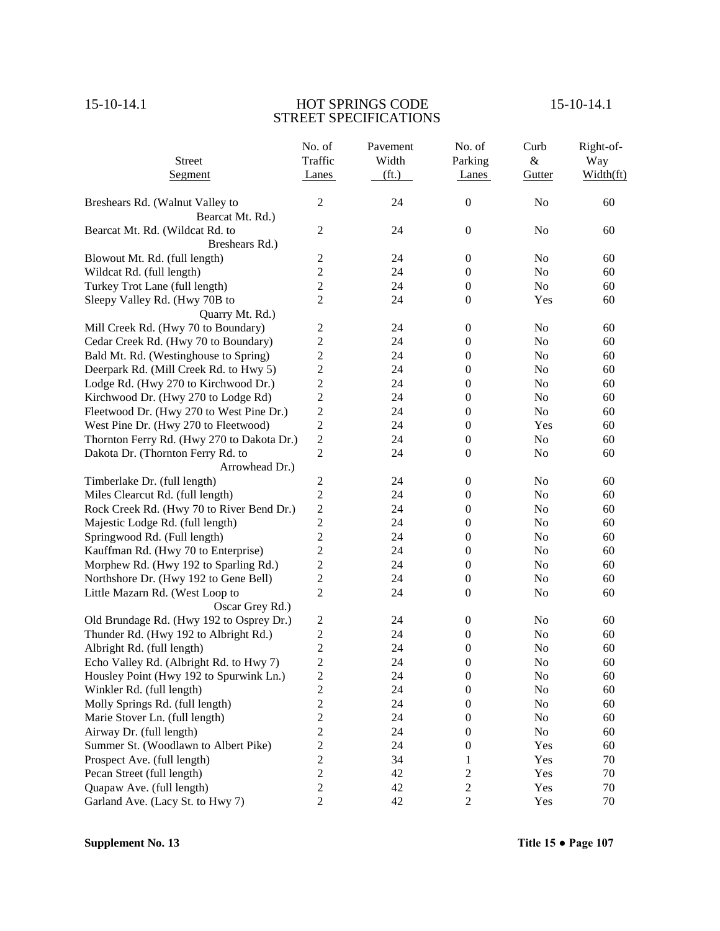| <b>Street</b>                              | No. of<br>Traffic       | Pavement<br>Width | No. of<br>Parking | Curb<br>$\&$   | Right-of-<br>Way |
|--------------------------------------------|-------------------------|-------------------|-------------------|----------------|------------------|
| Segment                                    | <b>Lanes</b>            | (f <sub>t</sub> ) | <b>Lanes</b>      | Gutter         | Width(ft)        |
|                                            |                         |                   |                   |                |                  |
| Breshears Rd. (Walnut Valley to            | $\mathfrak{2}$          | 24                | $\boldsymbol{0}$  | No             | 60               |
| Bearcat Mt. Rd.)                           |                         |                   |                   |                |                  |
| Bearcat Mt. Rd. (Wildcat Rd. to            | $\overline{c}$          | 24                | $\boldsymbol{0}$  | No             | 60               |
| Breshears Rd.)                             |                         |                   |                   |                |                  |
| Blowout Mt. Rd. (full length)              | $\overline{c}$          | 24                | $\boldsymbol{0}$  | N <sub>0</sub> | 60               |
| Wildcat Rd. (full length)                  | $\overline{c}$          | 24                | $\boldsymbol{0}$  | No             | 60               |
| Turkey Trot Lane (full length)             | $\overline{c}$          | 24                | $\boldsymbol{0}$  | No             | 60               |
| Sleepy Valley Rd. (Hwy 70B to              | $\overline{2}$          | 24                | $\mathbf{0}$      | Yes            | 60               |
| Quarry Mt. Rd.)                            |                         |                   |                   |                |                  |
| Mill Creek Rd. (Hwy 70 to Boundary)        | $\overline{\mathbf{c}}$ | 24                | $\boldsymbol{0}$  | N <sub>0</sub> | 60               |
| Cedar Creek Rd. (Hwy 70 to Boundary)       | $\overline{\mathbf{c}}$ | 24                | 0                 | No             | 60               |
| Bald Mt. Rd. (Westinghouse to Spring)      | $\overline{\mathbf{c}}$ | 24                | 0                 | N <sub>0</sub> | 60               |
| Deerpark Rd. (Mill Creek Rd. to Hwy 5)     | $\overline{\mathbf{c}}$ | 24                | 0                 | N <sub>0</sub> | 60               |
| Lodge Rd. (Hwy 270 to Kirchwood Dr.)       | $\overline{\mathbf{c}}$ | 24                | 0                 | N <sub>o</sub> | 60               |
| Kirchwood Dr. (Hwy 270 to Lodge Rd)        | $\sqrt{2}$              | 24                | $\boldsymbol{0}$  | No             | 60               |
| Fleetwood Dr. (Hwy 270 to West Pine Dr.)   | $\sqrt{2}$              | 24                | $\boldsymbol{0}$  | N <sub>0</sub> | 60               |
| West Pine Dr. (Hwy 270 to Fleetwood)       | $\sqrt{2}$              | 24                | $\boldsymbol{0}$  | Yes            | 60               |
| Thornton Ferry Rd. (Hwy 270 to Dakota Dr.) | $\sqrt{2}$              | 24                | $\boldsymbol{0}$  | No             | 60               |
| Dakota Dr. (Thornton Ferry Rd. to          | $\overline{2}$          | 24                | $\mathbf{0}$      | N <sub>o</sub> | 60               |
| Arrowhead Dr.)                             |                         |                   |                   |                |                  |
| Timberlake Dr. (full length)               | $\overline{c}$          | 24                | $\boldsymbol{0}$  | No             | 60               |
| Miles Clearcut Rd. (full length)           | $\mathfrak{2}$          | 24                | $\boldsymbol{0}$  | No             | 60               |
| Rock Creek Rd. (Hwy 70 to River Bend Dr.)  | $\overline{c}$          | 24                | $\boldsymbol{0}$  | No             | 60               |
| Majestic Lodge Rd. (full length)           | $\overline{c}$          | 24                | $\boldsymbol{0}$  | No             | 60               |
| Springwood Rd. (Full length)               | $\overline{c}$          | 24                | 0                 | No             | 60               |
| Kauffman Rd. (Hwy 70 to Enterprise)        | $\overline{c}$          | 24                | $\boldsymbol{0}$  | N <sub>o</sub> | 60               |
| Morphew Rd. (Hwy 192 to Sparling Rd.)      | $\overline{c}$          | 24                | $\boldsymbol{0}$  | N <sub>o</sub> | 60               |
| Northshore Dr. (Hwy 192 to Gene Bell)      | $\overline{c}$          | 24                | $\boldsymbol{0}$  | N <sub>0</sub> | 60               |
| Little Mazarn Rd. (West Loop to            | $\overline{c}$          | 24                | $\boldsymbol{0}$  | N <sub>0</sub> | 60               |
| Oscar Grey Rd.)                            |                         |                   |                   |                |                  |
| Old Brundage Rd. (Hwy 192 to Osprey Dr.)   | $\sqrt{2}$              | 24                | $\boldsymbol{0}$  | N <sub>0</sub> | 60               |
| Thunder Rd. (Hwy 192 to Albright Rd.)      | $\overline{\mathbf{c}}$ | 24                | $\boldsymbol{0}$  | N <sub>o</sub> | 60               |
| Albright Rd. (full length)                 | $\overline{c}$          | 24                | $\boldsymbol{0}$  | No             | 60               |
| Echo Valley Rd. (Albright Rd. to Hwy 7)    | $\overline{2}$          | 24                | $\mathbf{0}$      | No             | 60               |
| Housley Point (Hwy 192 to Spurwink Ln.)    | $\boldsymbol{2}$        | 24                | $\boldsymbol{0}$  | No             | 60               |
| Winkler Rd. (full length)                  | $\sqrt{2}$              | 24                | $\boldsymbol{0}$  | No             | 60               |
| Molly Springs Rd. (full length)            | $\sqrt{2}$              | 24                | $\boldsymbol{0}$  | No             | 60               |
| Marie Stover Ln. (full length)             | $\overline{c}$          | 24                | $\boldsymbol{0}$  | No             | 60               |
| Airway Dr. (full length)                   | $\overline{c}$          | 24                | $\boldsymbol{0}$  | No             | 60               |
| Summer St. (Woodlawn to Albert Pike)       | $\overline{c}$          | 24                | $\boldsymbol{0}$  | Yes            | 60               |
| Prospect Ave. (full length)                | $\overline{c}$          | 34                | 1                 | Yes            | 70               |
| Pecan Street (full length)                 | $\overline{c}$          | 42                | $\boldsymbol{2}$  | Yes            | 70               |
| Quapaw Ave. (full length)                  | $\mathfrak{2}$          | 42                | $\boldsymbol{2}$  | Yes            | 70               |
| Garland Ave. (Lacy St. to Hwy 7)           | $\overline{2}$          | 42                | $\overline{2}$    | Yes            | 70               |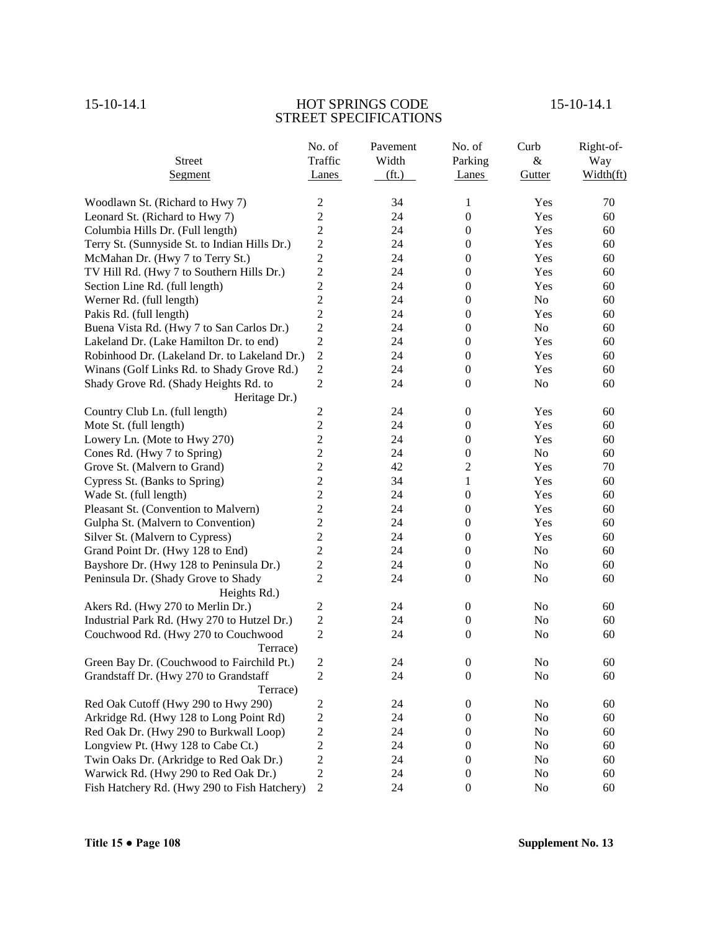| <b>Street</b>                                 | No. of<br>Traffic       | Pavement<br>Width | No. of<br>Parking | Curb<br>$\&$   | Right-of-<br>Way |
|-----------------------------------------------|-------------------------|-------------------|-------------------|----------------|------------------|
| Segment                                       | Lanes                   | (f <sub>t</sub> ) | Lanes             | Gutter         | Width(ft)        |
|                                               |                         |                   |                   |                |                  |
| Woodlawn St. (Richard to Hwy 7)               | $\sqrt{2}$              | 34                | $\mathbf{1}$      | Yes            | $70\,$           |
| Leonard St. (Richard to Hwy 7)                | $\overline{c}$          | 24                | $\boldsymbol{0}$  | Yes            | 60               |
| Columbia Hills Dr. (Full length)              | $\overline{c}$          | 24                | $\boldsymbol{0}$  | Yes            | 60               |
| Terry St. (Sunnyside St. to Indian Hills Dr.) | $\sqrt{2}$              | 24                | $\boldsymbol{0}$  | Yes            | 60               |
| McMahan Dr. (Hwy 7 to Terry St.)              | $\overline{c}$          | 24                | $\boldsymbol{0}$  | Yes            | 60               |
| TV Hill Rd. (Hwy 7 to Southern Hills Dr.)     | $\sqrt{2}$              | 24                | $\boldsymbol{0}$  | Yes            | 60               |
| Section Line Rd. (full length)                | $\overline{c}$          | 24                | $\boldsymbol{0}$  | Yes            | 60               |
| Werner Rd. (full length)                      | $\overline{c}$          | 24                | $\boldsymbol{0}$  | No             | 60               |
| Pakis Rd. (full length)                       | $\overline{2}$          | 24                | $\boldsymbol{0}$  | Yes            | 60               |
| Buena Vista Rd. (Hwy 7 to San Carlos Dr.)     | $\overline{c}$          | 24                | $\boldsymbol{0}$  | No             | 60               |
| Lakeland Dr. (Lake Hamilton Dr. to end)       | $\sqrt{2}$              | 24                | $\boldsymbol{0}$  | Yes            | 60               |
| Robinhood Dr. (Lakeland Dr. to Lakeland Dr.)  | $\overline{c}$          | 24                | $\boldsymbol{0}$  | Yes            | 60               |
| Winans (Golf Links Rd. to Shady Grove Rd.)    | $\boldsymbol{2}$        | 24                | $\boldsymbol{0}$  | Yes            | 60               |
| Shady Grove Rd. (Shady Heights Rd. to         | $\overline{c}$          | 24                | $\mathbf{0}$      | No             | 60               |
| Heritage Dr.)                                 |                         |                   |                   |                |                  |
| Country Club Ln. (full length)                | $\overline{\mathbf{c}}$ | 24                | $\boldsymbol{0}$  | Yes            | 60               |
| Mote St. (full length)                        | $\overline{\mathbf{c}}$ | 24                | $\boldsymbol{0}$  | Yes            | 60               |
| Lowery Ln. (Mote to Hwy 270)                  | $\overline{c}$          | 24                | $\boldsymbol{0}$  | Yes            | 60               |
| Cones Rd. (Hwy 7 to Spring)                   | $\overline{c}$          | 24                | $\boldsymbol{0}$  | No             | 60               |
| Grove St. (Malvern to Grand)                  | $\overline{c}$          | 42                | 2                 | Yes            | 70               |
| Cypress St. (Banks to Spring)                 | $\overline{c}$          | 34                | 1                 | Yes            | 60               |
| Wade St. (full length)                        | $\overline{c}$          | 24                | $\boldsymbol{0}$  | Yes            | 60               |
| Pleasant St. (Convention to Malvern)          | $\overline{c}$          | 24                | $\boldsymbol{0}$  | Yes            | 60               |
| Gulpha St. (Malvern to Convention)            | 2                       | 24                | $\boldsymbol{0}$  | Yes            | 60               |
| Silver St. (Malvern to Cypress)               | $\overline{c}$          | 24                | $\boldsymbol{0}$  | Yes            | 60               |
| Grand Point Dr. (Hwy 128 to End)              | $\overline{c}$          | 24                | $\boldsymbol{0}$  | No             | 60               |
| Bayshore Dr. (Hwy 128 to Peninsula Dr.)       | $\overline{c}$          | 24                | $\boldsymbol{0}$  | No             | 60               |
| Peninsula Dr. (Shady Grove to Shady           | $\overline{2}$          | 24                | $\overline{0}$    | No             | 60               |
| Heights Rd.)                                  |                         |                   |                   |                |                  |
| Akers Rd. (Hwy 270 to Merlin Dr.)             | 2                       | 24                | $\boldsymbol{0}$  | No             | 60               |
| Industrial Park Rd. (Hwy 270 to Hutzel Dr.)   | $\boldsymbol{2}$        | 24                | $\overline{0}$    | No             | 60               |
| Couchwood Rd. (Hwy 270 to Couchwood           | $\overline{2}$          | 24                | $\mathbf{0}$      | N <sub>o</sub> | 60               |
| Terrace)                                      |                         |                   |                   |                |                  |
| Green Bay Dr. (Couchwood to Fairchild Pt.)    | $\overline{\mathbf{c}}$ | 24                | $\boldsymbol{0}$  | No             | 60               |
| Grandstaff Dr. (Hwy 270 to Grandstaff         | $\overline{c}$          | 24                | $\boldsymbol{0}$  | No             | 60               |
| Terrace)                                      |                         |                   |                   |                |                  |
| Red Oak Cutoff (Hwy 290 to Hwy 290)           | $\overline{c}$          | 24                | $\boldsymbol{0}$  | No             | 60               |
| Arkridge Rd. (Hwy 128 to Long Point Rd)       | $\overline{c}$          | 24                | $\boldsymbol{0}$  | No             | 60               |
| Red Oak Dr. (Hwy 290 to Burkwall Loop)        | $\overline{c}$          | 24                | $\boldsymbol{0}$  | No             | 60               |
| Longview Pt. (Hwy 128 to Cabe Ct.)            | $\overline{c}$          | 24                | $\boldsymbol{0}$  | No             | 60               |
| Twin Oaks Dr. (Arkridge to Red Oak Dr.)       | $\overline{c}$          | 24                | $\boldsymbol{0}$  | N <sub>o</sub> | 60               |
| Warwick Rd. (Hwy 290 to Red Oak Dr.)          | $\overline{c}$          | 24                | $\boldsymbol{0}$  | N <sub>o</sub> | 60               |
| Fish Hatchery Rd. (Hwy 290 to Fish Hatchery)  | $\sqrt{2}$              | 24                | $\mathbf{0}$      | N <sub>o</sub> | 60               |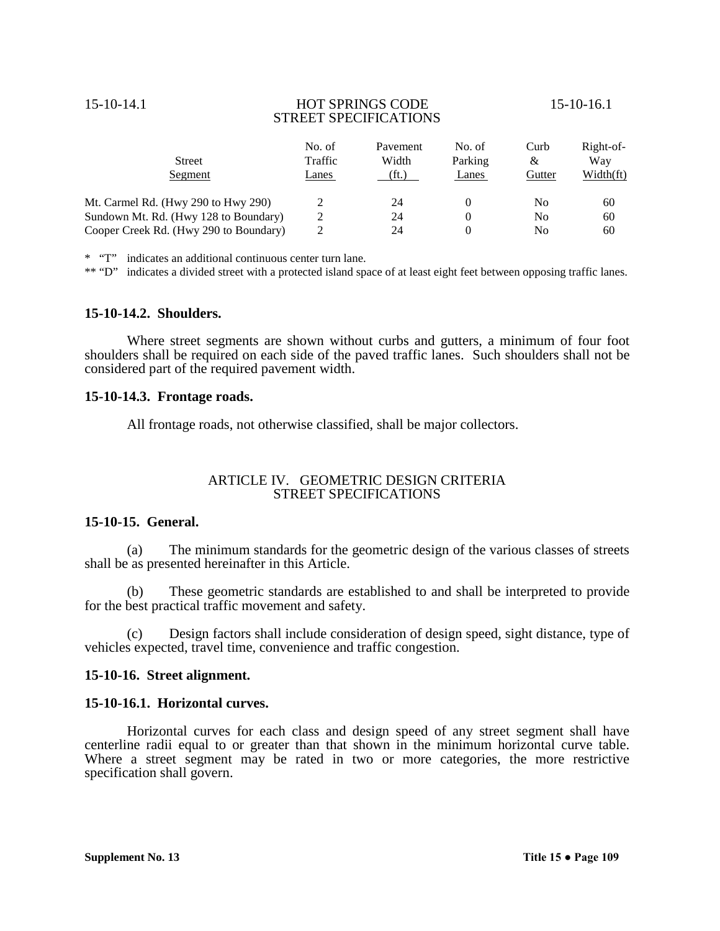| <b>Street</b><br>Segment               | No. of<br>Traffic<br>Lanes | Pavement<br>Width<br>(ft.) | No. of<br>Parking<br>Lanes | Curb<br>&<br>Gutter | Right-of-<br>Way<br>Width(ft) |
|----------------------------------------|----------------------------|----------------------------|----------------------------|---------------------|-------------------------------|
| Mt. Carmel Rd. (Hwy 290 to Hwy 290)    |                            | 24                         |                            | No                  | 60                            |
| Sundown Mt. Rd. (Hwy 128 to Boundary)  | 2                          | 24                         |                            | No                  | 60                            |
| Cooper Creek Rd. (Hwy 290 to Boundary) |                            | 24                         |                            | No                  | 60                            |

\* "T" indicates an additional continuous center turn lane.

\*\* "D" indicates a divided street with a protected island space of at least eight feet between opposing traffic lanes.

# **15-10-14.2. Shoulders.**

Where street segments are shown without curbs and gutters, a minimum of four foot shoulders shall be required on each side of the paved traffic lanes. Such shoulders shall not be considered part of the required pavement width.

### **15-10-14.3. Frontage roads.**

All frontage roads, not otherwise classified, shall be major collectors.

# ARTICLE IV. GEOMETRIC DESIGN CRITERIA STREET SPECIFICATIONS

# **15-10-15. General.**

(a) The minimum standards for the geometric design of the various classes of streets shall be as presented hereinafter in this Article.

(b) These geometric standards are established to and shall be interpreted to provide for the best practical traffic movement and safety.

(c) Design factors shall include consideration of design speed, sight distance, type of vehicles expected, travel time, convenience and traffic congestion.

# **15-10-16. Street alignment.**

### **15-10-16.1. Horizontal curves.**

Horizontal curves for each class and design speed of any street segment shall have centerline radii equal to or greater than that shown in the minimum horizontal curve table. Where a street segment may be rated in two or more categories, the more restrictive specification shall govern.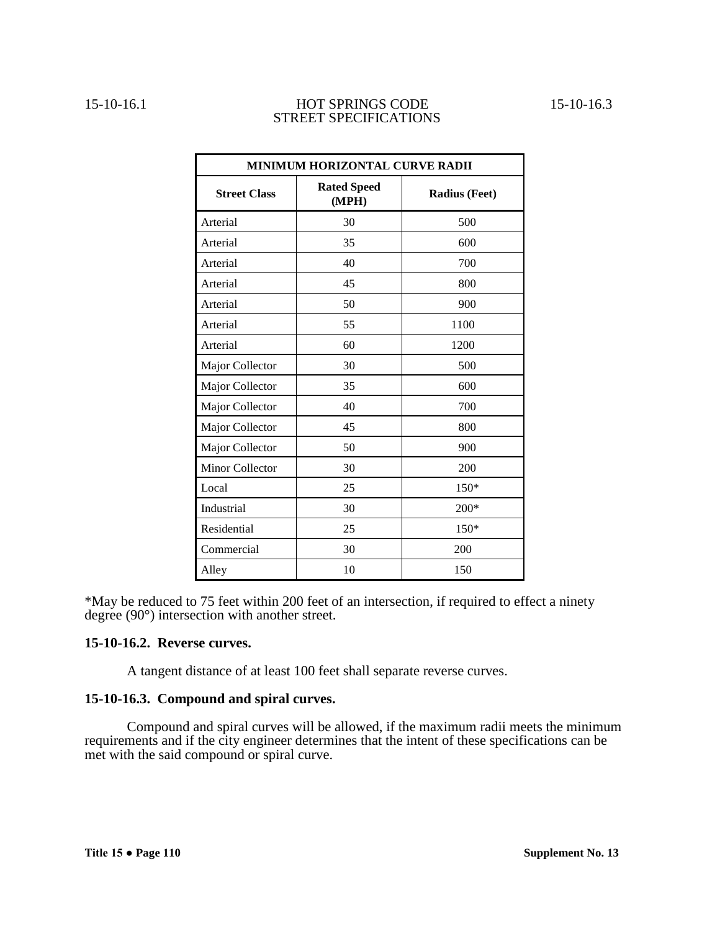| MINIMUM HORIZONTAL CURVE RADII |                             |                      |  |  |  |  |  |
|--------------------------------|-----------------------------|----------------------|--|--|--|--|--|
| <b>Street Class</b>            | <b>Rated Speed</b><br>(MPH) | <b>Radius (Feet)</b> |  |  |  |  |  |
| Arterial                       | 30                          | 500                  |  |  |  |  |  |
| Arterial                       | 35                          | 600                  |  |  |  |  |  |
| Arterial                       | 40                          | 700                  |  |  |  |  |  |
| Arterial                       | 45                          | 800                  |  |  |  |  |  |
| Arterial                       | 50                          | 900                  |  |  |  |  |  |
| Arterial                       | 55                          | 1100                 |  |  |  |  |  |
| Arterial                       | 60                          | 1200                 |  |  |  |  |  |
| Major Collector                | 30                          | 500                  |  |  |  |  |  |
| Major Collector                | 35                          | 600                  |  |  |  |  |  |
| Major Collector                | 40                          | 700                  |  |  |  |  |  |
| Major Collector                | 45                          | 800                  |  |  |  |  |  |
| Major Collector                | 50                          | 900                  |  |  |  |  |  |
| <b>Minor Collector</b>         | 30                          | 200                  |  |  |  |  |  |
| Local                          | 25                          | $150*$               |  |  |  |  |  |
| Industrial                     | 30                          | 200*                 |  |  |  |  |  |
| Residential                    | 25                          | $150*$               |  |  |  |  |  |
| Commercial                     | 30                          | 200                  |  |  |  |  |  |
| Alley                          | 10                          | 150                  |  |  |  |  |  |

\*May be reduced to 75 feet within 200 feet of an intersection, if required to effect a ninety degree (90°) intersection with another street.

### **15-10-16.2. Reverse curves.**

A tangent distance of at least 100 feet shall separate reverse curves.

# **15-10-16.3. Compound and spiral curves.**

Compound and spiral curves will be allowed, if the maximum radii meets the minimum requirements and if the city engineer determines that the intent of these specifications can be met with the said compound or spiral curve.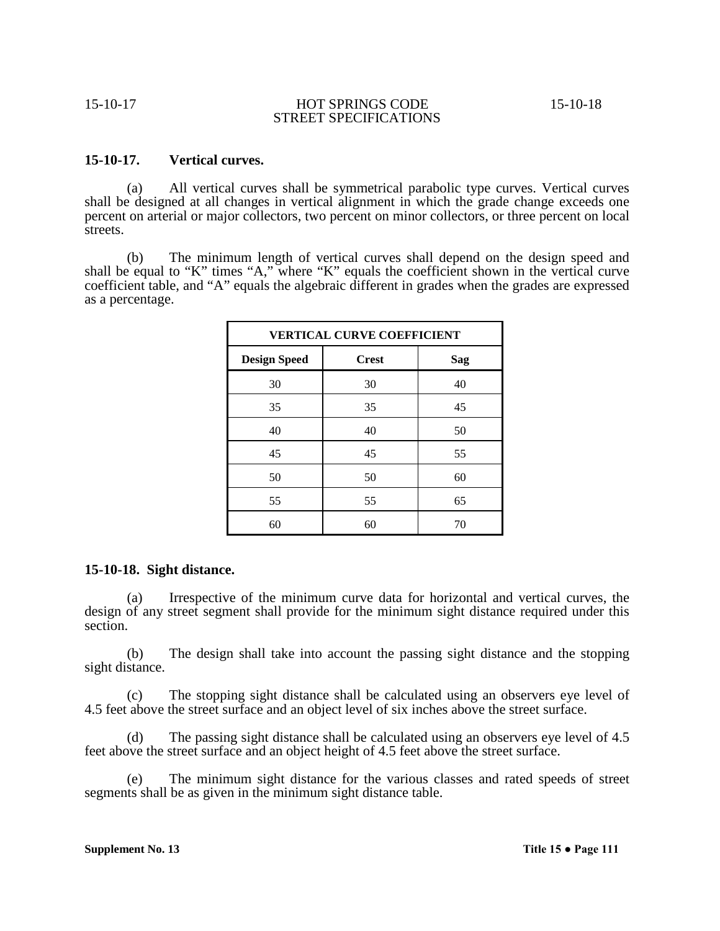# **15-10-17. Vertical curves.**

(a) All vertical curves shall be symmetrical parabolic type curves. Vertical curves shall be designed at all changes in vertical alignment in which the grade change exceeds one percent on arterial or major collectors, two percent on minor collectors, or three percent on local streets.

(b) The minimum length of vertical curves shall depend on the design speed and shall be equal to "K" times "A," where "K" equals the coefficient shown in the vertical curve coefficient table, and "A" equals the algebraic different in grades when the grades are expressed as a percentage.

| <b>VERTICAL CURVE COEFFICIENT</b> |              |     |  |
|-----------------------------------|--------------|-----|--|
| <b>Design Speed</b>               | <b>Crest</b> | Sag |  |
| 30                                | 30           | 40  |  |
| 35                                | 35           | 45  |  |
| 40                                | 40           | 50  |  |
| 45                                | 45           | 55  |  |
| 50                                | 50           | 60  |  |
| 55                                | 55           | 65  |  |
| 60                                | 60           | 70  |  |

# **15-10-18. Sight distance.**

(a) Irrespective of the minimum curve data for horizontal and vertical curves, the design of any street segment shall provide for the minimum sight distance required under this section.

(b) The design shall take into account the passing sight distance and the stopping sight distance.

(c) The stopping sight distance shall be calculated using an observers eye level of 4.5 feet above the street surface and an object level of six inches above the street surface.

(d) The passing sight distance shall be calculated using an observers eye level of 4.5 feet above the street surface and an object height of 4.5 feet above the street surface.

(e) The minimum sight distance for the various classes and rated speeds of street segments shall be as given in the minimum sight distance table.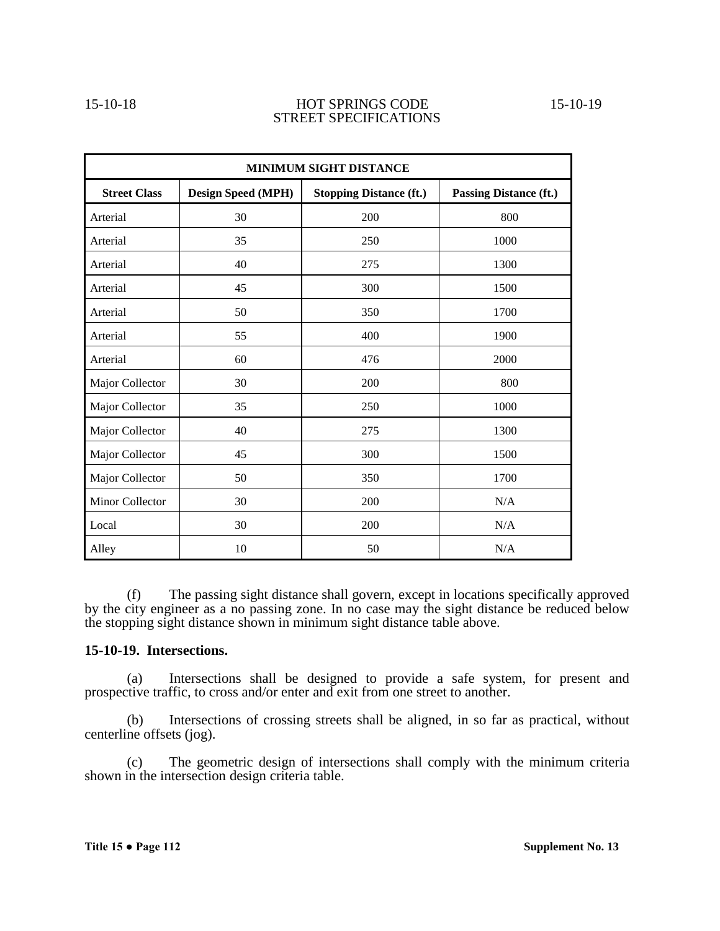| MINIMUM SIGHT DISTANCE |                           |                                |                               |
|------------------------|---------------------------|--------------------------------|-------------------------------|
| <b>Street Class</b>    | <b>Design Speed (MPH)</b> | <b>Stopping Distance (ft.)</b> | <b>Passing Distance (ft.)</b> |
| Arterial               | 30                        | 200                            | 800                           |
| Arterial               | 35                        | 250                            | 1000                          |
| Arterial               | 40                        | 275                            | 1300                          |
| Arterial               | 45                        | 300                            | 1500                          |
| Arterial               | 50                        | 350                            | 1700                          |
| Arterial               | 55                        | 400                            | 1900                          |
| Arterial               | 60                        | 476                            | 2000                          |
| Major Collector        | 30                        | 200                            | 800                           |
| Major Collector        | 35                        | 250                            | 1000                          |
| Major Collector        | 40                        | 275                            | 1300                          |
| Major Collector        | 45                        | 300                            | 1500                          |
| Major Collector        | 50                        | 350                            | 1700                          |
| Minor Collector        | 30                        | 200                            | N/A                           |
| Local                  | 30                        | 200                            | N/A                           |
| Alley                  | 10                        | 50                             | N/A                           |

(f) The passing sight distance shall govern, except in locations specifically approved by the city engineer as a no passing zone. In no case may the sight distance be reduced below the stopping sight distance shown in minimum sight distance table above.

### **15-10-19. Intersections.**

(a) Intersections shall be designed to provide a safe system, for present and prospective traffic, to cross and/or enter and exit from one street to another.

(b) Intersections of crossing streets shall be aligned, in so far as practical, without centerline offsets (jog).

(c) The geometric design of intersections shall comply with the minimum criteria shown in the intersection design criteria table.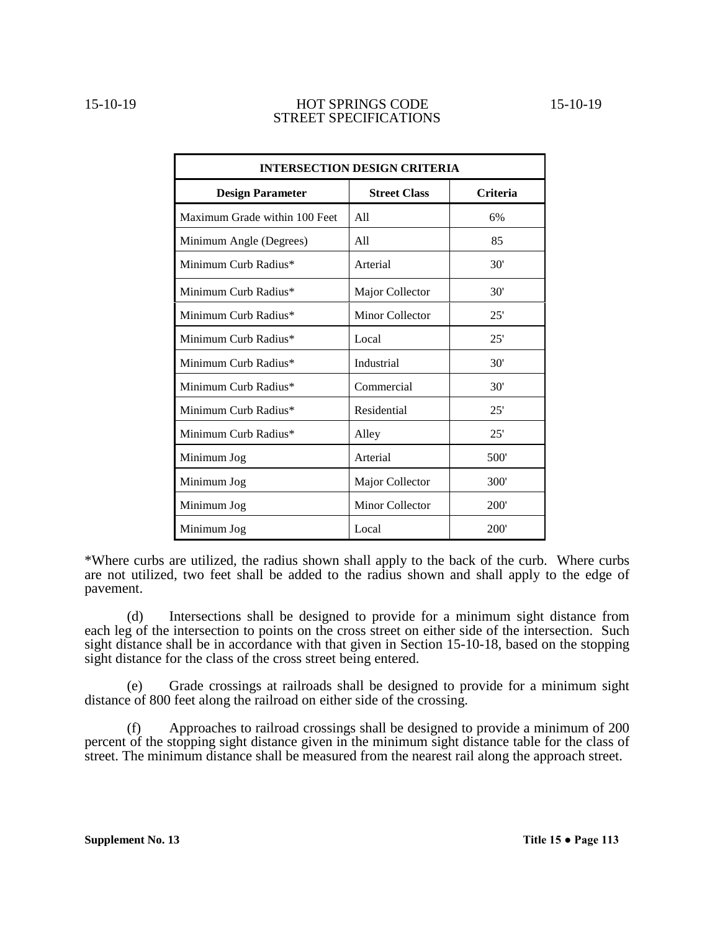| <b>INTERSECTION DESIGN CRITERIA</b> |                        |                 |  |
|-------------------------------------|------------------------|-----------------|--|
| <b>Design Parameter</b>             | <b>Street Class</b>    | <b>Criteria</b> |  |
| Maximum Grade within 100 Feet       | A11                    | 6%              |  |
| Minimum Angle (Degrees)             | A11                    | 85              |  |
| Minimum Curb Radius*                | Arterial               | 30'             |  |
| Minimum Curb Radius*                | Major Collector        | 30'             |  |
| Minimum Curb Radius*                | <b>Minor Collector</b> | 25'             |  |
| Minimum Curb Radius*                | Local                  | 25'             |  |
| Minimum Curb Radius*                | Industrial             | 30'             |  |
| Minimum Curb Radius*                | Commercial             | 30'             |  |
| Minimum Curb Radius*                | Residential            | 25'             |  |
| Minimum Curb Radius*                | Alley                  | 25'             |  |
| Minimum Jog                         | Arterial               | 500'            |  |
| Minimum Jog                         | Major Collector        | 300'            |  |
| Minimum Jog                         | Minor Collector        | <b>200</b>      |  |
| Minimum Jog                         | Local                  | 200'            |  |

\*Where curbs are utilized, the radius shown shall apply to the back of the curb. Where curbs are not utilized, two feet shall be added to the radius shown and shall apply to the edge of pavement.

(d) Intersections shall be designed to provide for a minimum sight distance from each leg of the intersection to points on the cross street on either side of the intersection. Such sight distance shall be in accordance with that given in Section 15-10-18, based on the stopping sight distance for the class of the cross street being entered.

(e) Grade crossings at railroads shall be designed to provide for a minimum sight distance of 800 feet along the railroad on either side of the crossing.

(f) Approaches to railroad crossings shall be designed to provide a minimum of 200 percent of the stopping sight distance given in the minimum sight distance table for the class of street. The minimum distance shall be measured from the nearest rail along the approach street.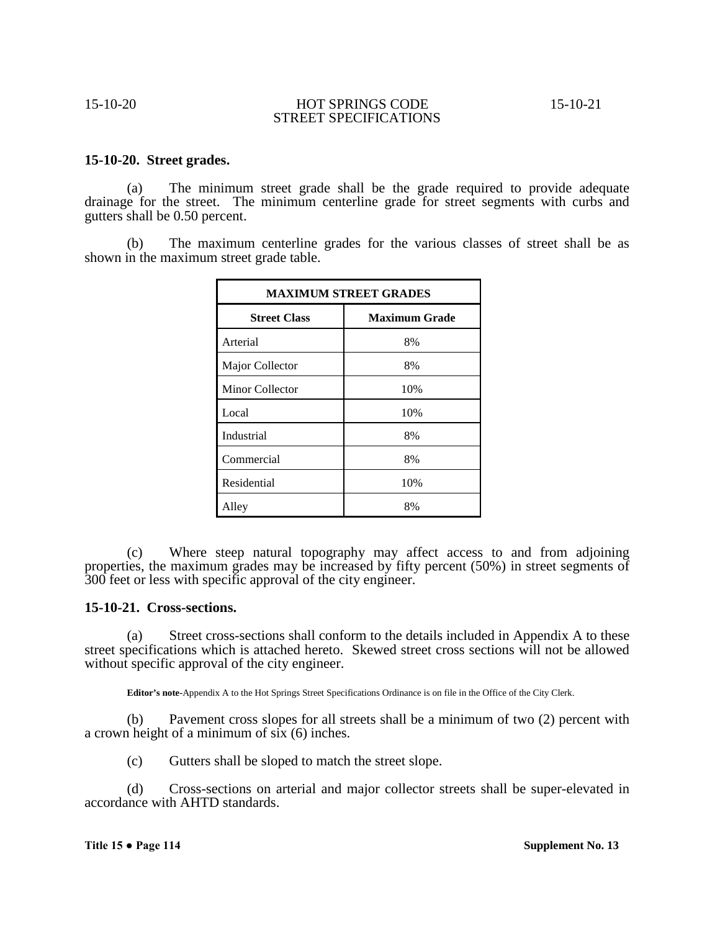# **15-10-20. Street grades.**

(a) The minimum street grade shall be the grade required to provide adequate drainage for the street. The minimum centerline grade for street segments with curbs and gutters shall be 0.50 percent.

(b) The maximum centerline grades for the various classes of street shall be as shown in the maximum street grade table.

| <b>MAXIMUM STREET GRADES</b> |                      |  |
|------------------------------|----------------------|--|
| <b>Street Class</b>          | <b>Maximum Grade</b> |  |
| Arterial                     | 8%                   |  |
| Major Collector              | 8%                   |  |
| Minor Collector              | 10%                  |  |
| Local                        | 10%                  |  |
| Industrial                   | 8%                   |  |
| Commercial                   | 8%                   |  |
| Residential                  | 10%                  |  |
| Alley                        | 8%                   |  |

(c) Where steep natural topography may affect access to and from adjoining properties, the maximum grades may be increased by fifty percent (50%) in street segments of 300 feet or less with specific approval of the city engineer.

# **15-10-21. Cross-sections.**

(a) Street cross-sections shall conform to the details included in Appendix A to these street specifications which is attached hereto. Skewed street cross sections will not be allowed without specific approval of the city engineer.

**Editor's note-**Appendix A to the Hot Springs Street Specifications Ordinance is on file in the Office of the City Clerk.

(b) Pavement cross slopes for all streets shall be a minimum of two (2) percent with a crown height of a minimum of six (6) inches.

(c) Gutters shall be sloped to match the street slope.

(d) Cross-sections on arterial and major collector streets shall be super-elevated in accordance with AHTD standards.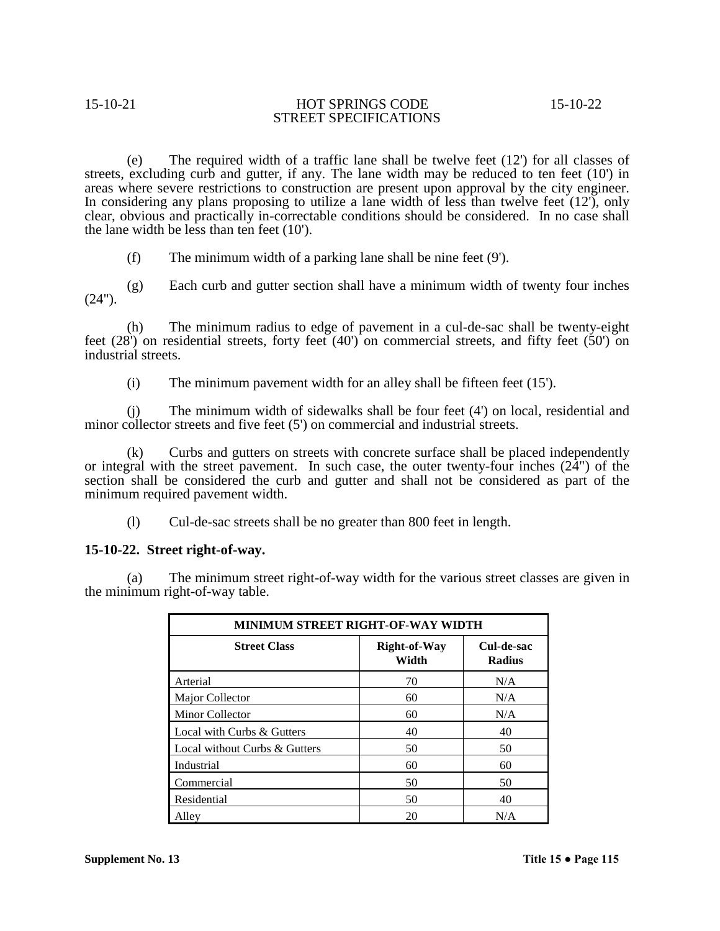(e) The required width of a traffic lane shall be twelve feet (12') for all classes of streets, excluding curb and gutter, if any. The lane width may be reduced to ten feet (10') in areas where severe restrictions to construction are present upon approval by the city engineer. In considering any plans proposing to utilize a lane width of less than twelve feet (12'), only clear, obvious and practically in-correctable conditions should be considered. In no case shall the lane width be less than ten feet (10').

(f) The minimum width of a parking lane shall be nine feet (9').

(g) Each curb and gutter section shall have a minimum width of twenty four inches  $(24")$ .

(h) The minimum radius to edge of pavement in a cul-de-sac shall be twenty-eight feet (28') on residential streets, forty feet (40') on commercial streets, and fifty feet (50') on industrial streets.

(i) The minimum pavement width for an alley shall be fifteen feet  $(15')$ .<br>(i) The minimum width of sidewalks shall be four feet  $(4')$  on local, residential and minor collector streets and five feet (5') on commercial and industrial streets.

(k) Curbs and gutters on streets with concrete surface shall be placed independently or integral with the street pavement. In such case, the outer twenty-four inches (24") of the section shall be considered the curb and gutter and shall not be considered as part of the minimum required pavement width.

(l) Cul-de-sac streets shall be no greater than 800 feet in length.

# **15-10-22. Street right-of-way.**

(a) The minimum street right-of-way width for the various street classes are given in the minimum right-of-way table.

| <b>MINIMUM STREET RIGHT-OF-WAY WIDTH</b> |                              |                             |  |
|------------------------------------------|------------------------------|-----------------------------|--|
| <b>Street Class</b>                      | <b>Right-of-Way</b><br>Width | Cul-de-sac<br><b>Radius</b> |  |
| Arterial                                 | 70                           | N/A                         |  |
| Major Collector                          | 60                           | N/A                         |  |
| Minor Collector                          | 60                           | N/A                         |  |
| Local with Curbs & Gutters               | 40                           | 40                          |  |
| Local without Curbs & Gutters            | 50                           | 50                          |  |
| Industrial                               | 60                           | 60                          |  |
| Commercial                               | 50                           | 50                          |  |
| Residential                              | 50                           | 40                          |  |
| Alley                                    | 20                           | N/A                         |  |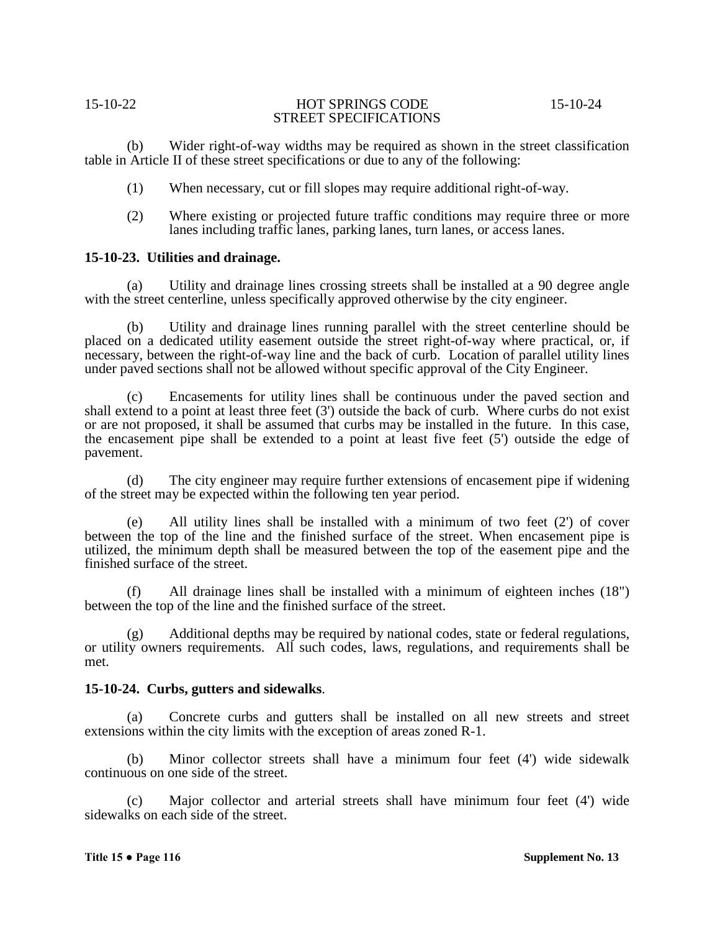(b) Wider right-of-way widths may be required as shown in the street classification table in Article II of these street specifications or due to any of the following:

- (1) When necessary, cut or fill slopes may require additional right-of-way.
- (2) Where existing or projected future traffic conditions may require three or more lanes including traffic lanes, parking lanes, turn lanes, or access lanes.

# **15-10-23. Utilities and drainage.**

(a) Utility and drainage lines crossing streets shall be installed at a 90 degree angle with the street centerline, unless specifically approved otherwise by the city engineer.

(b) Utility and drainage lines running parallel with the street centerline should be placed on a dedicated utility easement outside the street right-of-way where practical, or, if necessary, between the right-of-way line and the back of curb. Location of parallel utility lines under paved sections shall not be allowed without specific approval of the City Engineer.

(c) Encasements for utility lines shall be continuous under the paved section and shall extend to a point at least three feet (3') outside the back of curb. Where curbs do not exist or are not proposed, it shall be assumed that curbs may be installed in the future. In this case, the encasement pipe shall be extended to a point at least five feet (5') outside the edge of pavement.

(d) The city engineer may require further extensions of encasement pipe if widening of the street may be expected within the following ten year period.

(e) All utility lines shall be installed with a minimum of two feet (2') of cover between the top of the line and the finished surface of the street. When encasement pipe is utilized, the minimum depth shall be measured between the top of the easement pipe and the finished surface of the street.

(f) All drainage lines shall be installed with a minimum of eighteen inches (18") between the top of the line and the finished surface of the street.

(g) Additional depths may be required by national codes, state or federal regulations, or utility owners requirements. All such codes, laws, regulations, and requirements shall be met.

### **15-10-24. Curbs, gutters and sidewalks**.

(a) Concrete curbs and gutters shall be installed on all new streets and street extensions within the city limits with the exception of areas zoned R-1.

(b) Minor collector streets shall have a minimum four feet (4') wide sidewalk continuous on one side of the street.

(c) Major collector and arterial streets shall have minimum four feet (4') wide sidewalks on each side of the street.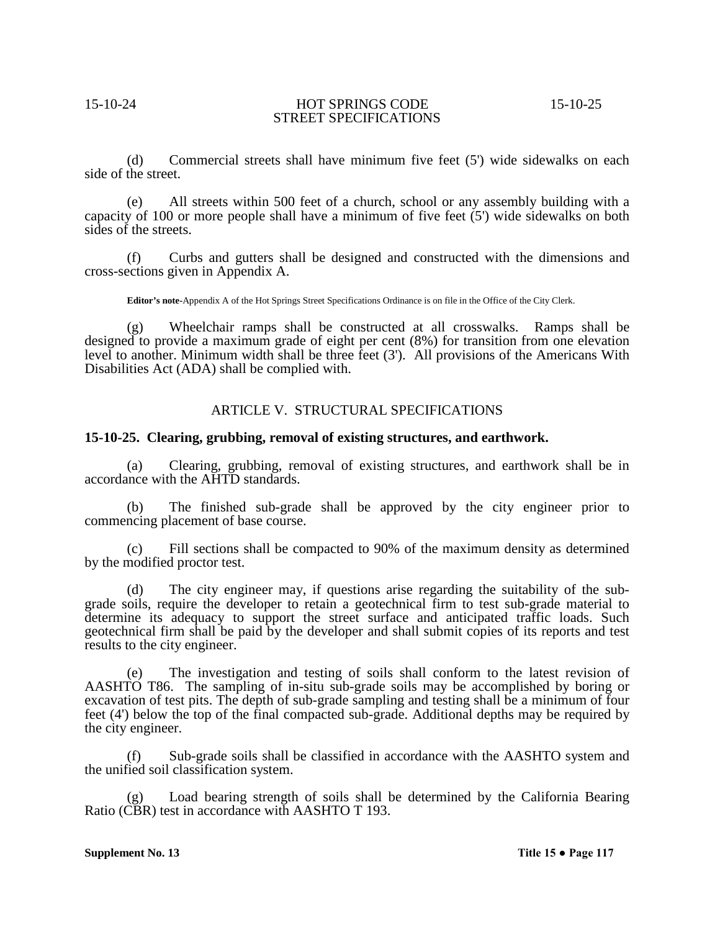(d) Commercial streets shall have minimum five feet (5') wide sidewalks on each side of the street.

(e) All streets within 500 feet of a church, school or any assembly building with a capacity of 100 or more people shall have a minimum of five feet (5') wide sidewalks on both sides of the streets.

(f) Curbs and gutters shall be designed and constructed with the dimensions and cross-sections given in Appendix A.

**Editor's note-**Appendix A of the Hot Springs Street Specifications Ordinance is on file in the Office of the City Clerk.

(g) Wheelchair ramps shall be constructed at all crosswalks. Ramps shall be designed to provide a maximum grade of eight per cent (8%) for transition from one elevation level to another. Minimum width shall be three feet (3'). All provisions of the Americans With Disabilities Act (ADA) shall be complied with.

# ARTICLE V. STRUCTURAL SPECIFICATIONS

### **15-10-25. Clearing, grubbing, removal of existing structures, and earthwork.**

(a) Clearing, grubbing, removal of existing structures, and earthwork shall be in accordance with the AHTD standards.

(b) The finished sub-grade shall be approved by the city engineer prior to commencing placement of base course.

(c) Fill sections shall be compacted to 90% of the maximum density as determined by the modified proctor test.

(d) The city engineer may, if questions arise regarding the suitability of the sub- grade soils, require the developer to retain a geotechnical firm to test sub-grade material to determine its adequacy to support the street surface and anticipated traffic loads. Such geotechnical firm shall be paid by the developer and shall submit copies of its reports and test results to the city engineer.

(e) The investigation and testing of soils shall conform to the latest revision of AASHTO T86. The sampling of in-situ sub-grade soils may be accomplished by boring or excavation of test pits. The depth of sub-grade sampling and testing shall be a minimum of four feet (4') below the top of the final compacted sub-grade. Additional depths may be required by the city engineer.

(f) Sub-grade soils shall be classified in accordance with the AASHTO system and the unified soil classification system.

(g) Load bearing strength of soils shall be determined by the California Bearing Ratio (CBR) test in accordance with AASHTO T 193.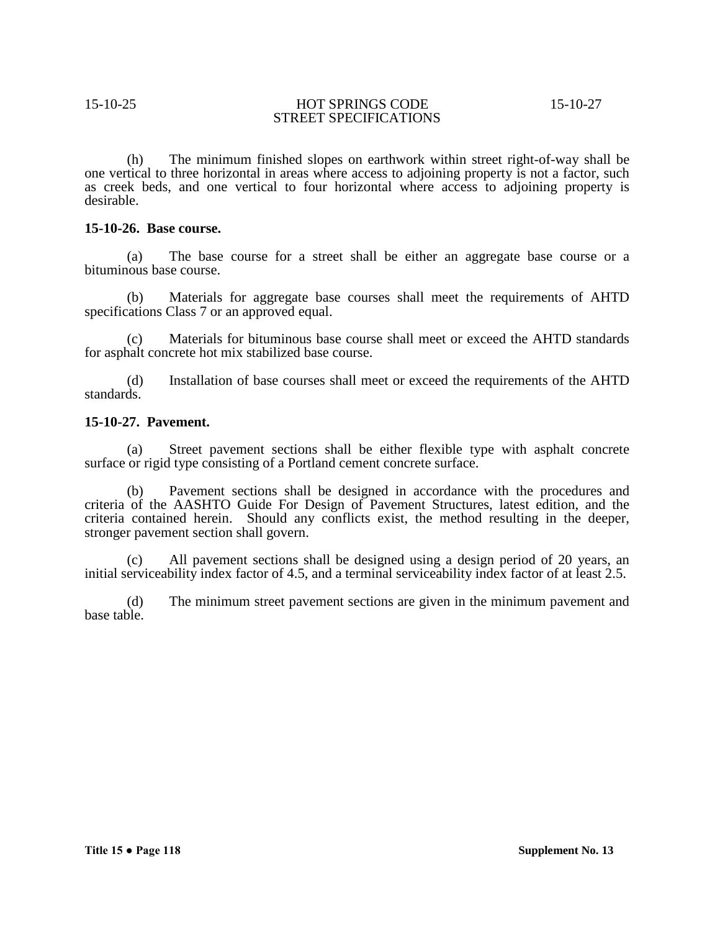(h) The minimum finished slopes on earthwork within street right-of-way shall be one vertical to three horizontal in areas where access to adjoining property is not a factor, such as creek beds, and one vertical to four horizontal where access to adjoining property is desirable.

# **15-10-26. Base course.**

(a) The base course for a street shall be either an aggregate base course or a bituminous base course.

(b) Materials for aggregate base courses shall meet the requirements of AHTD specifications Class 7 or an approved equal.

(c) Materials for bituminous base course shall meet or exceed the AHTD standards for asphalt concrete hot mix stabilized base course.

(d) Installation of base courses shall meet or exceed the requirements of the AHTD standards.

# **15-10-27. Pavement.**

(a) Street pavement sections shall be either flexible type with asphalt concrete surface or rigid type consisting of a Portland cement concrete surface.

(b) Pavement sections shall be designed in accordance with the procedures and criteria of the AASHTO Guide For Design of Pavement Structures, latest edition, and the criteria contained herein. Should any conflicts exist, the method resulting in the deeper, stronger pavement section shall govern.

(c) All pavement sections shall be designed using a design period of 20 years, an initial serviceability index factor of 4.5, and a terminal serviceability index factor of at least 2.5.

(d) The minimum street pavement sections are given in the minimum pavement and base table.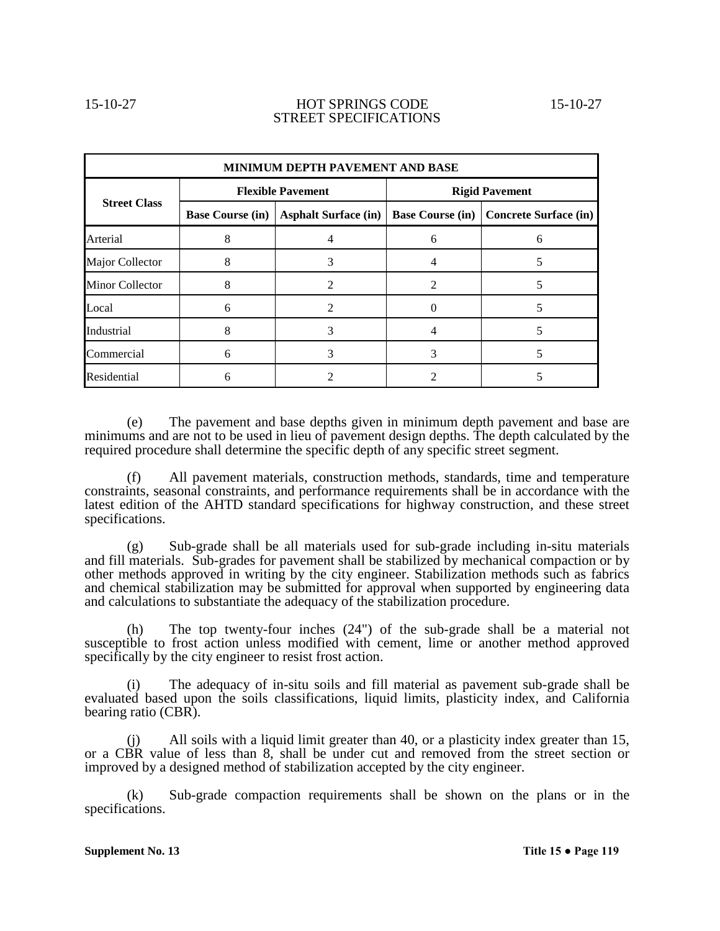| <b>MINIMUM DEPTH PAVEMENT AND BASE</b> |                          |                             |                         |                              |
|----------------------------------------|--------------------------|-----------------------------|-------------------------|------------------------------|
| <b>Street Class</b>                    | <b>Flexible Pavement</b> |                             | <b>Rigid Pavement</b>   |                              |
|                                        | <b>Base Course (in)</b>  | <b>Asphalt Surface (in)</b> | <b>Base Course (in)</b> | <b>Concrete Surface (in)</b> |
| Arterial                               | 8                        | 4                           | 6                       | 6                            |
| Major Collector                        | 8                        | 3                           | 4                       |                              |
| <b>Minor Collector</b>                 | 8                        | 2                           | 2                       |                              |
| Local                                  | 6                        | 2                           | $\theta$                |                              |
| Industrial                             | 8                        | 3                           | 4                       |                              |
| Commercial                             | 6                        |                             |                         |                              |
|                                        |                          |                             |                         |                              |

Residential  $\begin{array}{|c|c|c|c|c|c|c|c|} \hline \multicolumn{1}{c|}{\text{Residential}} & \multicolumn{1}{c|}{\text{6}} & \multicolumn{1}{c|}{\text{2}} & \multicolumn{1}{c|}{\text{2}} & \multicolumn{1}{c|}{\text{3}} \\ \hline \multicolumn{1}{c|}{\text{Residential}} & \multicolumn{1}{c|}{\text{6}} & \multicolumn{1}{c|}{\text{2}} & \multicolumn{1}{c|}{\text{2}} & \multicolumn{1}{c|}{\text{4}} & \multicolumn{1}{c|}{\text{5}}$ 

(e) The pavement and base depths given in minimum depth pavement and base are minimums and are not to be used in lieu of pavement design depths. The depth calculated by the required procedure shall determine the specific depth of any specific street segment.

(f) All pavement materials, construction methods, standards, time and temperature constraints, seasonal constraints, and performance requirements shall be in accordance with the latest edition of the AHTD standard specifications for highway construction, and these street specifications.

(g) Sub-grade shall be all materials used for sub-grade including in-situ materials and fill materials. Sub-grades for pavement shall be stabilized by mechanical compaction or by other methods approved in writing by the city engineer. Stabilization methods such as fabrics and chemical stabilization may be submitted for approval when supported by engineering data and calculations to substantiate the adequacy of the stabilization procedure.

(h) The top twenty-four inches (24") of the sub-grade shall be a material not susceptible to frost action unless modified with cement, lime or another method approved specifically by the city engineer to resist frost action.

(i) The adequacy of in-situ soils and fill material as pavement sub-grade shall be evaluated based upon the soils classifications, liquid limits, plasticity index, and California bearing ratio (CBR).

All soils with a liquid limit greater than 40, or a plasticity index greater than 15, or a CBR value of less than 8, shall be under cut and removed from the street section or improved by a designed method of stabilization accepted by the city engineer.

(k) Sub-grade compaction requirements shall be shown on the plans or in the specifications.

### **Supplement No. 13 Title 15 • Page 119**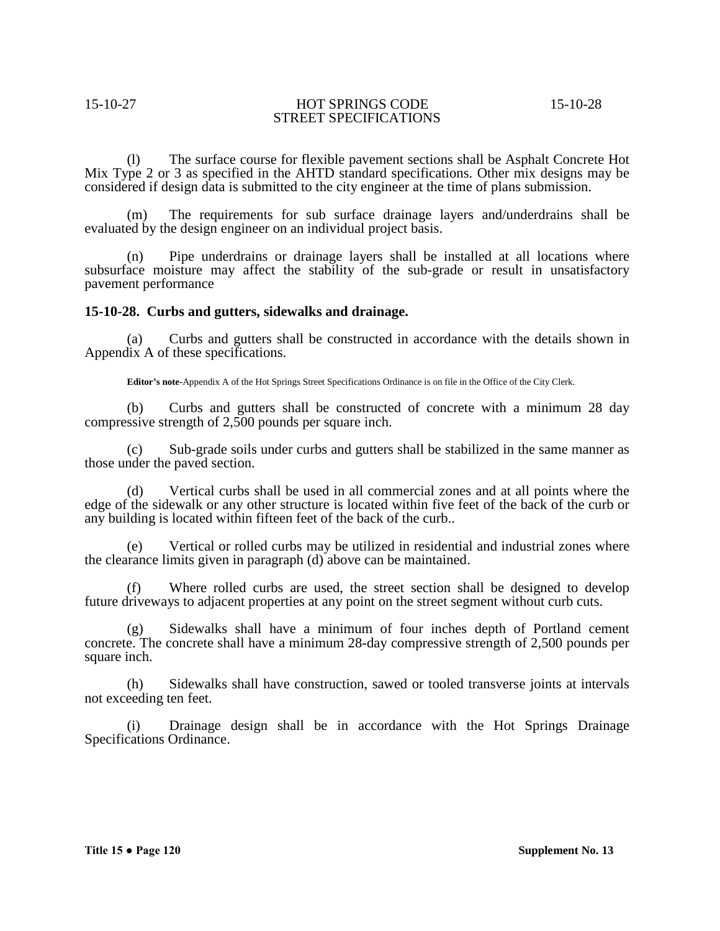(l) The surface course for flexible pavement sections shall be Asphalt Concrete Hot Mix Type 2 or 3 as specified in the AHTD standard specifications. Other mix designs may be considered if design data is submitted to the city engineer at the time of plans submission.

(m) The requirements for sub surface drainage layers and/underdrains shall be evaluated by the design engineer on an individual project basis.

(n) Pipe underdrains or drainage layers shall be installed at all locations where subsurface moisture may affect the stability of the sub-grade or result in unsatisfactory pavement performance

### **15-10-28. Curbs and gutters, sidewalks and drainage.**

(a) Curbs and gutters shall be constructed in accordance with the details shown in Appendix A of these specifications.

**Editor's note-**Appendix A of the Hot Springs Street Specifications Ordinance is on file in the Office of the City Clerk.

(b) Curbs and gutters shall be constructed of concrete with a minimum 28 day compressive strength of 2,500 pounds per square inch.

(c) Sub-grade soils under curbs and gutters shall be stabilized in the same manner as those under the paved section.

(d) Vertical curbs shall be used in all commercial zones and at all points where the edge of the sidewalk or any other structure is located within five feet of the back of the curb or any building is located within fifteen feet of the back of the curb..

(e) Vertical or rolled curbs may be utilized in residential and industrial zones where the clearance limits given in paragraph (d) above can be maintained.

 (f) Where rolled curbs are used, the street section shall be designed to develop future driveways to adjacent properties at any point on the street segment without curb cuts.

(g) Sidewalks shall have a minimum of four inches depth of Portland cement concrete. The concrete shall have a minimum 28-day compressive strength of 2,500 pounds per square inch.

(h) Sidewalks shall have construction, sawed or tooled transverse joints at intervals not exceeding ten feet.

(i) Drainage design shall be in accordance with the Hot Springs Drainage Specifications Ordinance.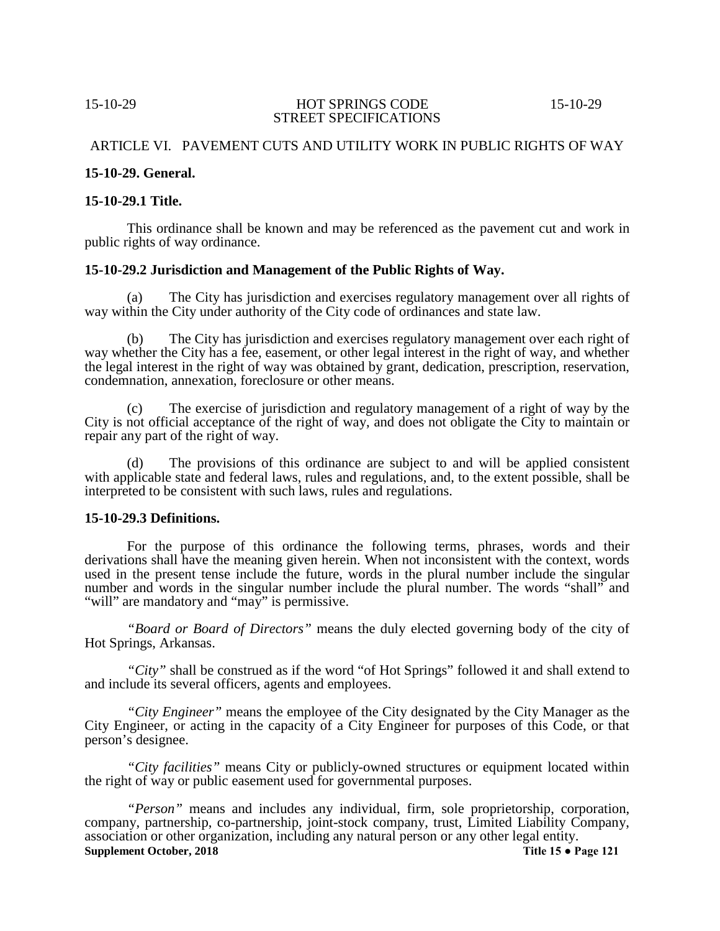# ARTICLE VI. PAVEMENT CUTS AND UTILITY WORK IN PUBLIC RIGHTS OF WAY

# **15-10-29. General.**

# **15-10-29.1 Title.**

This ordinance shall be known and may be referenced as the pavement cut and work in public rights of way ordinance.

# **15-10-29.2 Jurisdiction and Management of the Public Rights of Way.**

(a) The City has jurisdiction and exercises regulatory management over all rights of way within the City under authority of the City code of ordinances and state law.

(b) The City has jurisdiction and exercises regulatory management over each right of way whether the City has a fee, easement, or other legal interest in the right of way, and whether the legal interest in the right of way was obtained by grant, dedication, prescription, reservation, condemnation, annexation, foreclosure or other means.

(c) The exercise of jurisdiction and regulatory management of a right of way by the City is not official acceptance of the right of way, and does not obligate the City to maintain or repair any part of the right of way.

(d) The provisions of this ordinance are subject to and will be applied consistent with applicable state and federal laws, rules and regulations, and, to the extent possible, shall be interpreted to be consistent with such laws, rules and regulations.

### **15-10-29.3 Definitions.**

For the purpose of this ordinance the following terms, phrases, words and their derivations shall have the meaning given herein. When not inconsistent with the context, words used in the present tense include the future, words in the plural number include the singular number and words in the singular number include the plural number. The words "shall" and "will" are mandatory and "may" is permissive.

*"Board or Board of Directors"* means the duly elected governing body of the city of Hot Springs, Arkansas.

*"City"* shall be construed as if the word "of Hot Springs" followed it and shall extend to and include its several officers, agents and employees.

*"City Engineer"* means the employee of the City designated by the City Manager as the City Engineer, or acting in the capacity of a City Engineer for purposes of this Code, or that person's designee.

*"City facilities"* means City or publicly-owned structures or equipment located within the right of way or public easement used for governmental purposes.

*"Person"* means and includes any individual, firm, sole proprietorship, corporation, company, partnership, co-partnership, joint-stock company, trust, Limited Liability Company, association or other organization, including any natural person or any other legal entity.<br>Supplement October, 2018<br>Title 15 • Page 121 **Supplement October, 2018**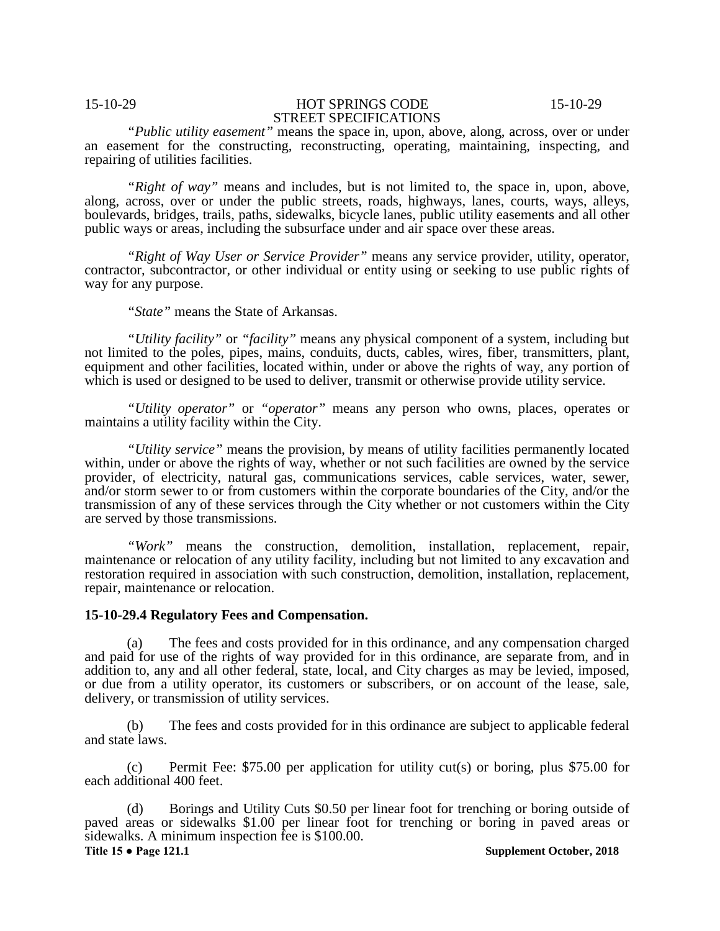*"Public utility easement"* means the space in, upon, above, along, across, over or under an easement for the constructing, reconstructing, operating, maintaining, inspecting, and repairing of utilities facilities.

*"Right of way"* means and includes, but is not limited to, the space in, upon, above, along, across, over or under the public streets, roads, highways, lanes, courts, ways, alleys, boulevards, bridges, trails, paths, sidewalks, bicycle lanes, public utility easements and all other public ways or areas, including the subsurface under and air space over these areas.

*"Right of Way User or Service Provider"* means any service provider, utility, operator, contractor, subcontractor, or other individual or entity using or seeking to use public rights of way for any purpose.

*"State"* means the State of Arkansas.

*"Utility facility"* or *"facility"* means any physical component of a system, including but not limited to the poles, pipes, mains, conduits, ducts, cables, wires, fiber, transmitters, plant, equipment and other facilities, located within, under or above the rights of way, any portion of which is used or designed to be used to deliver, transmit or otherwise provide utility service.

*"Utility operator"* or *"operator"* means any person who owns, places, operates or maintains a utility facility within the City.

*"Utility service"* means the provision, by means of utility facilities permanently located within, under or above the rights of way, whether or not such facilities are owned by the service provider, of electricity, natural gas, communications services, cable services, water, sewer, and/or storm sewer to or from customers within the corporate boundaries of the City, and/or the transmission of any of these services through the City whether or not customers within the City are served by those transmissions.

*"Work"* means the construction, demolition, installation, replacement, repair, maintenance or relocation of any utility facility, including but not limited to any excavation and restoration required in association with such construction, demolition, installation, replacement, repair, maintenance or relocation.

### **15-10-29.4 Regulatory Fees and Compensation.**

(a) The fees and costs provided for in this ordinance, and any compensation charged and paid for use of the rights of way provided for in this ordinance, are separate from, and in addition to, any and all other federal, state, local, and City charges as may be levied, imposed, or due from a utility operator, its customers or subscribers, or on account of the lease, sale, delivery, or transmission of utility services.

(b) The fees and costs provided for in this ordinance are subject to applicable federal and state laws.

Permit Fee: \$75.00 per application for utility cut(s) or boring, plus \$75.00 for each additional 400 feet.

(d) Borings and Utility Cuts \$0.50 per linear foot for trenching or boring outside of paved areas or sidewalks \$1.00 per linear foot for trenching or boring in paved areas or sidewalks. A minimum inspection fee is \$100.00.<br>Title 15  $\bullet$  Page 121.1 **Supplement October, 2018**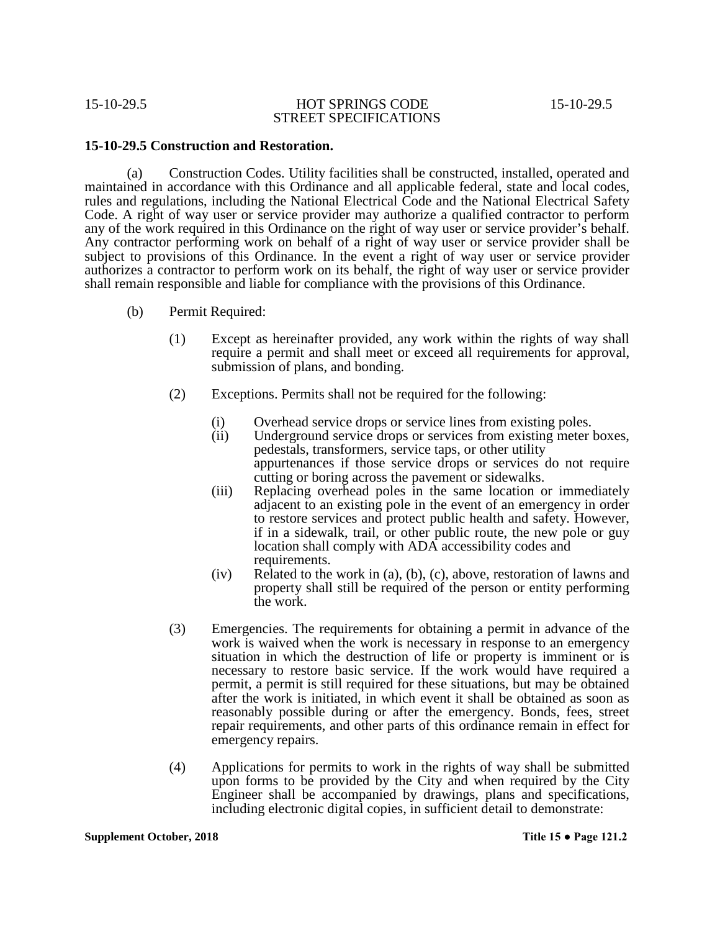# **15-10-29.5 Construction and Restoration.**

(a) Construction Codes. Utility facilities shall be constructed, installed, operated and maintained in accordance with this Ordinance and all applicable federal, state and local codes, rules and regulations, including the National Electrical Code and the National Electrical Safety Code. A right of way user or service provider may authorize a qualified contractor to perform any of the work required in this Ordinance on the right of way user or service provider's behalf. Any contractor performing work on behalf of a right of way user or service provider shall be subject to provisions of this Ordinance. In the event a right of way user or service provider authorizes a contractor to perform work on its behalf, the right of way user or service provider shall remain responsible and liable for compliance with the provisions of this Ordinance.

- (b) Permit Required:
	- (1) Except as hereinafter provided, any work within the rights of way shall require a permit and shall meet or exceed all requirements for approval, submission of plans, and bonding.
	- (2) Exceptions. Permits shall not be required for the following:
		- (i) Overhead service drops or service lines from existing poles.
		- (ii) Underground service drops or services from existing meter boxes, pedestals, transformers, service taps, or other utility appurtenances if those service drops or services do not require cutting or boring across the pavement or sidewalks.
		- (iii) Replacing overhead poles in the same location or immediately adjacent to an existing pole in the event of an emergency in order to restore services and protect public health and safety. However, if in a sidewalk, trail, or other public route, the new pole or guy location shall comply with ADA accessibility codes and requirements.
		- (iv) Related to the work in (a), (b), (c), above, restoration of lawns and property shall still be required of the person or entity performing the work.
	- (3) Emergencies. The requirements for obtaining a permit in advance of the work is waived when the work is necessary in response to an emergency situation in which the destruction of life or property is imminent or is necessary to restore basic service. If the work would have required a permit, a permit is still required for these situations, but may be obtained after the work is initiated, in which event it shall be obtained as soon as reasonably possible during or after the emergency. Bonds, fees, street repair requirements, and other parts of this ordinance remain in effect for emergency repairs.
	- (4) Applications for permits to work in the rights of way shall be submitted upon forms to be provided by the City and when required by the City Engineer shall be accompanied by drawings, plans and specifications, including electronic digital copies, in sufficient detail to demonstrate: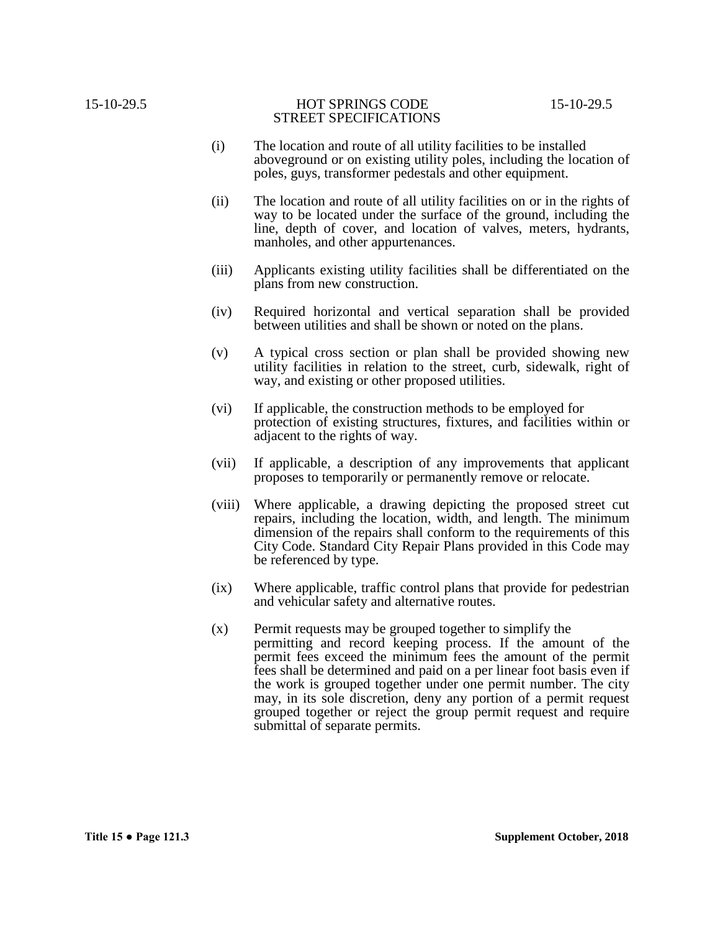- (i) The location and route of all utility facilities to be installed aboveground or on existing utility poles, including the location of poles, guys, transformer pedestals and other equipment.
- (ii) The location and route of all utility facilities on or in the rights of way to be located under the surface of the ground, including the line, depth of cover, and location of valves, meters, hydrants, manholes, and other appurtenances.
- (iii) Applicants existing utility facilities shall be differentiated on the plans from new construction.
- (iv) Required horizontal and vertical separation shall be provided between utilities and shall be shown or noted on the plans.
- (v) A typical cross section or plan shall be provided showing new utility facilities in relation to the street, curb, sidewalk, right of way, and existing or other proposed utilities.
- (vi) If applicable, the construction methods to be employed for protection of existing structures, fixtures, and facilities within or adjacent to the rights of way.
- (vii) If applicable, a description of any improvements that applicant proposes to temporarily or permanently remove or relocate.
- (viii) Where applicable, a drawing depicting the proposed street cut repairs, including the location, width, and length. The minimum dimension of the repairs shall conform to the requirements of this City Code. Standard City Repair Plans provided in this Code may be referenced by type.
- (ix) Where applicable, traffic control plans that provide for pedestrian and vehicular safety and alternative routes.
- (x) Permit requests may be grouped together to simplify the permitting and record keeping process. If the amount of the permit fees exceed the minimum fees the amount of the permit fees shall be determined and paid on a per linear foot basis even if the work is grouped together under one permit number. The city may, in its sole discretion, deny any portion of a permit request grouped together or reject the group permit request and require submittal of separate permits.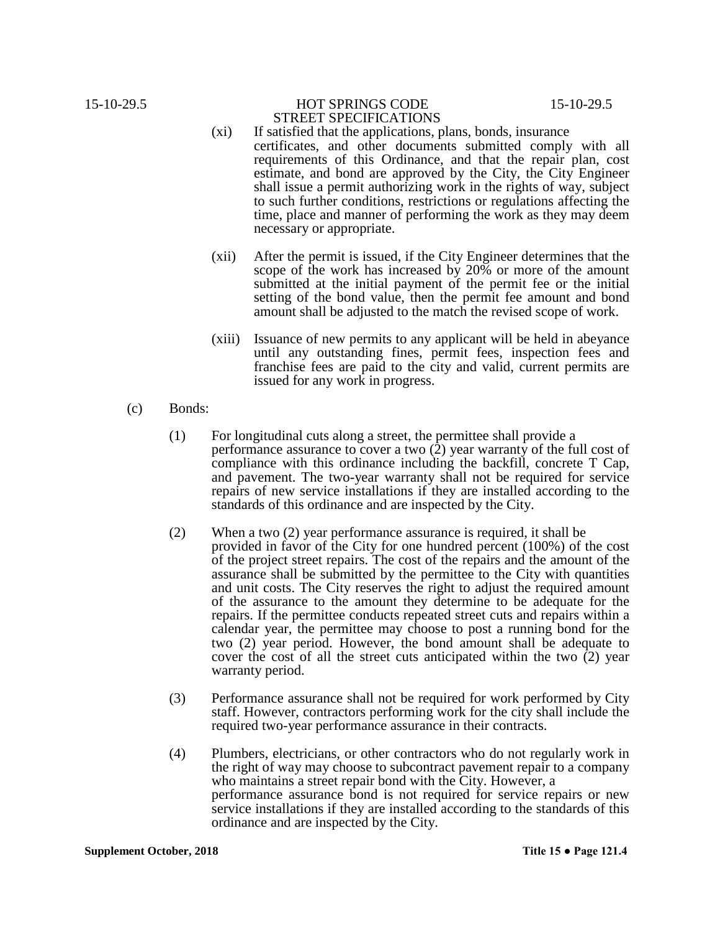- (xi) If satisfied that the applications, plans, bonds, insurance certificates, and other documents submitted comply with all requirements of this Ordinance, and that the repair plan, cost estimate, and bond are approved by the City, the City Engineer shall issue a permit authorizing work in the rights of way, subject to such further conditions, restrictions or regulations affecting the time, place and manner of performing the work as they may deem necessary or appropriate.
- (xii) After the permit is issued, if the City Engineer determines that the scope of the work has increased by 20% or more of the amount submitted at the initial payment of the permit fee or the initial setting of the bond value, then the permit fee amount and bond amount shall be adjusted to the match the revised scope of work.
- (xiii) Issuance of new permits to any applicant will be held in abeyance until any outstanding fines, permit fees, inspection fees and franchise fees are paid to the city and valid, current permits are issued for any work in progress.
- (c) Bonds:
	- (1) For longitudinal cuts along a street, the permittee shall provide a performance assurance to cover a two (2) year warranty of the full cost of compliance with this ordinance including the backfill, concrete T Cap, and pavement. The two-year warranty shall not be required for service repairs of new service installations if they are installed according to the standards of this ordinance and are inspected by the City.
	- (2) When a two (2) year performance assurance is required, it shall be provided in favor of the City for one hundred percent (100%) of the cost of the project street repairs. The cost of the repairs and the amount of the assurance shall be submitted by the permittee to the City with quantities and unit costs. The City reserves the right to adjust the required amount of the assurance to the amount they determine to be adequate for the repairs. If the permittee conducts repeated street cuts and repairs within a calendar year, the permittee may choose to post a running bond for the two (2) year period. However, the bond amount shall be adequate to cover the cost of all the street cuts anticipated within the two (2) year warranty period.
	- (3) Performance assurance shall not be required for work performed by City staff. However, contractors performing work for the city shall include the required two-year performance assurance in their contracts.
	- (4) Plumbers, electricians, or other contractors who do not regularly work in the right of way may choose to subcontract pavement repair to a company who maintains a street repair bond with the City. However, a performance assurance bond is not required for service repairs or new service installations if they are installed according to the standards of this ordinance and are inspected by the City.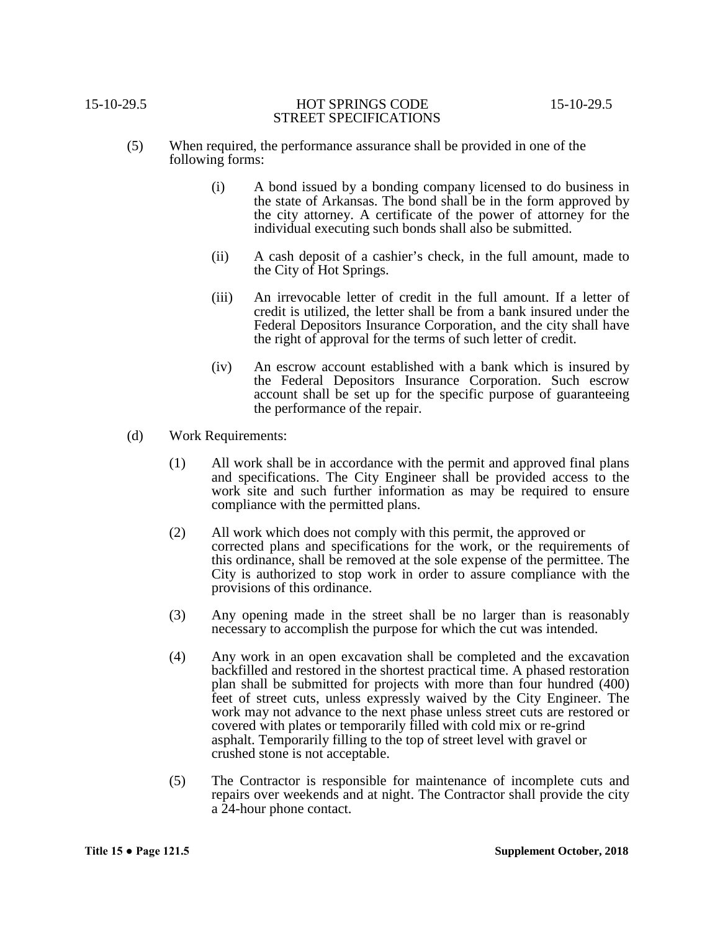# (5) When required, the performance assurance shall be provided in one of the following forms:

- (i) A bond issued by a bonding company licensed to do business in the state of Arkansas. The bond shall be in the form approved by the city attorney. A certificate of the power of attorney for the individual executing such bonds shall also be submitted.
- (ii) A cash deposit of a cashier's check, in the full amount, made to the City of Hot Springs.
- (iii) An irrevocable letter of credit in the full amount. If a letter of credit is utilized, the letter shall be from a bank insured under the Federal Depositors Insurance Corporation, and the city shall have the right of approval for the terms of such letter of credit.
- (iv) An escrow account established with a bank which is insured by the Federal Depositors Insurance Corporation. Such escrow account shall be set up for the specific purpose of guaranteeing the performance of the repair.
- (d) Work Requirements:
	- (1) All work shall be in accordance with the permit and approved final plans and specifications. The City Engineer shall be provided access to the work site and such further information as may be required to ensure compliance with the permitted plans.
	- (2) All work which does not comply with this permit, the approved or corrected plans and specifications for the work, or the requirements of this ordinance, shall be removed at the sole expense of the permittee. The City is authorized to stop work in order to assure compliance with the provisions of this ordinance.
	- (3) Any opening made in the street shall be no larger than is reasonably necessary to accomplish the purpose for which the cut was intended.
	- (4) Any work in an open excavation shall be completed and the excavation backfilled and restored in the shortest practical time. A phased restoration plan shall be submitted for projects with more than four hundred (400) feet of street cuts, unless expressly waived by the City Engineer. The work may not advance to the next phase unless street cuts are restored or covered with plates or temporarily filled with cold mix or re-grind asphalt. Temporarily filling to the top of street level with gravel or crushed stone is not acceptable.
	- (5) The Contractor is responsible for maintenance of incomplete cuts and repairs over weekends and at night. The Contractor shall provide the city a 24-hour phone contact.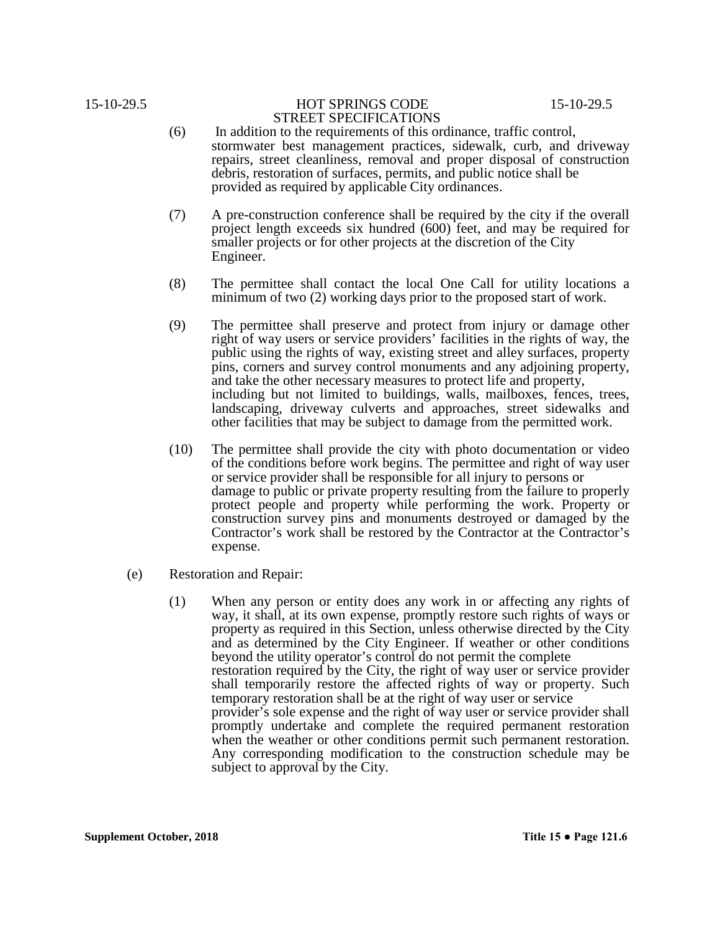- (6) In addition to the requirements of this ordinance, traffic control, stormwater best management practices, sidewalk, curb, and driveway repairs, street cleanliness, removal and proper disposal of construction debris, restoration of surfaces, permits, and public notice shall be provided as required by applicable City ordinances.
- (7) A pre-construction conference shall be required by the city if the overall project length exceeds six hundred (600) feet, and may be required for smaller projects or for other projects at the discretion of the City Engineer.
- (8) The permittee shall contact the local One Call for utility locations a minimum of two (2) working days prior to the proposed start of work.
- (9) The permittee shall preserve and protect from injury or damage other right of way users or service providers' facilities in the rights of way, the public using the rights of way, existing street and alley surfaces, property pins, corners and survey control monuments and any adjoining property, and take the other necessary measures to protect life and property, including but not limited to buildings, walls, mailboxes, fences, trees, landscaping, driveway culverts and approaches, street sidewalks and other facilities that may be subject to damage from the permitted work.
- (10) The permittee shall provide the city with photo documentation or video of the conditions before work begins. The permittee and right of way user or service provider shall be responsible for all injury to persons or damage to public or private property resulting from the failure to properly protect people and property while performing the work. Property or construction survey pins and monuments destroyed or damaged by the Contractor's work shall be restored by the Contractor at the Contractor's expense.
- (e) Restoration and Repair:
	- (1) When any person or entity does any work in or affecting any rights of way, it shall, at its own expense, promptly restore such rights of ways or property as required in this Section, unless otherwise directed by the City and as determined by the City Engineer. If weather or other conditions beyond the utility operator's control do not permit the complete restoration required by the City, the right of way user or service provider shall temporarily restore the affected rights of way or property. Such temporary restoration shall be at the right of way user or service provider's sole expense and the right of way user or service provider shall promptly undertake and complete the required permanent restoration when the weather or other conditions permit such permanent restoration. Any corresponding modification to the construction schedule may be subject to approval by the City.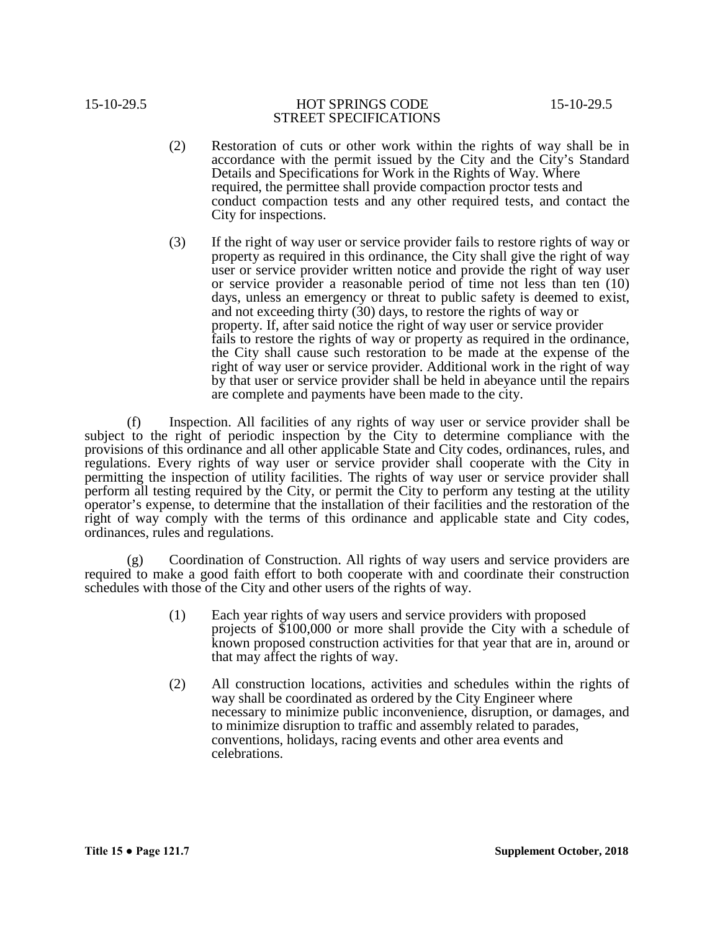- 
- (2) Restoration of cuts or other work within the rights of way shall be in accordance with the permit issued by the City and the City's Standard Details and Specifications for Work in the Rights of Way. Where required, the permittee shall provide compaction proctor tests and conduct compaction tests and any other required tests, and contact the City for inspections.
- (3) If the right of way user or service provider fails to restore rights of way or property as required in this ordinance, the City shall give the right of way user or service provider written notice and provide the right of way user or service provider a reasonable period of time not less than ten (10) days, unless an emergency or threat to public safety is deemed to exist, and not exceeding thirty (30) days, to restore the rights of way or property. If, after said notice the right of way user or service provider fails to restore the rights of way or property as required in the ordinance, the City shall cause such restoration to be made at the expense of the right of way user or service provider. Additional work in the right of way by that user or service provider shall be held in abeyance until the repairs are complete and payments have been made to the city.

(f) Inspection. All facilities of any rights of way user or service provider shall be subject to the right of periodic inspection by the City to determine compliance with the provisions of this ordinance and all other applicable State and City codes, ordinances, rules, and regulations. Every rights of way user or service provider shall cooperate with the City in permitting the inspection of utility facilities. The rights of way user or service provider shall perform all testing required by the City, or permit the City to perform any testing at the utility operator's expense, to determine that the installation of their facilities and the restoration of the right of way comply with the terms of this ordinance and applicable state and City codes, ordinances, rules and regulations.

(g) Coordination of Construction. All rights of way users and service providers are required to make a good faith effort to both cooperate with and coordinate their construction schedules with those of the City and other users of the rights of way.

- (1) Each year rights of way users and service providers with proposed projects of \$100,000 or more shall provide the City with a schedule of known proposed construction activities for that year that are in, around or that may affect the rights of way.
- (2) All construction locations, activities and schedules within the rights of way shall be coordinated as ordered by the City Engineer where necessary to minimize public inconvenience, disruption, or damages, and to minimize disruption to traffic and assembly related to parades, conventions, holidays, racing events and other area events and celebrations.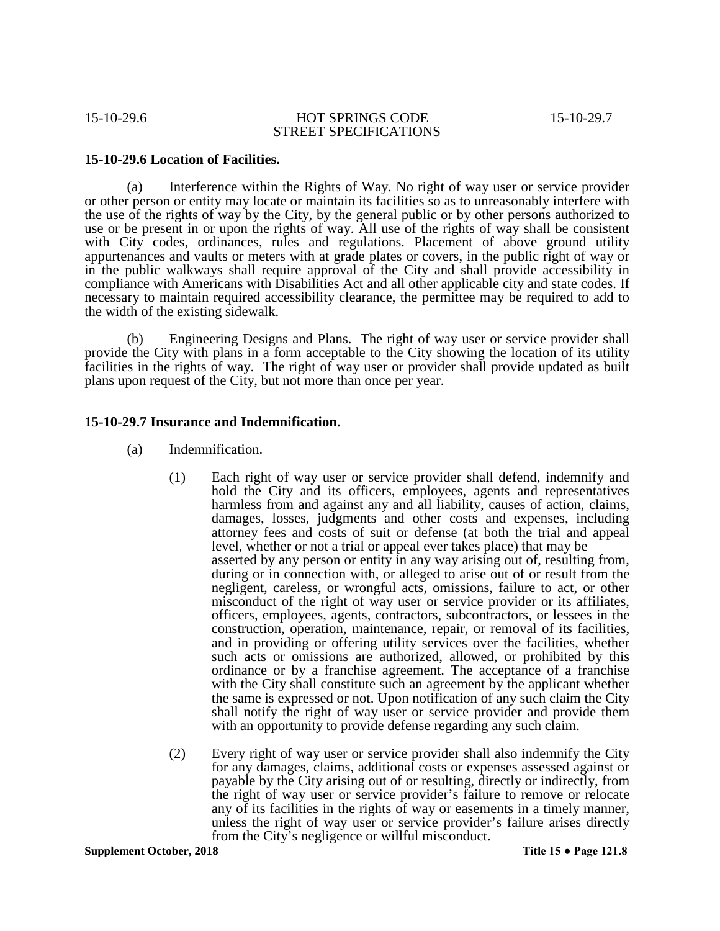# **15-10-29.6 Location of Facilities.**

(a) Interference within the Rights of Way. No right of way user or service provider or other person or entity may locate or maintain its facilities so as to unreasonably interfere with the use of the rights of way by the City, by the general public or by other persons authorized to use or be present in or upon the rights of way. All use of the rights of way shall be consistent with City codes, ordinances, rules and regulations. Placement of above ground utility appurtenances and vaults or meters with at grade plates or covers, in the public right of way or in the public walkways shall require approval of the City and shall provide accessibility in compliance with Americans with Disabilities Act and all other applicable city and state codes. If necessary to maintain required accessibility clearance, the permittee may be required to add to the width of the existing sidewalk.

(b) Engineering Designs and Plans. The right of way user or service provider shall provide the City with plans in a form acceptable to the City showing the location of its utility facilities in the rights of way. The right of way user or provider shall provide updated as built plans upon request of the City, but not more than once per year.

# **15-10-29.7 Insurance and Indemnification.**

- (a) Indemnification.
	- (1) Each right of way user or service provider shall defend, indemnify and hold the City and its officers, employees, agents and representatives harmless from and against any and all liability, causes of action, claims, damages, losses, judgments and other costs and expenses, including attorney fees and costs of suit or defense (at both the trial and appeal level, whether or not a trial or appeal ever takes place) that may be asserted by any person or entity in any way arising out of, resulting from, during or in connection with, or alleged to arise out of or result from the negligent, careless, or wrongful acts, omissions, failure to act, or other misconduct of the right of way user or service provider or its affiliates, officers, employees, agents, contractors, subcontractors, or lessees in the construction, operation, maintenance, repair, or removal of its facilities, and in providing or offering utility services over the facilities, whether such acts or omissions are authorized, allowed, or prohibited by this ordinance or by a franchise agreement. The acceptance of a franchise with the City shall constitute such an agreement by the applicant whether the same is expressed or not. Upon notification of any such claim the City shall notify the right of way user or service provider and provide them with an opportunity to provide defense regarding any such claim.
	- (2) Every right of way user or service provider shall also indemnify the City for any damages, claims, additional costs or expenses assessed against or payable by the City arising out of or resulting, directly or indirectly, from the right of way user or service provider's failure to remove or relocate any of its facilities in the rights of way or easements in a timely manner, unless the right of way user or service provider's failure arises directly from the City's negligence or willful misconduct.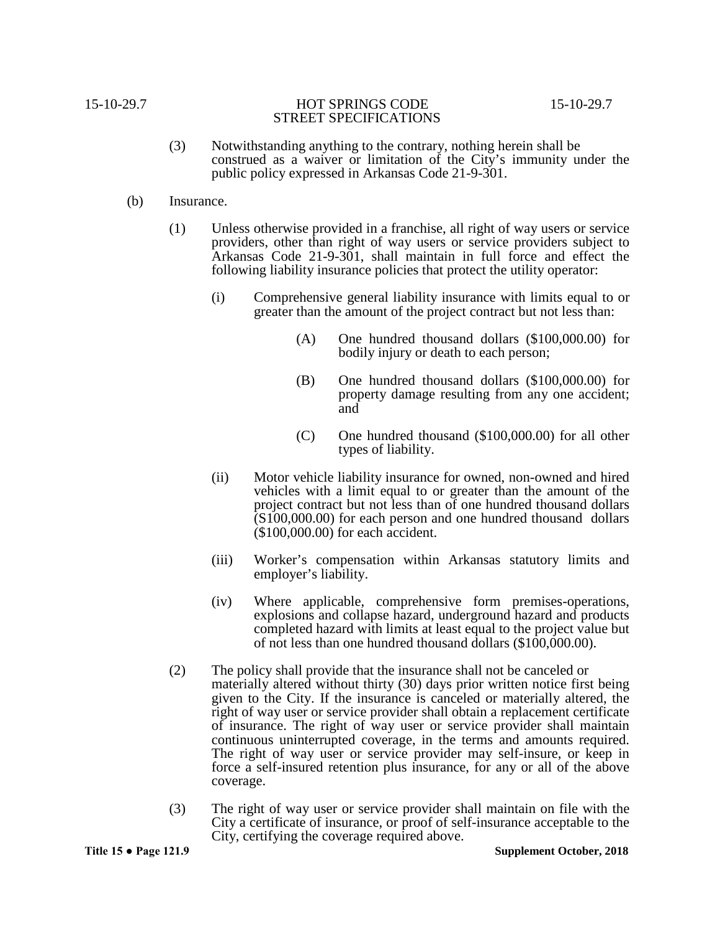- (3) Notwithstanding anything to the contrary, nothing herein shall be construed as a waiver or limitation of the City's immunity under the public policy expressed in Arkansas Code 21-9-301.
- (b) Insurance.
	- (1) Unless otherwise provided in a franchise, all right of way users or service providers, other than right of way users or service providers subject to Arkansas Code 21-9-301, shall maintain in full force and effect the following liability insurance policies that protect the utility operator:
		- (i) Comprehensive general liability insurance with limits equal to or greater than the amount of the project contract but not less than:
			- (A) One hundred thousand dollars (\$100,000.00) for bodily injury or death to each person;
			- (B) One hundred thousand dollars (\$100,000.00) for property damage resulting from any one accident; and
			- (C) One hundred thousand (\$100,000.00) for all other types of liability.
		- (ii) Motor vehicle liability insurance for owned, non-owned and hired vehicles with a limit equal to or greater than the amount of the project contract but not less than of one hundred thousand dollars (S100,000.00) for each person and one hundred thousand dollars (\$100,000.00) for each accident.
		- (iii) Worker's compensation within Arkansas statutory limits and employer's liability.
		- (iv) Where applicable, comprehensive form premises-operations, explosions and collapse hazard, underground hazard and products completed hazard with limits at least equal to the project value but of not less than one hundred thousand dollars (\$100,000.00).
	- (2) The policy shall provide that the insurance shall not be canceled or materially altered without thirty (30) days prior written notice first being given to the City. If the insurance is canceled or materially altered, the right of way user or service provider shall obtain a replacement certificate of insurance. The right of way user or service provider shall maintain continuous uninterrupted coverage, in the terms and amounts required. The right of way user or service provider may self-insure, or keep in force a self-insured retention plus insurance, for any or all of the above coverage.
	- (3) The right of way user or service provider shall maintain on file with the City a certificate of insurance, or proof of self-insurance acceptable to the City, certifying the coverage required above.

**Title 15 ● Page 121.9 Supplement October, 2018**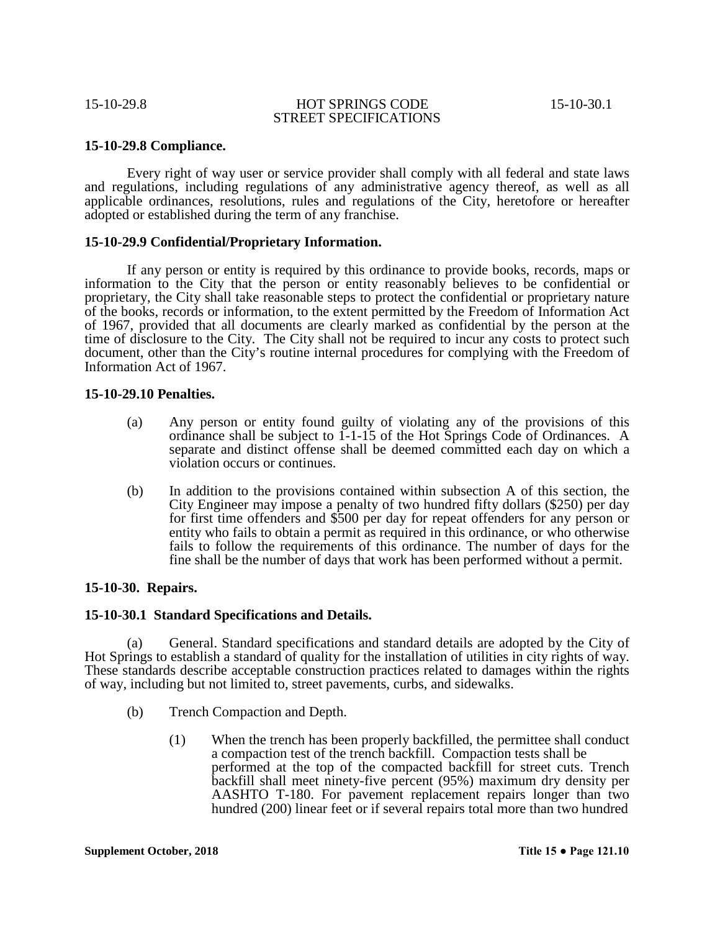# **15-10-29.8 Compliance.**

Every right of way user or service provider shall comply with all federal and state laws and regulations, including regulations of any administrative agency thereof, as well as all applicable ordinances, resolutions, rules and regulations of the City, heretofore or hereafter adopted or established during the term of any franchise.

### **15-10-29.9 Confidential/Proprietary Information.**

If any person or entity is required by this ordinance to provide books, records, maps or information to the City that the person or entity reasonably believes to be confidential or proprietary, the City shall take reasonable steps to protect the confidential or proprietary nature of the books, records or information, to the extent permitted by the Freedom of Information Act of 1967, provided that all documents are clearly marked as confidential by the person at the time of disclosure to the City. The City shall not be required to incur any costs to protect such document, other than the City's routine internal procedures for complying with the Freedom of Information Act of 1967.

### **15-10-29.10 Penalties.**

- (a) Any person or entity found guilty of violating any of the provisions of this ordinance shall be subject to 1-1-15 of the Hot Springs Code of Ordinances. A separate and distinct offense shall be deemed committed each day on which a violation occurs or continues.
- (b) In addition to the provisions contained within subsection A of this section, the City Engineer may impose a penalty of two hundred fifty dollars (\$250) per day for first time offenders and \$500 per day for repeat offenders for any person or entity who fails to obtain a permit as required in this ordinance, or who otherwise fails to follow the requirements of this ordinance. The number of days for the fine shall be the number of days that work has been performed without a permit.

# **15-10-30. Repairs.**

### **15-10-30.1 Standard Specifications and Details.**

(a) General. Standard specifications and standard details are adopted by the City of Hot Springs to establish a standard of quality for the installation of utilities in city rights of way. These standards describe acceptable construction practices related to damages within the rights of way, including but not limited to, street pavements, curbs, and sidewalks.

- (b) Trench Compaction and Depth.
	- (1) When the trench has been properly backfilled, the permittee shall conduct a compaction test of the trench backfill. Compaction tests shall be performed at the top of the compacted backfill for street cuts. Trench backfill shall meet ninety-five percent (95%) maximum dry density per AASHTO T-180. For pavement replacement repairs longer than two hundred (200) linear feet or if several repairs total more than two hundred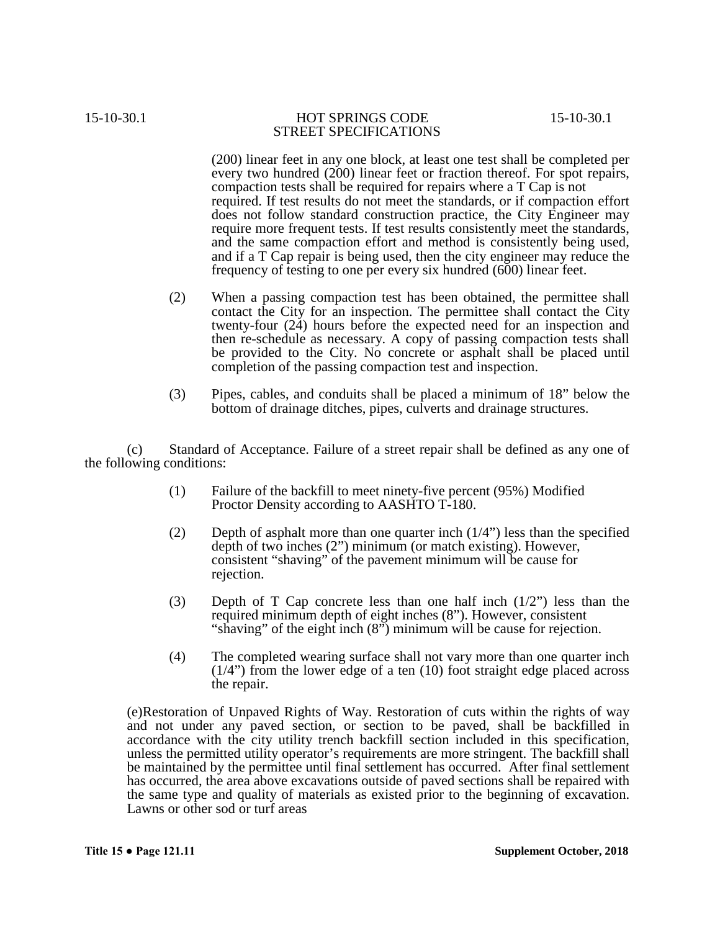(200) linear feet in any one block, at least one test shall be completed per every two hundred (200) linear feet or fraction thereof. For spot repairs, compaction tests shall be required for repairs where a T Cap is not required. If test results do not meet the standards, or if compaction effort does not follow standard construction practice, the City Engineer may require more frequent tests. If test results consistently meet the standards, and the same compaction effort and method is consistently being used, and if a T Cap repair is being used, then the city engineer may reduce the frequency of testing to one per every six hundred (600) linear feet.

- (2) When a passing compaction test has been obtained, the permittee shall contact the City for an inspection. The permittee shall contact the City twenty-four (24) hours before the expected need for an inspection and then re-schedule as necessary. A copy of passing compaction tests shall be provided to the City. No concrete or asphalt shall be placed until completion of the passing compaction test and inspection.
- (3) Pipes, cables, and conduits shall be placed a minimum of 18" below the bottom of drainage ditches, pipes, culverts and drainage structures.

(c) Standard of Acceptance. Failure of a street repair shall be defined as any one of the following conditions:

- (1) Failure of the backfill to meet ninety-five percent (95%) Modified Proctor Density according to AASHTO T-180.
- (2) Depth of asphalt more than one quarter inch  $(1/4)$  less than the specified depth of two inches (2") minimum (or match existing). However, consistent "shaving" of the pavement minimum will be cause for rejection.
- (3) Depth of T Cap concrete less than one half inch  $(1/2)$ ") less than the required minimum depth of eight inches (8"). However, consistent "shaving" of the eight inch (8") minimum will be cause for rejection.
- (4) The completed wearing surface shall not vary more than one quarter inch (1/4") from the lower edge of a ten (10) foot straight edge placed across the repair.

(e)Restoration of Unpaved Rights of Way. Restoration of cuts within the rights of way and not under any paved section, or section to be paved, shall be backfilled in accordance with the city utility trench backfill section included in this specification, unless the permitted utility operator's requirements are more stringent. The backfill shall be maintained by the permittee until final settlement has occurred. After final settlement has occurred, the area above excavations outside of paved sections shall be repaired with the same type and quality of materials as existed prior to the beginning of excavation. Lawns or other sod or turf areas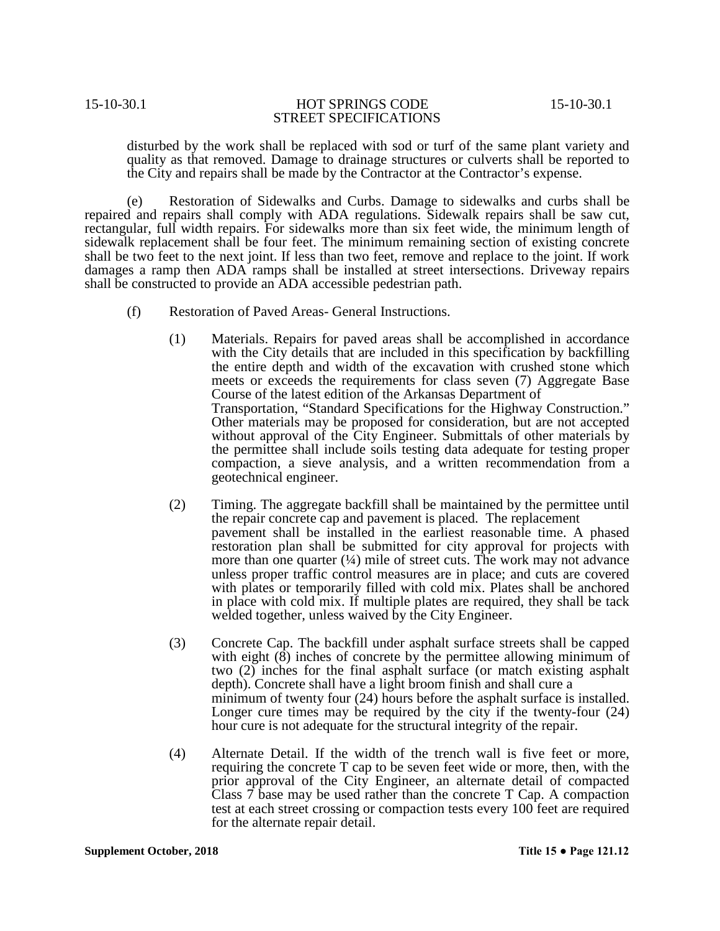disturbed by the work shall be replaced with sod or turf of the same plant variety and quality as that removed. Damage to drainage structures or culverts shall be reported to the City and repairs shall be made by the Contractor at the Contractor's expense.

(e) Restoration of Sidewalks and Curbs. Damage to sidewalks and curbs shall be repaired and repairs shall comply with ADA regulations. Sidewalk repairs shall be saw cut, rectangular, full width repairs. For sidewalks more than six feet wide, the minimum length of sidewalk replacement shall be four feet. The minimum remaining section of existing concrete shall be two feet to the next joint. If less than two feet, remove and replace to the joint. If work damages a ramp then ADA ramps shall be installed at street intersections. Driveway repairs shall be constructed to provide an ADA accessible pedestrian path.

- (f) Restoration of Paved Areas- General Instructions.
	- (1) Materials. Repairs for paved areas shall be accomplished in accordance with the City details that are included in this specification by backfilling the entire depth and width of the excavation with crushed stone which meets or exceeds the requirements for class seven (7) Aggregate Base Course of the latest edition of the Arkansas Department of Transportation, "Standard Specifications for the Highway Construction." Other materials may be proposed for consideration, but are not accepted without approval of the City Engineer. Submittals of other materials by the permittee shall include soils testing data adequate for testing proper compaction, a sieve analysis, and a written recommendation from a geotechnical engineer.
	- (2) Timing. The aggregate backfill shall be maintained by the permittee until the repair concrete cap and pavement is placed. The replacement pavement shall be installed in the earliest reasonable time. A phased restoration plan shall be submitted for city approval for projects with more than one quarter  $(½)$  mile of street cuts. The work may not advance unless proper traffic control measures are in place; and cuts are covered with plates or temporarily filled with cold mix. Plates shall be anchored in place with cold mix. If multiple plates are required, they shall be tack welded together, unless waived by the City Engineer.
	- (3) Concrete Cap. The backfill under asphalt surface streets shall be capped with eight  $(\hat{8})$  inches of concrete by the permittee allowing minimum of two (2) inches for the final asphalt surface (or match existing asphalt depth). Concrete shall have a light broom finish and shall cure a minimum of twenty four (24) hours before the asphalt surface is installed. Longer cure times may be required by the city if the twenty-four (24) hour cure is not adequate for the structural integrity of the repair.
	- (4) Alternate Detail. If the width of the trench wall is five feet or more, requiring the concrete T cap to be seven feet wide or more, then, with the prior approval of the City Engineer, an alternate detail of compacted Class 7 base may be used rather than the concrete T Cap. A compaction test at each street crossing or compaction tests every 100 feet are required for the alternate repair detail.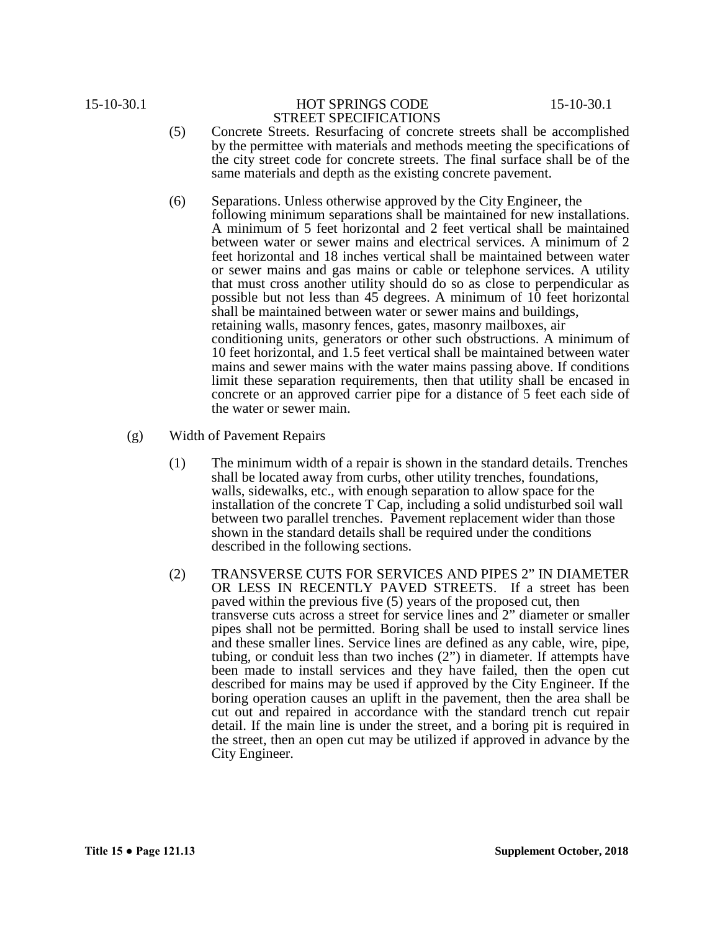- (5) Concrete Streets. Resurfacing of concrete streets shall be accomplished by the permittee with materials and methods meeting the specifications of the city street code for concrete streets. The final surface shall be of the same materials and depth as the existing concrete pavement.
- (6) Separations. Unless otherwise approved by the City Engineer, the following minimum separations shall be maintained for new installations. A minimum of 5 feet horizontal and 2 feet vertical shall be maintained between water or sewer mains and electrical services. A minimum of 2 feet horizontal and 18 inches vertical shall be maintained between water or sewer mains and gas mains or cable or telephone services. A utility that must cross another utility should do so as close to perpendicular as possible but not less than 45 degrees. A minimum of 10 feet horizontal shall be maintained between water or sewer mains and buildings, retaining walls, masonry fences, gates, masonry mailboxes, air conditioning units, generators or other such obstructions. A minimum of 10 feet horizontal, and 1.5 feet vertical shall be maintained between water mains and sewer mains with the water mains passing above. If conditions limit these separation requirements, then that utility shall be encased in concrete or an approved carrier pipe for a distance of 5 feet each side of the water or sewer main.
- (g) Width of Pavement Repairs
	- (1) The minimum width of a repair is shown in the standard details. Trenches shall be located away from curbs, other utility trenches, foundations, walls, sidewalks, etc., with enough separation to allow space for the installation of the concrete T Cap, including a solid undisturbed soil wall between two parallel trenches. Pavement replacement wider than those shown in the standard details shall be required under the conditions described in the following sections.
	- (2) TRANSVERSE CUTS FOR SERVICES AND PIPES 2" IN DIAMETER OR LESS IN RECENTLY PAVED STREETS. If a street has been paved within the previous five (5) years of the proposed cut, then transverse cuts across a street for service lines and 2" diameter or smaller pipes shall not be permitted. Boring shall be used to install service lines and these smaller lines. Service lines are defined as any cable, wire, pipe, tubing, or conduit less than two inches (2") in diameter. If attempts have been made to install services and they have failed, then the open cut described for mains may be used if approved by the City Engineer. If the boring operation causes an uplift in the pavement, then the area shall be cut out and repaired in accordance with the standard trench cut repair detail. If the main line is under the street, and a boring pit is required in the street, then an open cut may be utilized if approved in advance by the City Engineer.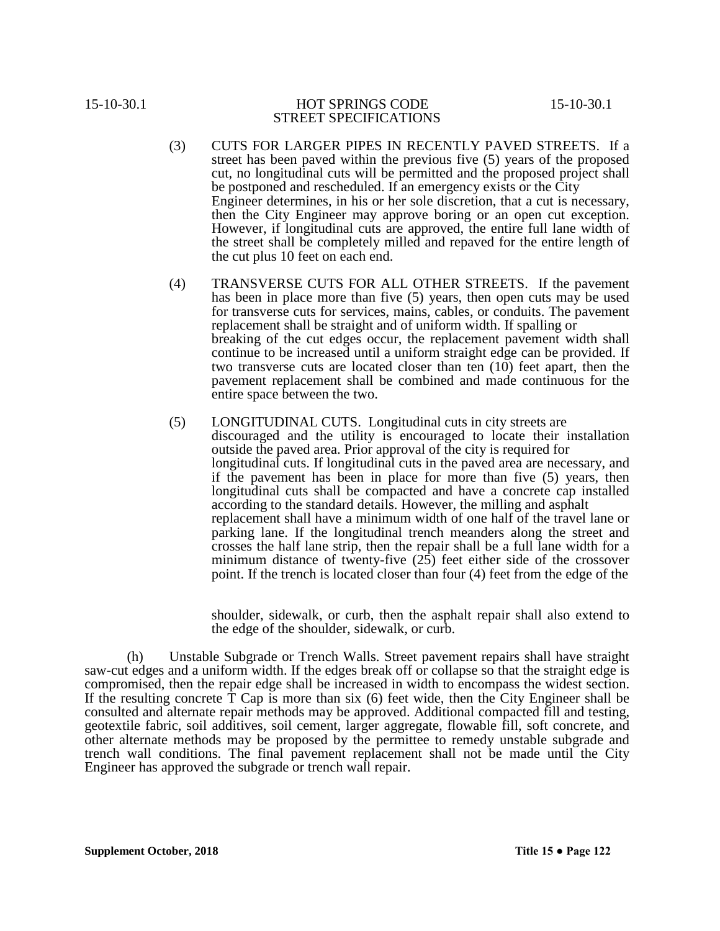- (3) CUTS FOR LARGER PIPES IN RECENTLY PAVED STREETS. If a street has been paved within the previous five (5) years of the proposed cut, no longitudinal cuts will be permitted and the proposed project shall be postponed and rescheduled. If an emergency exists or the City Engineer determines, in his or her sole discretion, that a cut is necessary, then the City Engineer may approve boring or an open cut exception. However, if longitudinal cuts are approved, the entire full lane width of the street shall be completely milled and repaved for the entire length of the cut plus 10 feet on each end.
- (4) TRANSVERSE CUTS FOR ALL OTHER STREETS. If the pavement has been in place more than five (5) years, then open cuts may be used for transverse cuts for services, mains, cables, or conduits. The pavement replacement shall be straight and of uniform width. If spalling or breaking of the cut edges occur, the replacement pavement width shall continue to be increased until a uniform straight edge can be provided. If two transverse cuts are located closer than ten (10) feet apart, then the pavement replacement shall be combined and made continuous for the entire space between the two.
- (5) LONGITUDINAL CUTS. Longitudinal cuts in city streets are discouraged and the utility is encouraged to locate their installation outside the paved area. Prior approval of the city is required for longitudinal cuts. If longitudinal cuts in the paved area are necessary, and if the pavement has been in place for more than five (5) years, then longitudinal cuts shall be compacted and have a concrete cap installed according to the standard details. However, the milling and asphalt replacement shall have a minimum width of one half of the travel lane or parking lane. If the longitudinal trench meanders along the street and crosses the half lane strip, then the repair shall be a full lane width for a minimum distance of twenty-five (25) feet either side of the crossover point. If the trench is located closer than four (4) feet from the edge of the

shoulder, sidewalk, or curb, then the asphalt repair shall also extend to the edge of the shoulder, sidewalk, or curb.

(h) Unstable Subgrade or Trench Walls. Street pavement repairs shall have straight saw-cut edges and a uniform width. If the edges break off or collapse so that the straight edge is compromised, then the repair edge shall be increased in width to encompass the widest section. If the resulting concrete  $T$  Cap is more than six (6) feet wide, then the City Engineer shall be consulted and alternate repair methods may be approved. Additional compacted fill and testing, geotextile fabric, soil additives, soil cement, larger aggregate, flowable fill, soft concrete, and other alternate methods may be proposed by the permittee to remedy unstable subgrade and trench wall conditions. The final pavement replacement shall not be made until the City Engineer has approved the subgrade or trench wall repair.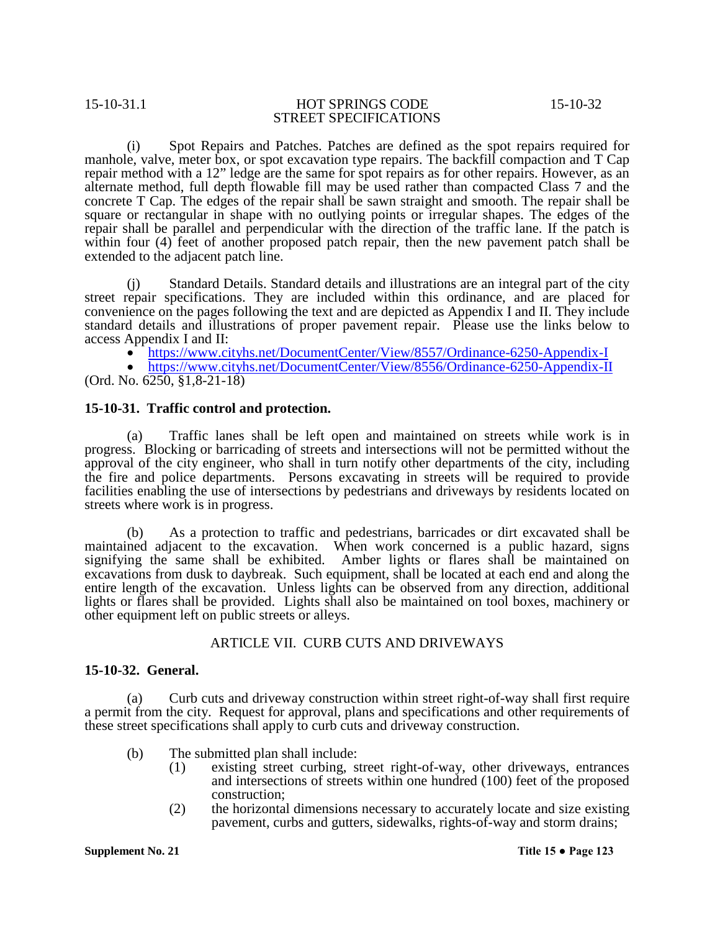(i) Spot Repairs and Patches. Patches are defined as the spot repairs required for manhole, valve, meter box, or spot excavation type repairs. The backfill compaction and T Cap repair method with a 12" ledge are the same for spot repairs as for other repairs. However, as an alternate method, full depth flowable fill may be used rather than compacted Class 7 and the concrete T Cap. The edges of the repair shall be sawn straight and smooth. The repair shall be square or rectangular in shape with no outlying points or irregular shapes. The edges of the repair shall be parallel and perpendicular with the direction of the traffic lane. If the patch is within four (4) feet of another proposed patch repair, then the new pavement patch shall be extended to the adjacent patch line.

(j) Standard Details. Standard details and illustrations are an integral part of the city street repair specifications. They are included within this ordinance, and are placed for convenience on the pages following the text and are depicted as Appendix I and II. They include standard details and illustrations of proper pavement repair. Please use the links below to access Appendix I and II:

• https://www.cityhs.net/DocumentCenter/View/8557/Ordinance-6250-Appendix-I<br>• https://www.cityhs.net/DocumentCenter/View/8556/Ordinance-6250-Appendix-II

(Ord. No. 6250, §1,8-21-18)

# **15-10-31. Traffic control and protection.**

(a) Traffic lanes shall be left open and maintained on streets while work is in progress. Blocking or barricading of streets and intersections will not be permitted without the approval of the city engineer, who shall in turn notify other departments of the city, including the fire and police departments. Persons excavating in streets will be required to provide facilities enabling the use of intersections by pedestrians and driveways by residents located on streets where work is in progress.

(b) As a protection to traffic and pedestrians, barricades or dirt excavated shall be maintained adjacent to the excavation. When work concerned is a public hazard, signs signifying the same shall be exhibited. Amber lights or flares shall be maintained on excavations from dusk to daybreak. Such equipment, shall be located at each end and along the entire length of the excavation. Unless lights can be observed from any direction, additional lights or flares shall be provided. Lights shall also be maintained on tool boxes, machinery or other equipment left on public streets or alleys.

# ARTICLE VII. CURB CUTS AND DRIVEWAYS

### **15-10-32. General.**

(a) Curb cuts and driveway construction within street right-of-way shall first require a permit from the city. Request for approval, plans and specifications and other requirements of these street specifications shall apply to curb cuts and driveway construction.

- (b) The submitted plan shall include:
	- (1) existing street curbing, street right-of-way, other driveways, entrances and intersections of streets within one hundred (100) feet of the proposed construction;
	- (2) the horizontal dimensions necessary to accurately locate and size existing pavement, curbs and gutters, sidewalks, rights-of-way and storm drains;

**Supplement No. 21 Title 15 ● Page 123**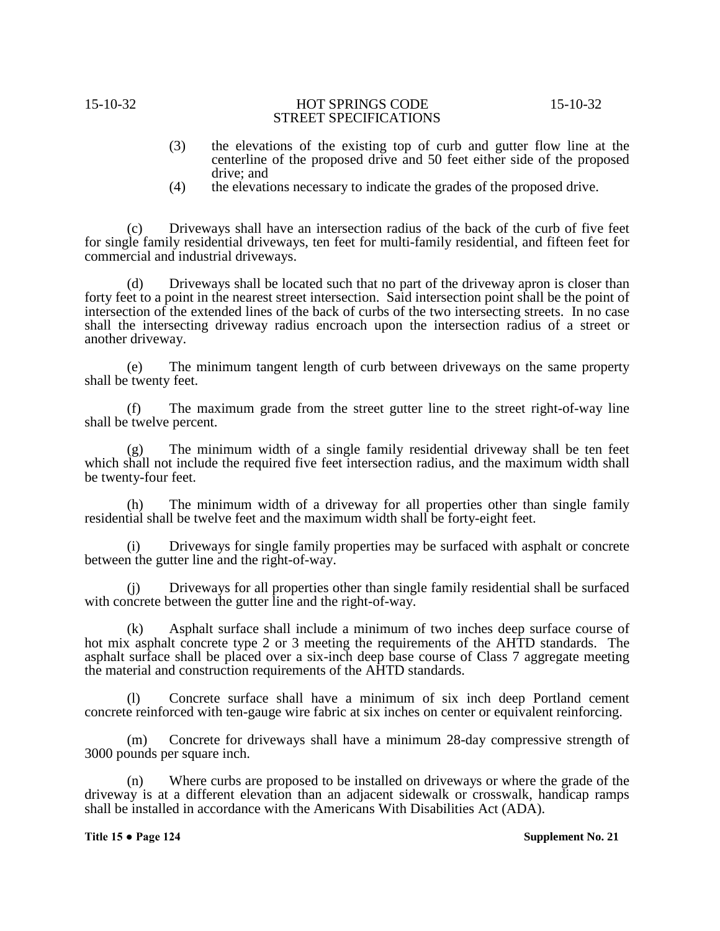- (3) the elevations of the existing top of curb and gutter flow line at the centerline of the proposed drive and 50 feet either side of the proposed drive; and
- (4) the elevations necessary to indicate the grades of the proposed drive.

(c) Driveways shall have an intersection radius of the back of the curb of five feet for single family residential driveways, ten feet for multi-family residential, and fifteen feet for commercial and industrial driveways.

(d) Driveways shall be located such that no part of the driveway apron is closer than forty feet to a point in the nearest street intersection. Said intersection point shall be the point of intersection of the extended lines of the back of curbs of the two intersecting streets. In no case shall the intersecting driveway radius encroach upon the intersection radius of a street or another driveway.

(e) The minimum tangent length of curb between driveways on the same property shall be twenty feet.

(f) The maximum grade from the street gutter line to the street right-of-way line shall be twelve percent.

(g) The minimum width of a single family residential driveway shall be ten feet which shall not include the required five feet intersection radius, and the maximum width shall be twenty-four feet.

(h) The minimum width of a driveway for all properties other than single family residential shall be twelve feet and the maximum width shall be forty-eight feet.

(i) Driveways for single family properties may be surfaced with asphalt or concrete between the gutter line and the right-of-way.

(j) Driveways for all properties other than single family residential shall be surfaced with concrete between the gutter line and the right-of-way.

(k) Asphalt surface shall include a minimum of two inches deep surface course of hot mix asphalt concrete type 2 or 3 meeting the requirements of the AHTD standards. The asphalt surface shall be placed over a six-inch deep base course of Class 7 aggregate meeting the material and construction requirements of the AHTD standards.

(l) Concrete surface shall have a minimum of six inch deep Portland cement concrete reinforced with ten-gauge wire fabric at six inches on center or equivalent reinforcing.

(m) Concrete for driveways shall have a minimum 28-day compressive strength of 3000 pounds per square inch.

(n) Where curbs are proposed to be installed on driveways or where the grade of the driveway is at a different elevation than an adjacent sidewalk or crosswalk, handicap ramps shall be installed in accordance with the Americans With Disabilities Act (ADA).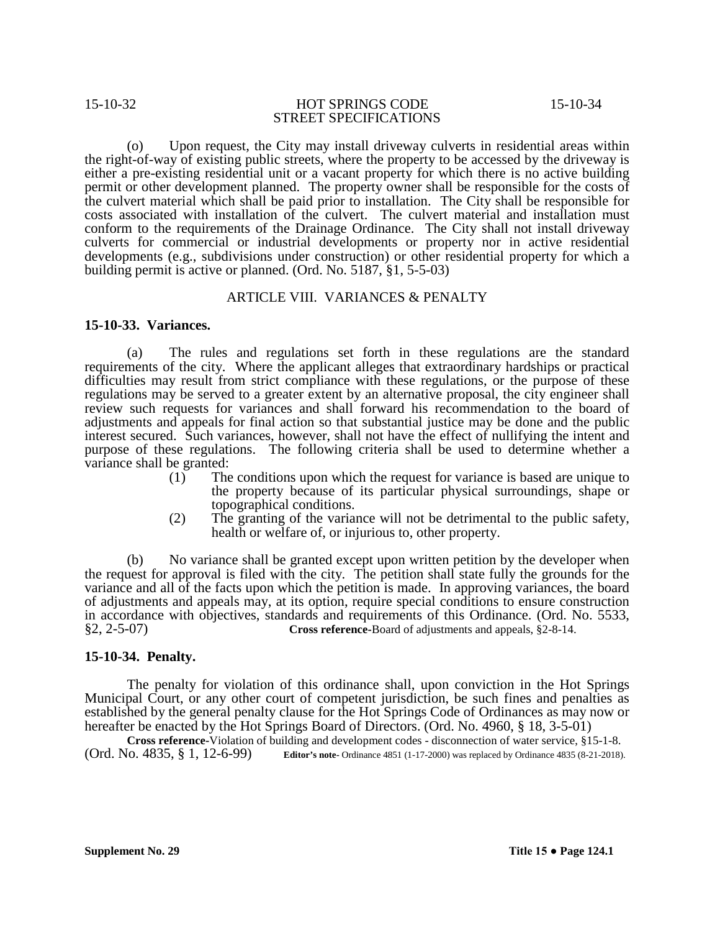(o) Upon request, the City may install driveway culverts in residential areas within the right-of-way of existing public streets, where the property to be accessed by the driveway is either a pre-existing residential unit or a vacant property for which there is no active building permit or other development planned. The property owner shall be responsible for the costs of the culvert material which shall be paid prior to installation. The City shall be responsible for costs associated with installation of the culvert. The culvert material and installation must conform to the requirements of the Drainage Ordinance. The City shall not install driveway culverts for commercial or industrial developments or property nor in active residential developments (e.g., subdivisions under construction) or other residential property for which a building permit is active or planned. (Ord. No. 5187, §1, 5-5-03)

# ARTICLE VIII. VARIANCES & PENALTY

### **15-10-33. Variances.**

(a) The rules and regulations set forth in these regulations are the standard requirements of the city. Where the applicant alleges that extraordinary hardships or practical difficulties may result from strict compliance with these regulations, or the purpose of these regulations may be served to a greater extent by an alternative proposal, the city engineer shall review such requests for variances and shall forward his recommendation to the board of adjustments and appeals for final action so that substantial justice may be done and the public interest secured. Such variances, however, shall not have the effect of nullifying the intent and purpose of these regulations. The following criteria shall be used to determine whether a variance shall be granted:<br>(1) The

- The conditions upon which the request for variance is based are unique to the property because of its particular physical surroundings, shape or topographical conditions.
- (2) The granting of the variance will not be detrimental to the public safety, health or welfare of, or injurious to, other property.

(b) No variance shall be granted except upon written petition by the developer when the request for approval is filed with the city. The petition shall state fully the grounds for the variance and all of the facts upon which the petition is made. In approving variances, the board of adjustments and appeals may, at its option, require special conditions to ensure construction in accordance with objectives, standards and requirements of this Ordinance. (Ord. No. 5533, §2, 2-5-07) **Cross reference-**Board of adjustments and appeals, §2-8-14.

# **15-10-34. Penalty.**

The penalty for violation of this ordinance shall, upon conviction in the Hot Springs Municipal Court, or any other court of competent jurisdiction, be such fines and penalties as established by the general penalty clause for the Hot Springs Code of Ordinances as may now or hereafter be enacted by the Hot Springs Board of Directors. (Ord. No. 4960, § 18, 3-5-01)

**Cross reference-**Violation of building and development codes - disconnection of water service, §15-1-8. (Ord. No. 4835, § 1, 12-6-99) **Editor's note-** Ordinance 4851 (1-17-2000) was replaced by Ordinance 4835 (8-21-2018).